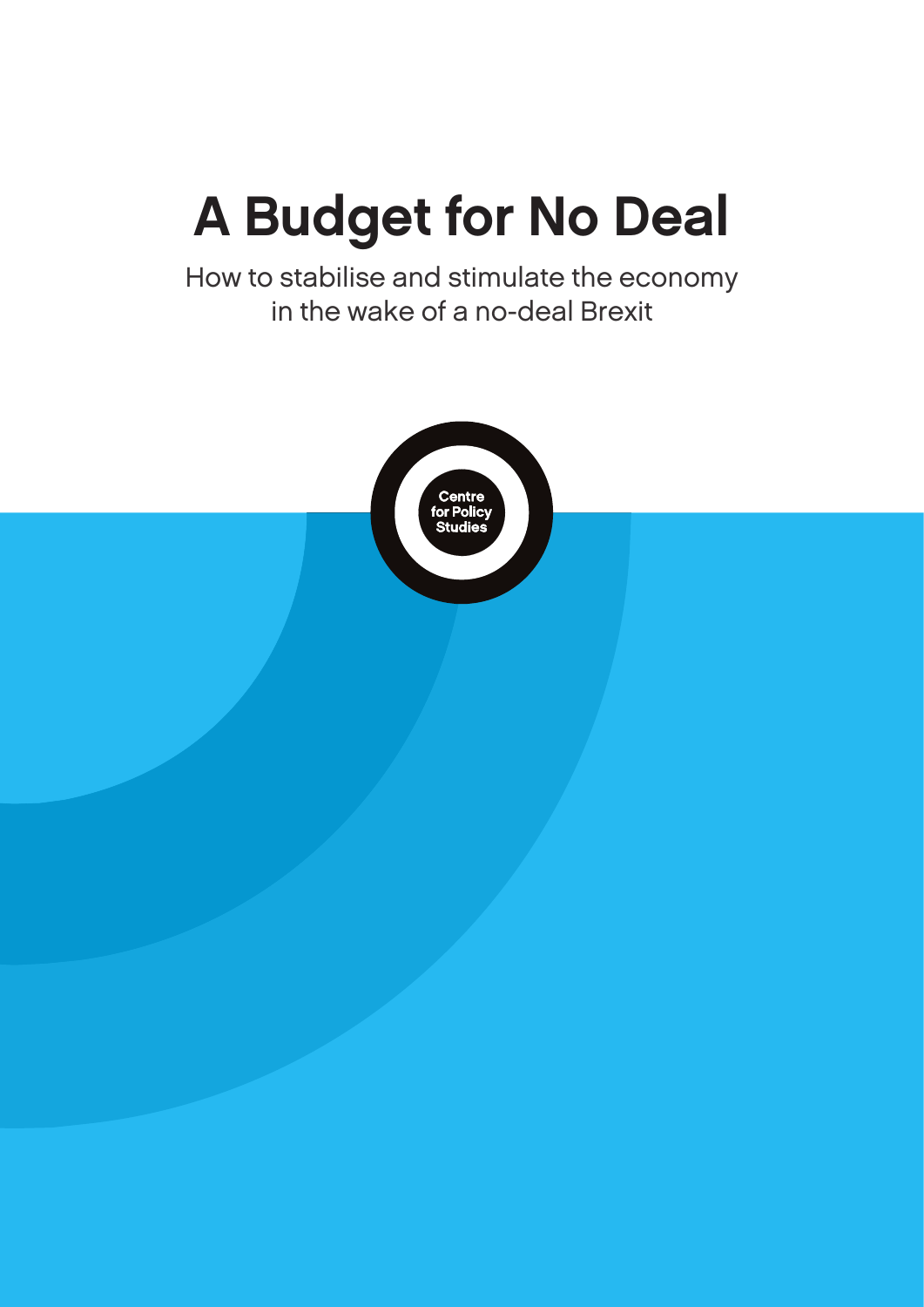# A Budget for No Deal

How to stabilise and stimulate the economy in the wake of a no-deal Brexit

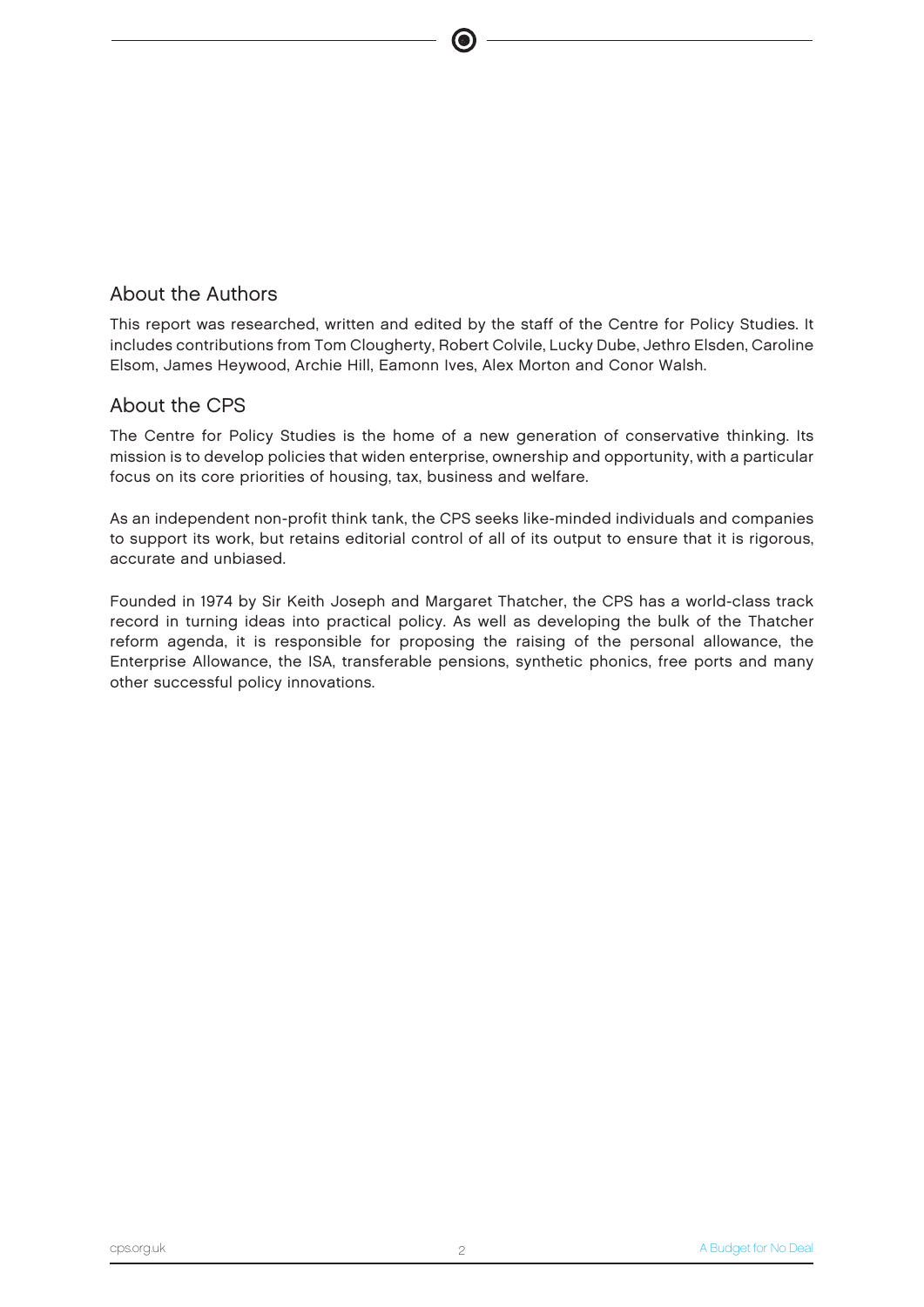## About the Authors

This report was researched, written and edited by the staff of the Centre for Policy Studies. It includes contributions from Tom Clougherty, Robert Colvile, Lucky Dube, Jethro Elsden, Caroline Elsom, James Heywood, Archie Hill, Eamonn Ives, Alex Morton and Conor Walsh.

## About the CPS

The Centre for Policy Studies is the home of a new generation of conservative thinking. Its mission is to develop policies that widen enterprise, ownership and opportunity, with a particular focus on its core priorities of housing, tax, business and welfare.

As an independent non-profit think tank, the CPS seeks like-minded individuals and companies to support its work, but retains editorial control of all of its output to ensure that it is rigorous, accurate and unbiased.

Founded in 1974 by Sir Keith Joseph and Margaret Thatcher, the CPS has a world-class track record in turning ideas into practical policy. As well as developing the bulk of the Thatcher reform agenda, it is responsible for proposing the raising of the personal allowance, the Enterprise Allowance, the ISA, transferable pensions, synthetic phonics, free ports and many other successful policy innovations.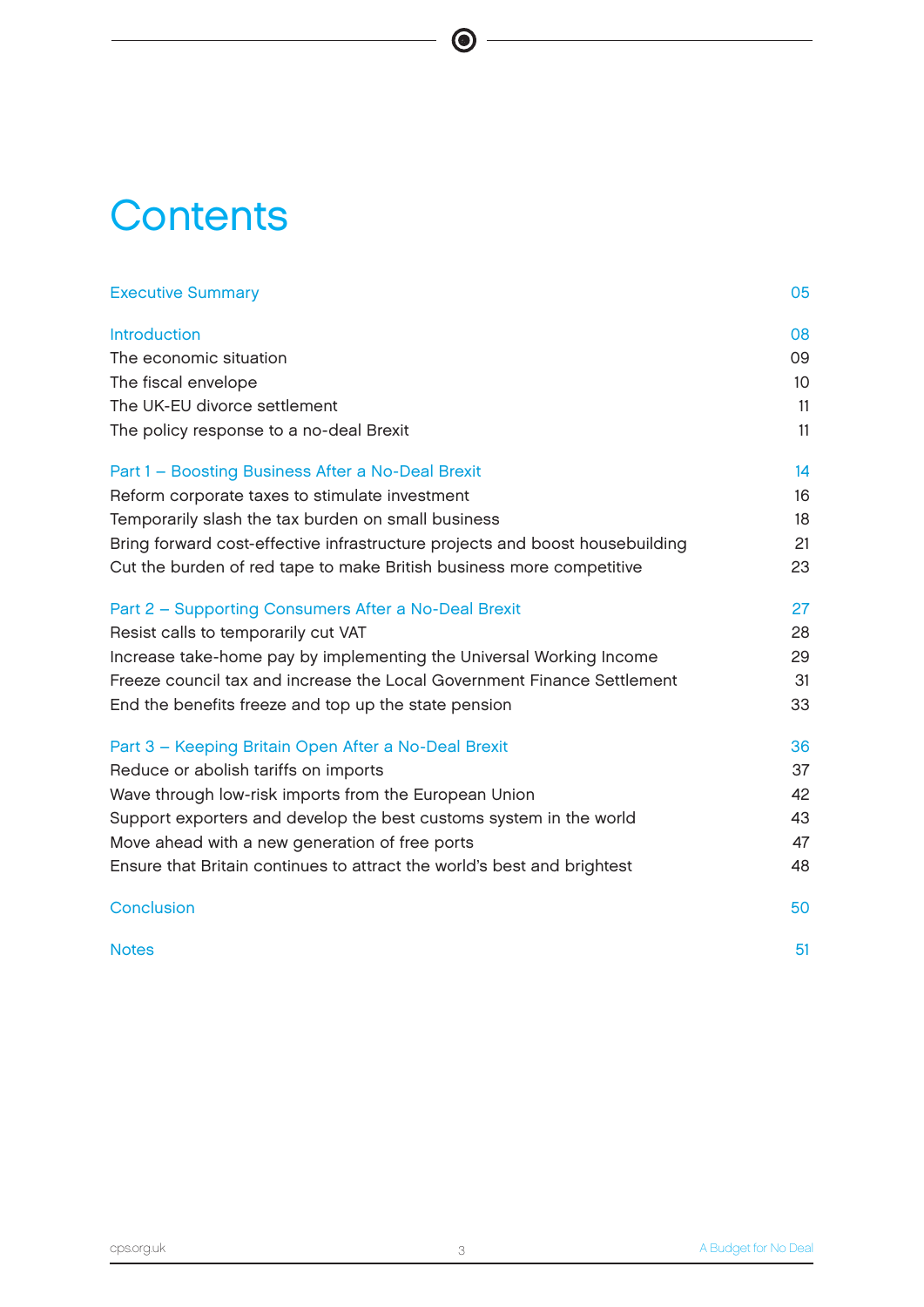# **Contents**

| <b>Executive Summary</b>                                                     | 05 |
|------------------------------------------------------------------------------|----|
| <b>Introduction</b>                                                          | 08 |
| The economic situation                                                       | 09 |
| The fiscal envelope                                                          | 10 |
| The UK-EU divorce settlement                                                 | 11 |
| The policy response to a no-deal Brexit                                      | 11 |
| Part 1 - Boosting Business After a No-Deal Brexit                            | 14 |
| Reform corporate taxes to stimulate investment                               | 16 |
| Temporarily slash the tax burden on small business                           | 18 |
| Bring forward cost-effective infrastructure projects and boost housebuilding | 21 |
| Cut the burden of red tape to make British business more competitive         | 23 |
| Part 2 - Supporting Consumers After a No-Deal Brexit                         | 27 |
| Resist calls to temporarily cut VAT                                          | 28 |
| Increase take-home pay by implementing the Universal Working Income          | 29 |
| Freeze council tax and increase the Local Government Finance Settlement      | 31 |
| End the benefits freeze and top up the state pension                         | 33 |
| Part 3 - Keeping Britain Open After a No-Deal Brexit                         | 36 |
| Reduce or abolish tariffs on imports                                         | 37 |
| Wave through low-risk imports from the European Union                        | 42 |
| Support exporters and develop the best customs system in the world           | 43 |
| Move ahead with a new generation of free ports                               | 47 |
| Ensure that Britain continues to attract the world's best and brightest      | 48 |
| <b>Conclusion</b>                                                            | 50 |
| <b>Notes</b>                                                                 | 51 |

 $\bullet$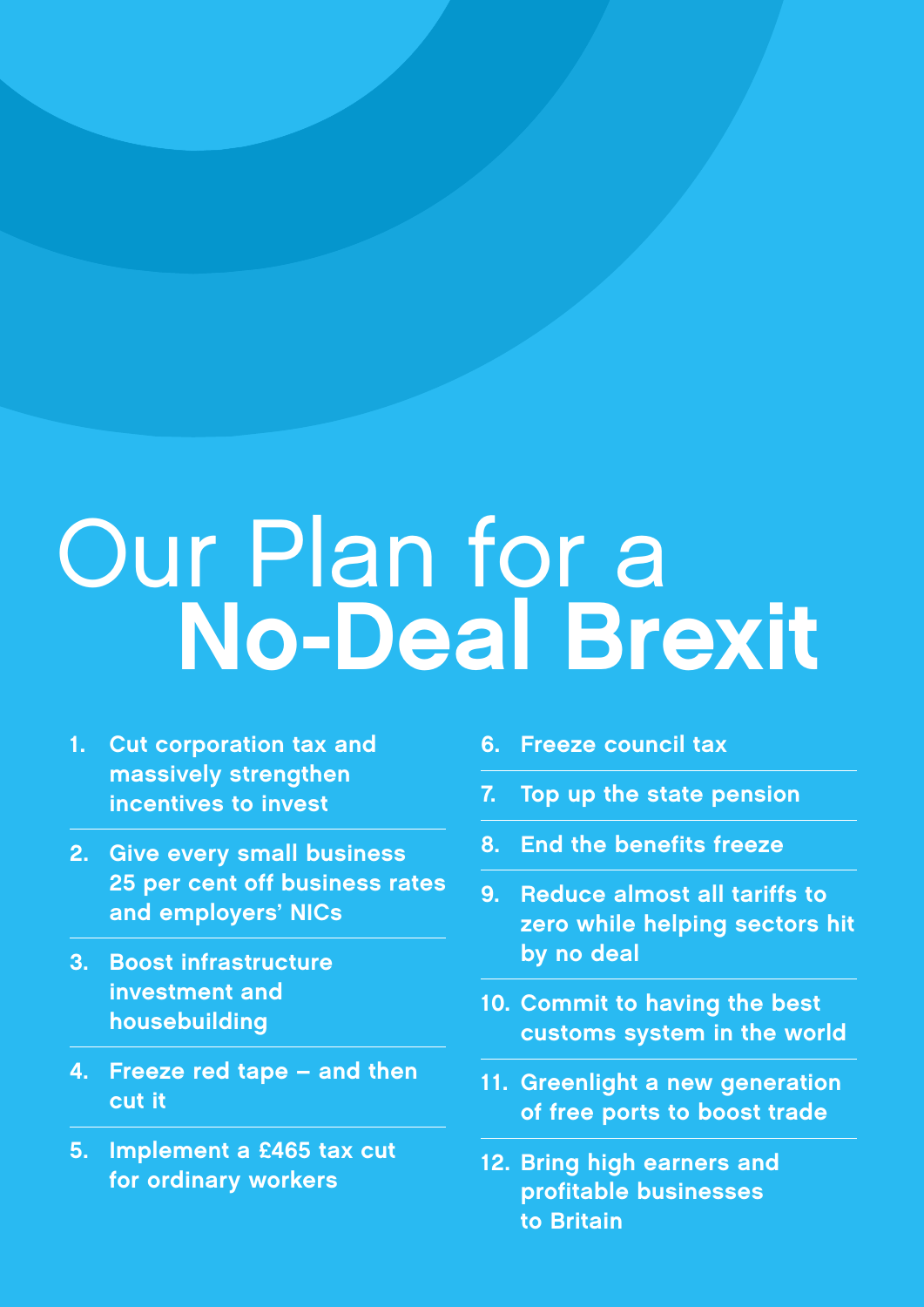# Our Plan for a No-Deal Brexit

- 1. Cut corporation tax and massively strengthen incentives to invest
- 2. Give every small business 25 per cent off business rates and employers' NICs
- 3. Boost infrastructure investment and housebuilding
- 4. Freeze red tape and then cut it
- 5. Implement a £465 tax cut for ordinary workers
- 6. Freeze council tax
- 7. Top up the state pension
- 8. End the benefits freeze
- 9. Reduce almost all tariffs to zero while helping sectors hit by no deal
- 10. Commit to having the best customs system in the world
- 11. Greenlight a new generation of free ports to boost trade
- 12. Bring high earners and profitable businesses to Britain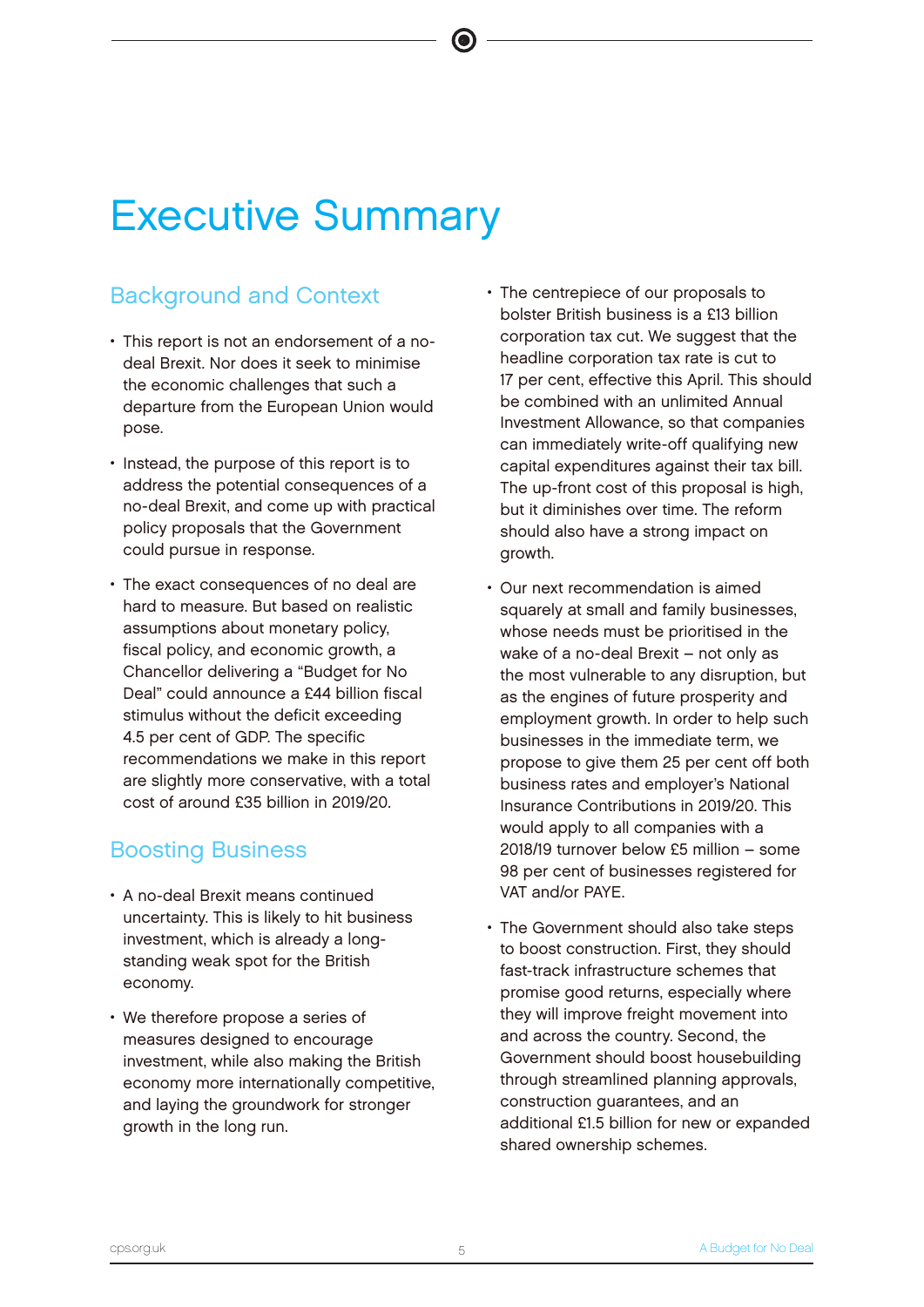# Executive Summary

# Background and Context

- This report is not an endorsement of a nodeal Brexit. Nor does it seek to minimise the economic challenges that such a departure from the European Union would pose.
- Instead, the purpose of this report is to address the potential consequences of a no-deal Brexit, and come up with practical policy proposals that the Government could pursue in response.
- The exact consequences of no deal are hard to measure. But based on realistic assumptions about monetary policy, fiscal policy, and economic growth, a Chancellor delivering a "Budget for No Deal" could announce a £44 billion fiscal stimulus without the deficit exceeding 4.5 per cent of GDP. The specific recommendations we make in this report are slightly more conservative, with a total cost of around £35 billion in 2019/20.

# Boosting Business

- A no-deal Brexit means continued uncertainty. This is likely to hit business investment, which is already a longstanding weak spot for the British economy.
- We therefore propose a series of measures designed to encourage investment, while also making the British economy more internationally competitive, and laying the groundwork for stronger growth in the long run.
- The centrepiece of our proposals to bolster British business is a £13 billion corporation tax cut. We suggest that the headline corporation tax rate is cut to 17 per cent, effective this April. This should be combined with an unlimited Annual Investment Allowance, so that companies can immediately write-off qualifying new capital expenditures against their tax bill. The up-front cost of this proposal is high. but it diminishes over time. The reform should also have a strong impact on growth.
- Our next recommendation is aimed squarely at small and family businesses. whose needs must be prioritised in the wake of a no-deal Brexit – not only as the most vulnerable to any disruption, but as the engines of future prosperity and employment growth. In order to help such businesses in the immediate term, we propose to give them 25 per cent off both business rates and employer's National Insurance Contributions in 2019/20. This would apply to all companies with a 2018/19 turnover below £5 million – some 98 per cent of businesses registered for VAT and/or PAYE.
- The Government should also take steps to boost construction. First, they should fast-track infrastructure schemes that promise good returns, especially where they will improve freight movement into and across the country. Second, the Government should boost housebuilding through streamlined planning approvals, construction guarantees, and an additional £1.5 billion for new or expanded shared ownership schemes.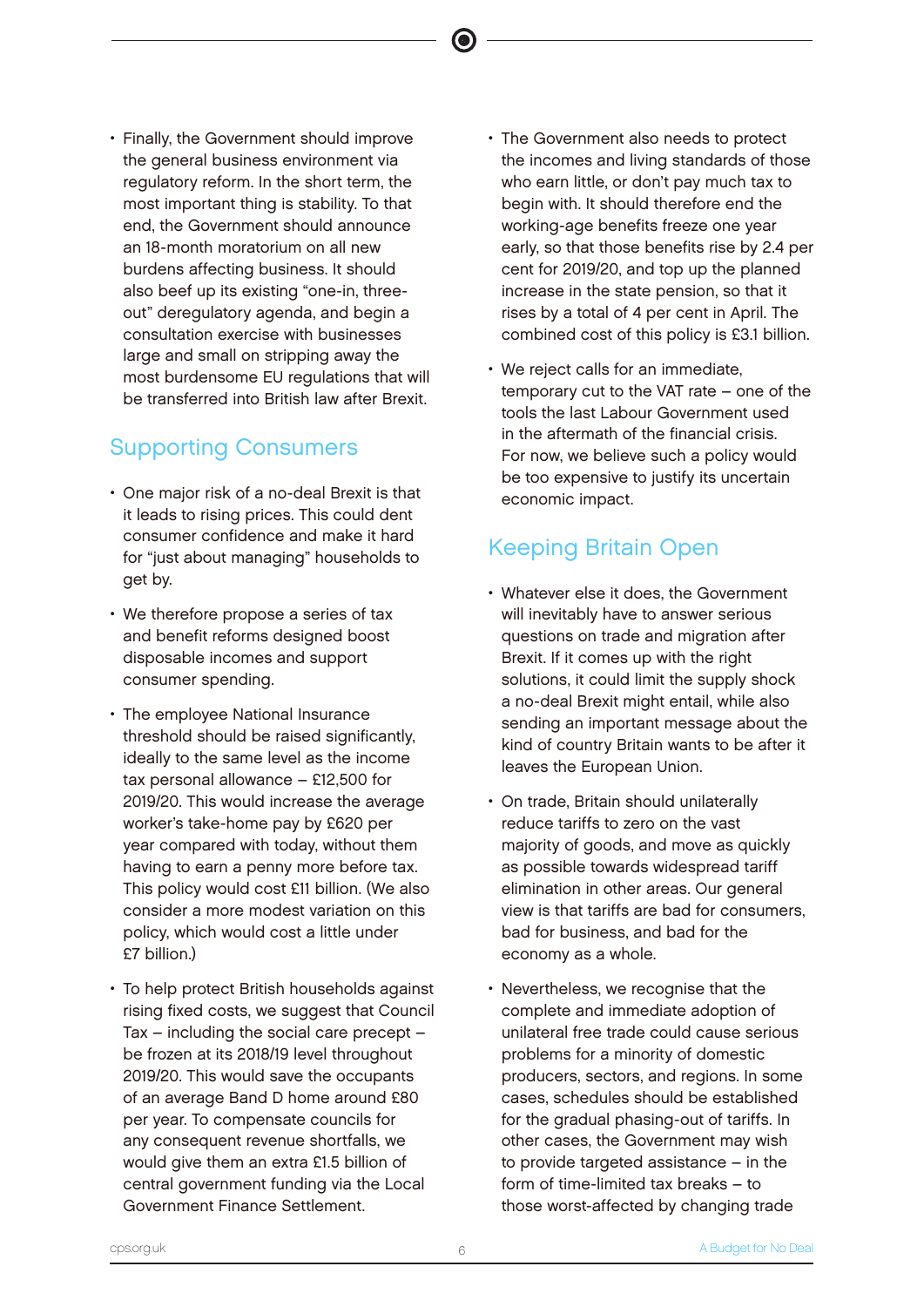• Finally, the Government should improve the general business environment via regulatory reform. In the short term, the most important thing is stability. To that end, the Government should announce an 18-month moratorium on all new burdens affecting business. It should also beef up its existing "one-in, threeout" deregulatory agenda, and begin a consultation exercise with businesses large and small on stripping away the most burdensome EU regulations that will be transferred into British law after Brexit.

# Supporting Consumers

- One major risk of a no-deal Brexit is that it leads to rising prices. This could dent consumer confidence and make it hard for "just about managing" households to get by.
- We therefore propose a series of tax and benefit reforms designed boost disposable incomes and support consumer spending.
- The employee National Insurance threshold should be raised significantly, ideally to the same level as the income tax personal allowance – £12,500 for 2019/20. This would increase the average worker's take-home pay by £620 per year compared with today, without them having to earn a penny more before tax. This policy would cost £11 billion. (We also consider a more modest variation on this policy, which would cost a little under £7 billion.)
- To help protect British households against rising fixed costs, we suggest that Council Tax – including the social care precept – be frozen at its 2018/19 level throughout 2019/20. This would save the occupants of an average Band D home around £80 per year. To compensate councils for any consequent revenue shortfalls, we would give them an extra £1.5 billion of central government funding via the Local Government Finance Settlement.

• The Government also needs to protect the incomes and living standards of those who earn little, or don't pay much tax to begin with. It should therefore end the working-age benefits freeze one year early, so that those benefits rise by 2.4 per cent for 2019/20, and top up the planned increase in the state pension, so that it rises by a total of 4 per cent in April. The combined cost of this policy is £3.1 billion.

 $\bullet$ 

We reject calls for an immediate, temporary cut to the VAT rate – one of the tools the last Labour Government used in the aftermath of the financial crisis. For now, we believe such a policy would be too expensive to justify its uncertain economic impact.

# Keeping Britain Open

- Whatever else it does, the Government will inevitably have to answer serious questions on trade and migration after Brexit. If it comes up with the right solutions, it could limit the supply shock a no-deal Brexit might entail, while also sending an important message about the kind of country Britain wants to be after it leaves the European Union.
- On trade, Britain should unilaterally reduce tariffs to zero on the vast majority of goods, and move as quickly as possible towards widespread tariff elimination in other areas. Our general view is that tariffs are bad for consumers, bad for business, and bad for the economy as a whole.
- Nevertheless, we recognise that the complete and immediate adoption of unilateral free trade could cause serious problems for a minority of domestic producers, sectors, and regions. In some cases, schedules should be established for the gradual phasing-out of tariffs. In other cases, the Government may wish to provide targeted assistance – in the form of time-limited tax breaks – to those worst-affected by changing trade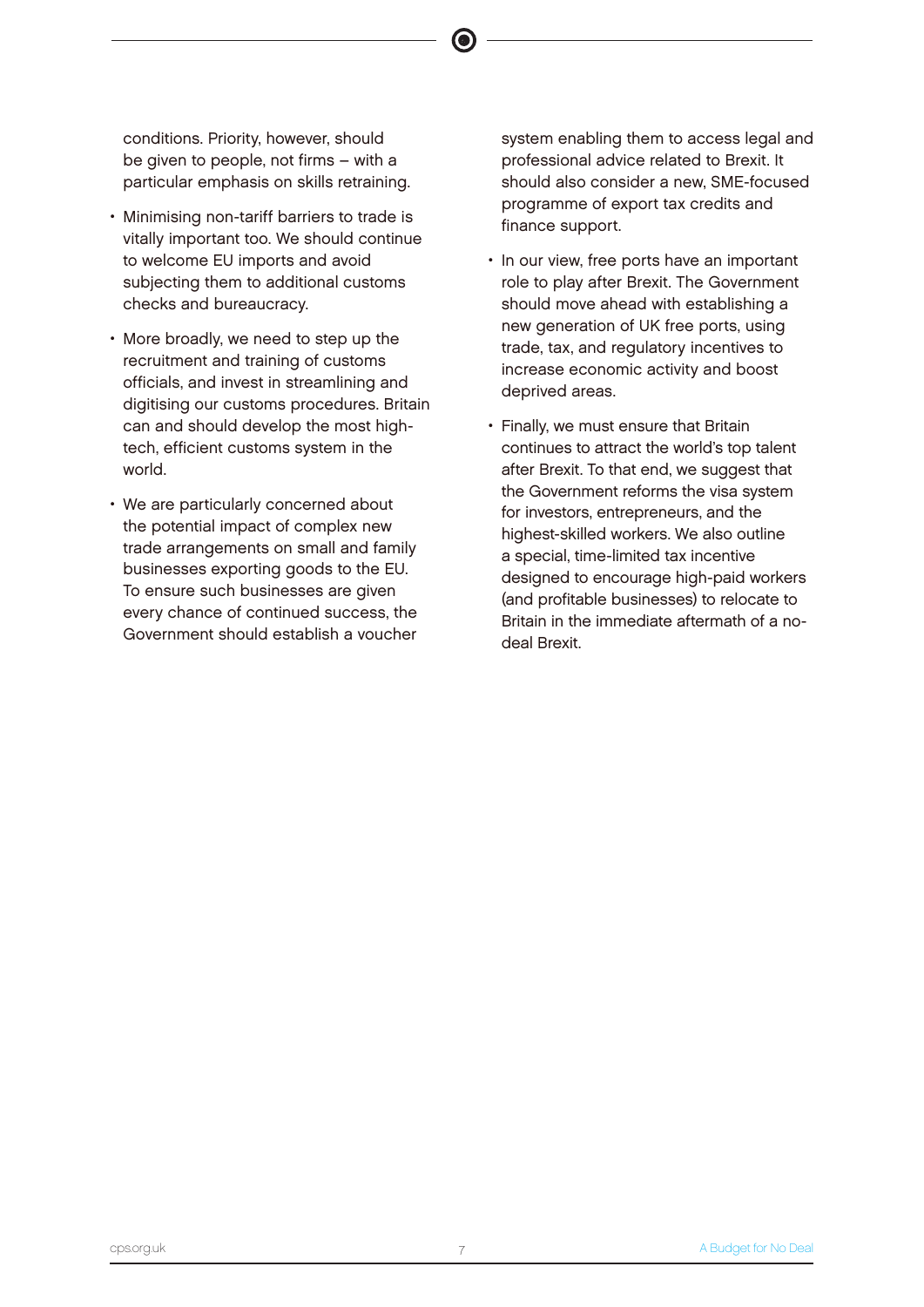conditions. Priority, however, should be given to people, not firms – with a particular emphasis on skills retraining.

- Minimising non-tariff barriers to trade is vitally important too. We should continue to welcome EU imports and avoid subjecting them to additional customs checks and bureaucracy.
- More broadly, we need to step up the recruitment and training of customs officials, and invest in streamlining and digitising our customs procedures. Britain can and should develop the most hightech, efficient customs system in the world.
- We are particularly concerned about the potential impact of complex new trade arrangements on small and family businesses exporting goods to the EU. To ensure such businesses are given every chance of continued success, the Government should establish a voucher

system enabling them to access legal and professional advice related to Brexit. It should also consider a new, SME-focused programme of export tax credits and finance support.

- In our view, free ports have an important role to play after Brexit. The Government should move ahead with establishing a new generation of UK free ports, using trade, tax, and regulatory incentives to increase economic activity and boost deprived areas.
- Finally, we must ensure that Britain continues to attract the world's top talent after Brexit. To that end, we suggest that the Government reforms the visa system for investors, entrepreneurs, and the highest-skilled workers. We also outline a special, time-limited tax incentive designed to encourage high-paid workers (and profitable businesses) to relocate to Britain in the immediate aftermath of a nodeal Brexit.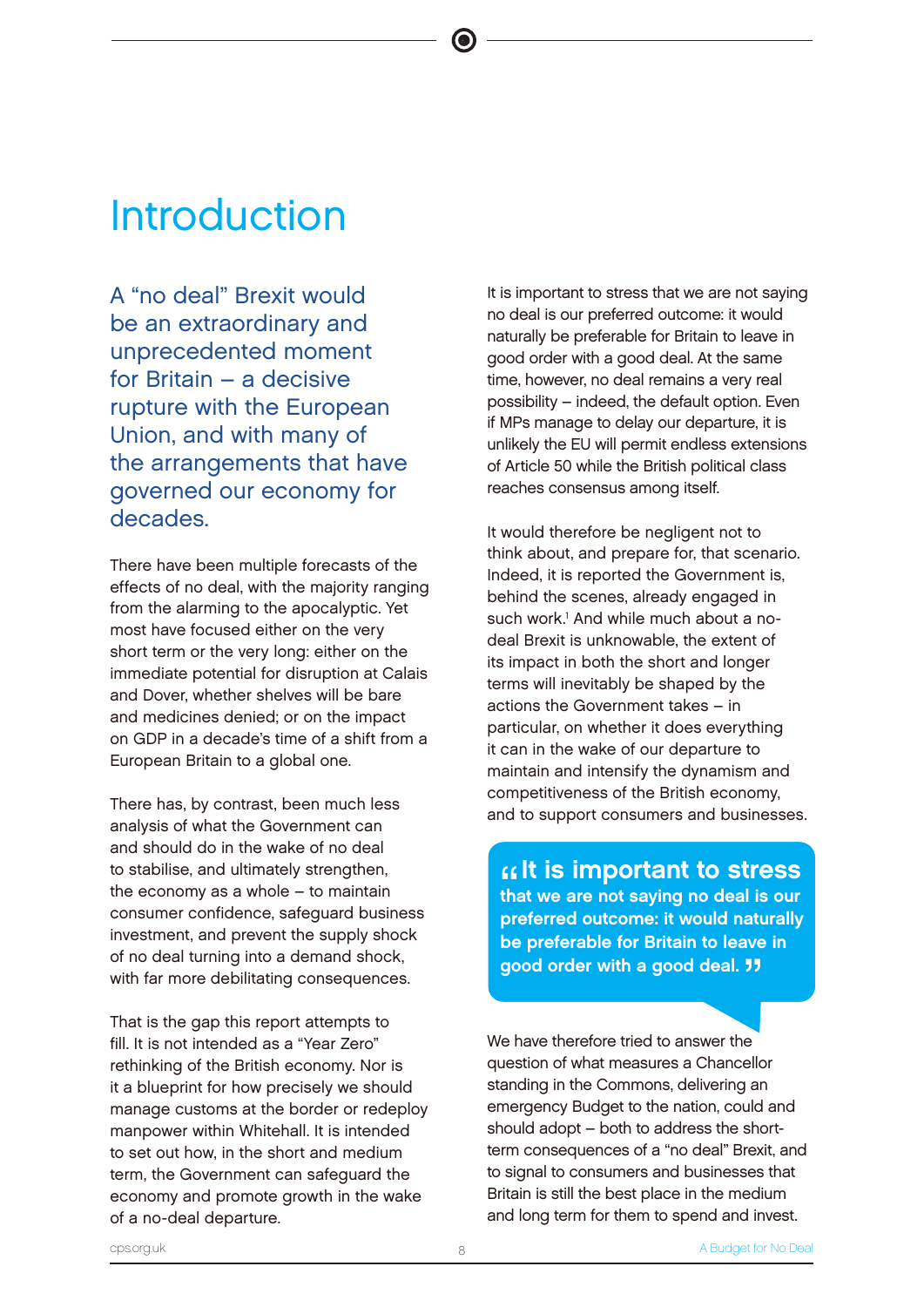# Introduction

A "no deal" Brexit would be an extraordinary and unprecedented moment for Britain – a decisive rupture with the European Union, and with many of the arrangements that have governed our economy for decades.

There have been multiple forecasts of the effects of no deal, with the majority ranging from the alarming to the apocalyptic. Yet most have focused either on the very short term or the very long: either on the immediate potential for disruption at Calais and Dover, whether shelves will be bare and medicines denied; or on the impact on GDP in a decade's time of a shift from a European Britain to a global one.

There has, by contrast, been much less analysis of what the Government can and should do in the wake of no deal to stabilise, and ultimately strengthen, the economy as a whole – to maintain consumer confidence, safeguard business investment, and prevent the supply shock of no deal turning into a demand shock, with far more debilitating consequences.

That is the gap this report attempts to fill. It is not intended as a "Year Zero" rethinking of the British economy. Nor is it a blueprint for how precisely we should manage customs at the border or redeploy manpower within Whitehall. It is intended to set out how, in the short and medium term, the Government can safeguard the economy and promote growth in the wake of a no-deal departure.

It is important to stress that we are not saying no deal is our preferred outcome: it would naturally be preferable for Britain to leave in good order with a good deal. At the same time, however, no deal remains a very real possibility – indeed, the default option. Even if MPs manage to delay our departure, it is unlikely the EU will permit endless extensions of Article 50 while the British political class reaches consensus among itself.

It would therefore be negligent not to think about, and prepare for, that scenario. Indeed, it is reported the Government is, behind the scenes, already engaged in such work.<sup>1</sup> And while much about a nodeal Brexit is unknowable, the extent of its impact in both the short and longer terms will inevitably be shaped by the actions the Government takes – in particular, on whether it does everything it can in the wake of our departure to maintain and intensify the dynamism and competitiveness of the British economy, and to support consumers and businesses.

**11 is important to stress**<br>that we are not saying no deal is our<br>proferred outcome: it would noturally that we are not saying no deal is our preferred outcome: it would naturally be preferable for Britain to leave in good order with a good deal. **11** 

We have therefore tried to answer the question of what measures a Chancellor standing in the Commons, delivering an emergency Budget to the nation, could and should adopt – both to address the shortterm consequences of a "no deal" Brexit, and to signal to consumers and businesses that Britain is still the best place in the medium and long term for them to spend and invest.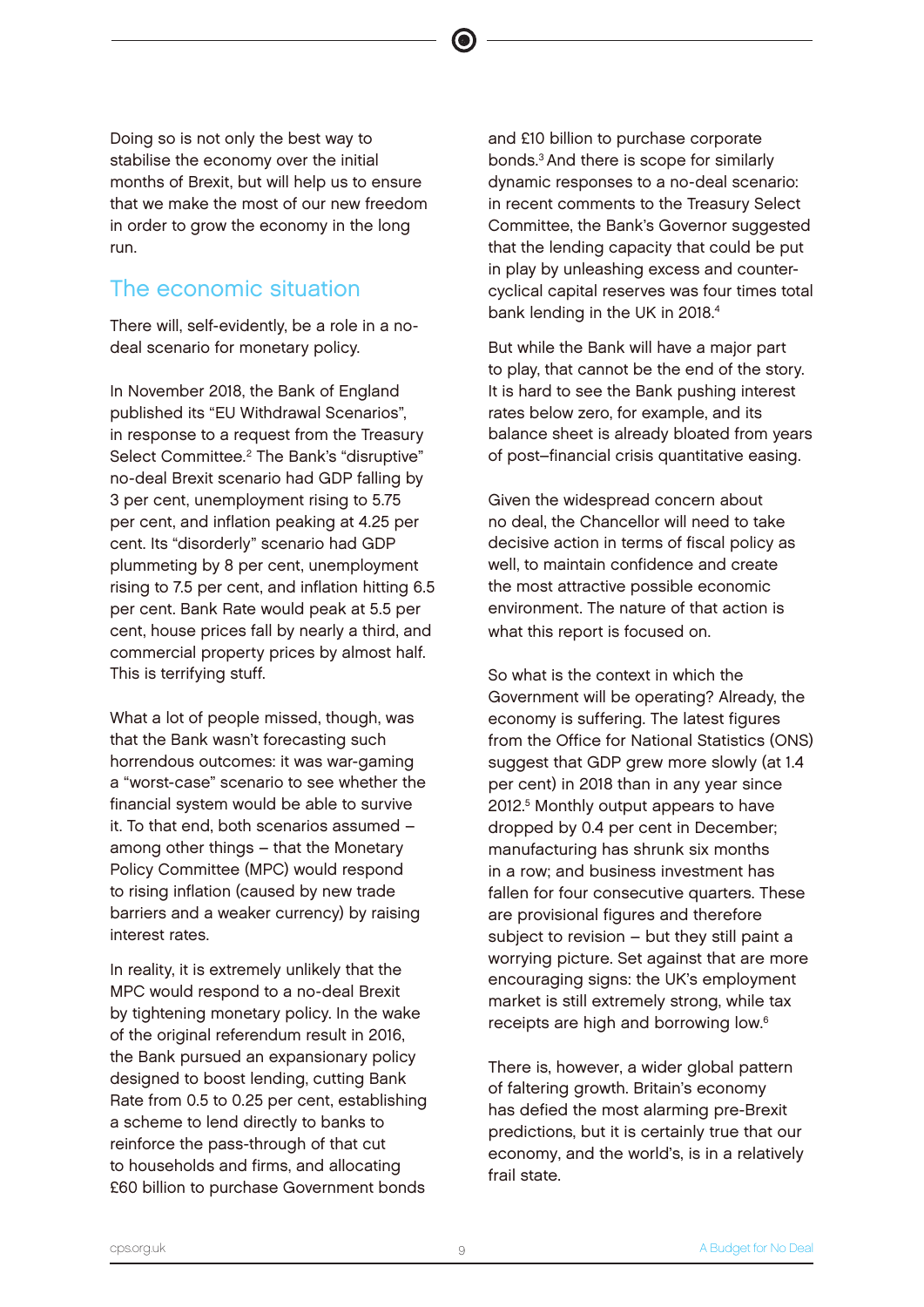Doing so is not only the best way to stabilise the economy over the initial months of Brexit, but will help us to ensure that we make the most of our new freedom in order to grow the economy in the long run.

# The economic situation

There will, self-evidently, be a role in a nodeal scenario for monetary policy.

In November 2018, the Bank of England published its "EU Withdrawal Scenarios", in response to a request from the Treasury Select Committee.<sup>2</sup> The Bank's "disruptive" no-deal Brexit scenario had GDP falling by 3 per cent, unemployment rising to 5.75 per cent, and inflation peaking at 4.25 per cent. Its "disorderly" scenario had GDP plummeting by 8 per cent, unemployment rising to 7.5 per cent, and inflation hitting 6.5 per cent. Bank Rate would peak at 5.5 per cent, house prices fall by nearly a third, and commercial property prices by almost half. This is terrifying stuff.

What a lot of people missed, though, was that the Bank wasn't forecasting such horrendous outcomes: it was war-gaming a "worst-case" scenario to see whether the financial system would be able to survive it. To that end, both scenarios assumed – among other things – that the Monetary Policy Committee (MPC) would respond to rising inflation (caused by new trade barriers and a weaker currency) by raising interest rates.

In reality, it is extremely unlikely that the MPC would respond to a no-deal Brexit by tightening monetary policy. In the wake of the original referendum result in 2016, the Bank pursued an expansionary policy designed to boost lending, cutting Bank Rate from 0.5 to 0.25 per cent, establishing a scheme to lend directly to banks to reinforce the pass-through of that cut to households and firms, and allocating £60 billion to purchase Government bonds

and £10 billion to purchase corporate bonds.<sup>3</sup>And there is scope for similarly dynamic responses to a no-deal scenario: in recent comments to the Treasury Select Committee, the Bank's Governor suggested that the lending capacity that could be put in play by unleashing excess and countercyclical capital reserves was four times total bank lending in the UK in 2018.<sup>4</sup>

But while the Bank will have a major part to play, that cannot be the end of the story. It is hard to see the Bank pushing interest rates below zero, for example, and its balance sheet is already bloated from years of post–financial crisis quantitative easing.

Given the widespread concern about no deal, the Chancellor will need to take decisive action in terms of fiscal policy as well, to maintain confidence and create the most attractive possible economic environment. The nature of that action is what this report is focused on.

So what is the context in which the Government will be operating? Already, the economy is suffering. The latest figures from the Office for National Statistics (ONS) suggest that GDP grew more slowly (at 1.4 per cent) in 2018 than in any year since 2012.<sup>5</sup> Monthly output appears to have dropped by 0.4 per cent in December; manufacturing has shrunk six months in a row; and business investment has fallen for four consecutive quarters. These are provisional figures and therefore subject to revision – but they still paint a worrying picture. Set against that are more encouraging signs: the UK's employment market is still extremely strong, while tax receipts are high and borrowing low.<sup>6</sup>

There is, however, a wider global pattern of faltering growth. Britain's economy has defied the most alarming pre-Brexit predictions, but it is certainly true that our economy, and the world's, is in a relatively frail state.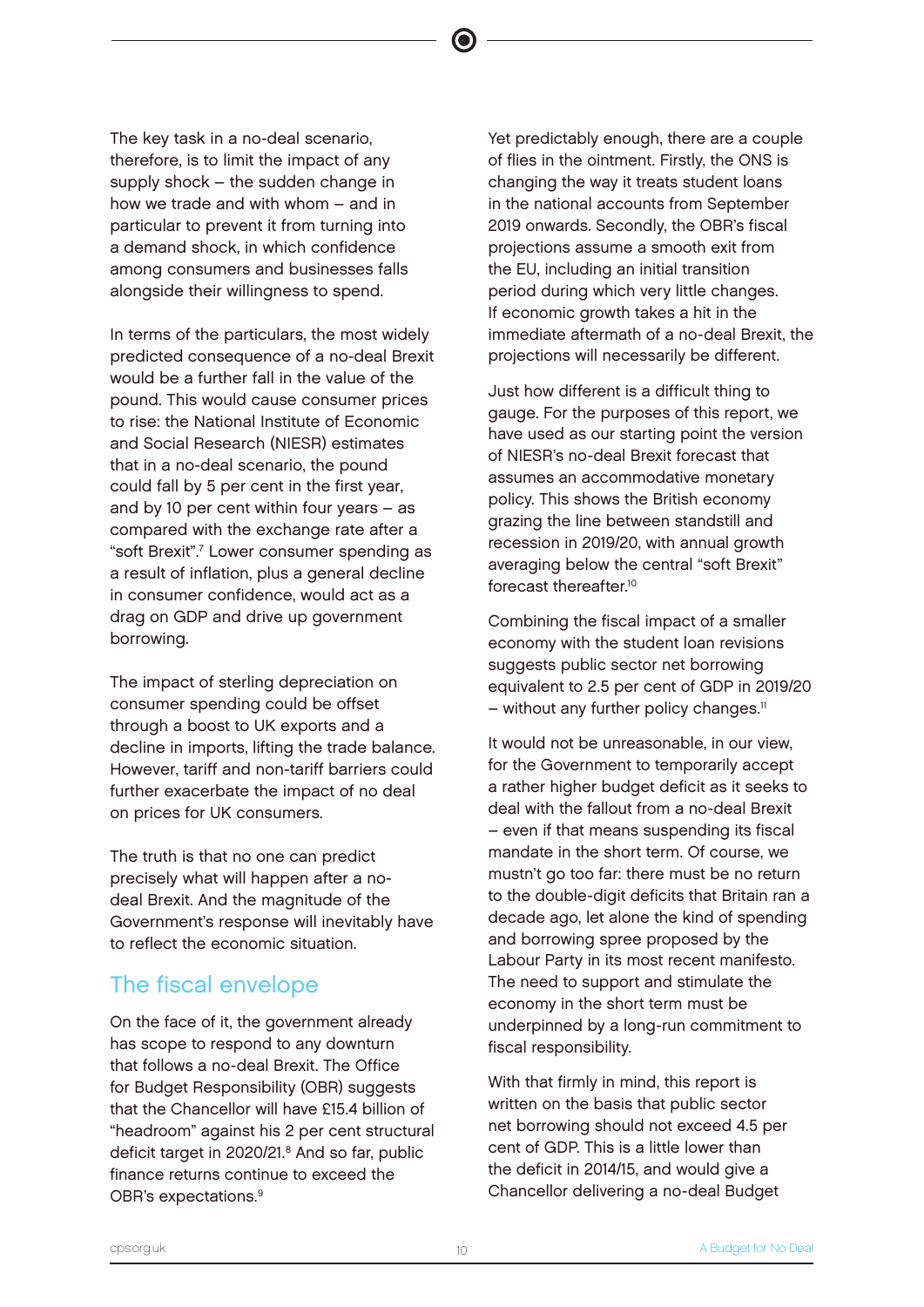The key task in a no-deal scenario, therefore, is to limit the impact of any supply shock – the sudden change in how we trade and with whom – and in particular to prevent it from turning into a demand shock, in which confidence among consumers and businesses falls alongside their willingness to spend.

In terms of the particulars, the most widely predicted consequence of a no-deal Brexit would be a further fall in the value of the pound. This would cause consumer prices to rise: the National Institute of Economic and Social Research (NIESR) estimates that in a no-deal scenario, the pound could fall by 5 per cent in the first year, and by 10 per cent within four years – as compared with the exchange rate after a "soft Brexit".<sup>7</sup> Lower consumer spending as a result of inflation, plus a general decline in consumer confidence, would act as a drag on GDP and drive up government borrowing.

The impact of sterling depreciation on consumer spending could be offset through a boost to UK exports and a decline in imports, lifting the trade balance. However, tariff and non-tariff barriers could further exacerbate the impact of no deal on prices for UK consumers.

The truth is that no one can predict precisely what will happen after a nodeal Brexit. And the magnitude of the Government's response will inevitably have to reflect the economic situation.

# The fiscal envelope

On the face of it, the government already has scope to respond to any downturn that follows a no-deal Brexit. The Office for Budget Responsibility (OBR) suggests that the Chancellor will have £15.4 billion of "headroom" against his 2 per cent structural deficit target in 2020/21.<sup>8</sup> And so far, public finance returns continue to exceed the OBR's expectations.<sup>9</sup>

Yet predictably enough, there are a couple of flies in the ointment. Firstly, the ONS is changing the way it treats student loans in the national accounts from September 2019 onwards. Secondly, the OBR's fiscal projections assume a smooth exit from the EU, including an initial transition period during which very little changes. If economic growth takes a hit in the immediate aftermath of a no-deal Brexit, the projections will necessarily be different.

Just how different is a difficult thing to gauge. For the purposes of this report, we have used as our starting point the version of NIESR's no-deal Brexit forecast that assumes an accommodative monetary policy. This shows the British economy grazing the line between standstill and recession in 2019/20, with annual growth averaging below the central "soft Brexit" forecast thereafter.<sup>10</sup>

Combining the fiscal impact of a smaller economy with the student loan revisions suggests public sector net borrowing equivalent to 2.5 per cent of GDP in 2019/20  $-$  without any further policy changes.<sup>11</sup>

It would not be unreasonable, in our view, for the Government to temporarily accept a rather higher budget deficit as it seeks to deal with the fallout from a no-deal Brexit – even if that means suspending its fiscal mandate in the short term. Of course, we mustn't go too far: there must be no return to the double-digit deficits that Britain ran a decade ago, let alone the kind of spending and borrowing spree proposed by the Labour Party in its most recent manifesto. The need to support and stimulate the economy in the short term must be underpinned by a long-run commitment to fiscal responsibility.

With that firmly in mind, this report is written on the basis that public sector net borrowing should not exceed 4.5 per cent of GDP. This is a little lower than the deficit in 2014/15, and would give a Chancellor delivering a no-deal Budget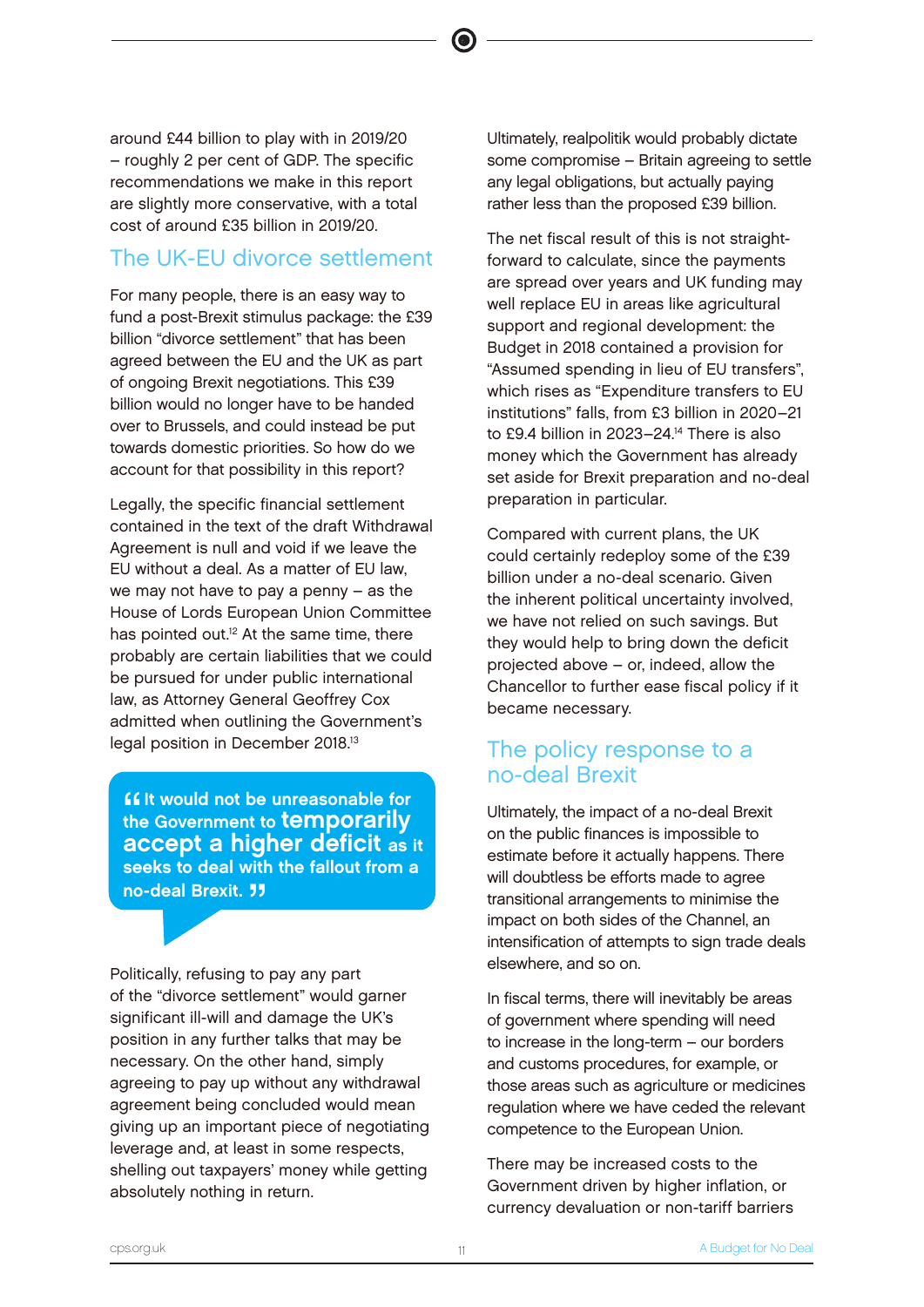around £44 billion to play with in 2019/20 – roughly 2 per cent of GDP. The specific recommendations we make in this report are slightly more conservative, with a total cost of around £35 billion in 2019/20.

# The UK-EU divorce settlement

For many people, there is an easy way to fund a post-Brexit stimulus package: the £39 billion "divorce settlement" that has been agreed between the EU and the UK as part of ongoing Brexit negotiations. This £39 billion would no longer have to be handed over to Brussels, and could instead be put towards domestic priorities. So how do we account for that possibility in this report?

Legally, the specific financial settlement contained in the text of the draft Withdrawal Agreement is null and void if we leave the EU without a deal. As a matter of EU law, we may not have to pay a penny – as the House of Lords European Union Committee has pointed out.<sup>12</sup> At the same time, there probably are certain liabilities that we could be pursued for under public international law, as Attorney General Geoffrey Cox admitted when outlining the Government's legal position in December 2018.<sup>13</sup>

**Solution** would not be unreasonable for<br>
the Government to **temporarily**<br> **ECCADE A bigher deficit** on i **If it would not be unreasonable for** accept a higher deficit as it seeks to deal with the fallout from a no-deal Brexit. <sup>11</sup>

Politically, refusing to pay any part of the "divorce settlement" would garner significant ill-will and damage the UK's position in any further talks that may be necessary. On the other hand, simply agreeing to pay up without any withdrawal agreement being concluded would mean giving up an important piece of negotiating leverage and, at least in some respects, shelling out taxpayers' money while getting absolutely nothing in return.

Ultimately, realpolitik would probably dictate some compromise – Britain agreeing to settle any legal obligations, but actually paying rather less than the proposed £39 billion.

The net fiscal result of this is not straightforward to calculate, since the payments are spread over years and UK funding may well replace EU in areas like agricultural support and regional development: the Budget in 2018 contained a provision for "Assumed spending in lieu of EU transfers", which rises as "Expenditure transfers to EU institutions" falls, from £3 billion in 2020–21 to £9.4 billion in 2023-24.<sup>14</sup> There is also money which the Government has already set aside for Brexit preparation and no-deal preparation in particular.

Compared with current plans, the UK could certainly redeploy some of the £39 billion under a no-deal scenario. Given the inherent political uncertainty involved, we have not relied on such savings. But they would help to bring down the deficit projected above – or, indeed, allow the Chancellor to further ease fiscal policy if it became necessary.

# The policy response to a no-deal Brexit

Ultimately, the impact of a no-deal Brexit on the public finances is impossible to estimate before it actually happens. There will doubtless be efforts made to agree transitional arrangements to minimise the impact on both sides of the Channel, an intensification of attempts to sign trade deals elsewhere, and so on.

In fiscal terms, there will inevitably be areas of government where spending will need to increase in the long-term – our borders and customs procedures, for example, or those areas such as agriculture or medicines regulation where we have ceded the relevant competence to the European Union.

There may be increased costs to the Government driven by higher inflation, or currency devaluation or non-tariff barriers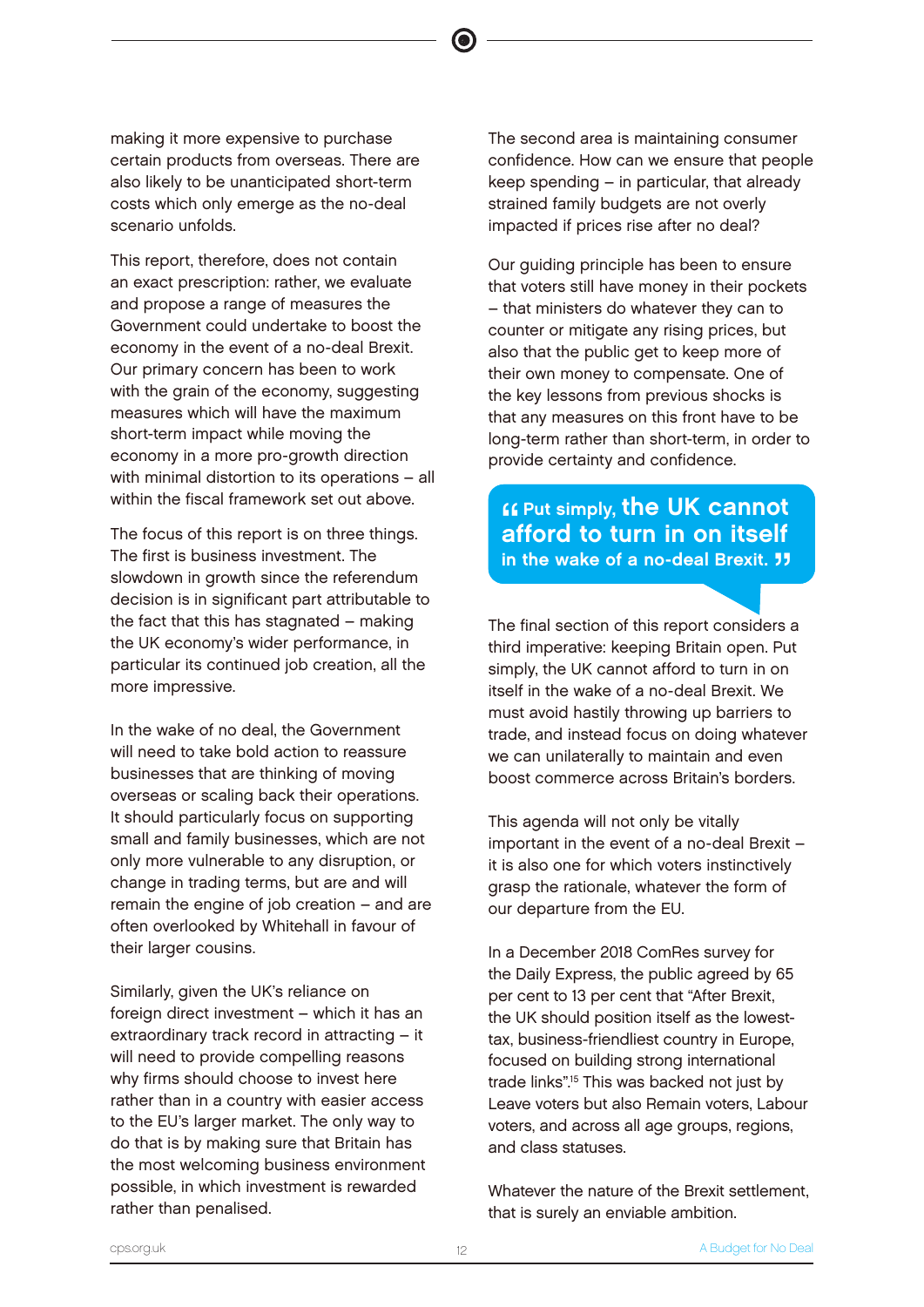making it more expensive to purchase certain products from overseas. There are also likely to be unanticipated short-term costs which only emerge as the no-deal scenario unfolds.

This report, therefore, does not contain an exact prescription: rather, we evaluate and propose a range of measures the Government could undertake to boost the economy in the event of a no-deal Brexit. Our primary concern has been to work with the grain of the economy, suggesting measures which will have the maximum short-term impact while moving the economy in a more pro-growth direction with minimal distortion to its operations – all within the fiscal framework set out above.

The focus of this report is on three things. The first is business investment. The slowdown in growth since the referendum decision is in significant part attributable to the fact that this has stagnated – making the UK economy's wider performance, in particular its continued job creation, all the more impressive.

In the wake of no deal, the Government will need to take bold action to reassure businesses that are thinking of moving overseas or scaling back their operations. It should particularly focus on supporting small and family businesses, which are not only more vulnerable to any disruption, or change in trading terms, but are and will remain the engine of job creation – and are often overlooked by Whitehall in favour of their larger cousins.

Similarly, given the UK's reliance on foreign direct investment – which it has an extraordinary track record in attracting – it will need to provide compelling reasons why firms should choose to invest here rather than in a country with easier access to the EU's larger market. The only way to do that is by making sure that Britain has the most welcoming business environment possible, in which investment is rewarded rather than penalised.

The second area is maintaining consumer confidence. How can we ensure that people keep spending – in particular, that already strained family budgets are not overly impacted if prices rise after no deal?

Our guiding principle has been to ensure that voters still have money in their pockets – that ministers do whatever they can to counter or mitigate any rising prices, but also that the public get to keep more of their own money to compensate. One of the key lessons from previous shocks is that any measures on this front have to be long-term rather than short-term, in order to provide certainty and confidence.

# **Example to the UK cannot<br>afford to turn in on itself** afford to turn in on itself in the wake of a no-deal Brexit. <sup>JJ</sup>

The final section of this report considers a third imperative: keeping Britain open. Put simply, the UK cannot afford to turn in on itself in the wake of a no-deal Brexit. We must avoid hastily throwing up barriers to trade, and instead focus on doing whatever we can unilaterally to maintain and even boost commerce across Britain's borders.

This agenda will not only be vitally important in the event of a no-deal Brexit – it is also one for which voters instinctively grasp the rationale, whatever the form of our departure from the EU.

In a December 2018 ComRes survey for the Daily Express, the public agreed by 65 per cent to 13 per cent that "After Brexit, the UK should position itself as the lowesttax, business-friendliest country in Europe, focused on building strong international trade links".<sup>15</sup> This was backed not just by Leave voters but also Remain voters, Labour voters, and across all age groups, regions, and class statuses.

Whatever the nature of the Brexit settlement, that is surely an enviable ambition.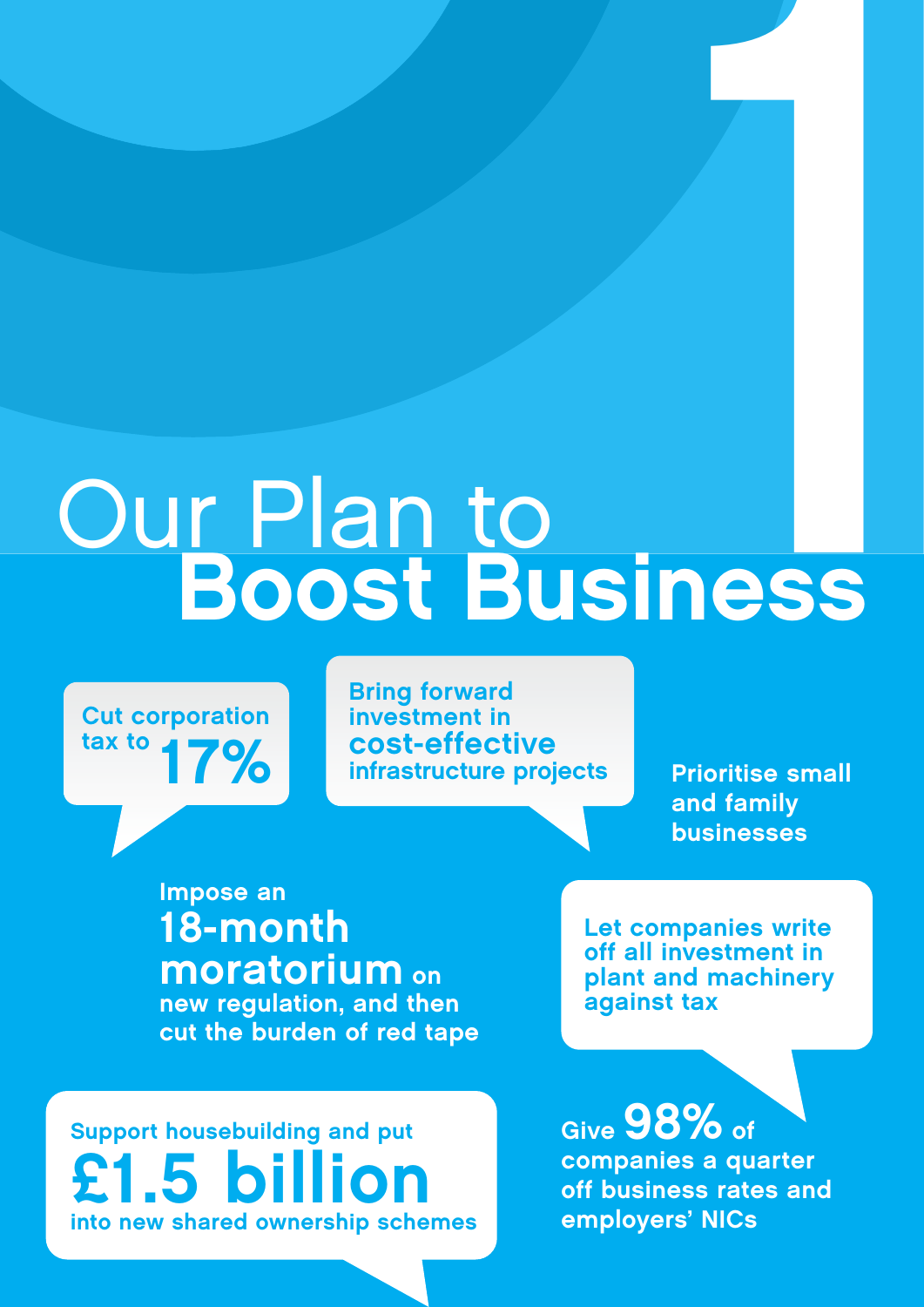# Our Plan to Boost Business 1

Cut corporation tax to  $17%$ 

Bring forward investment in cost-effective infrastructure projects

Prioritise small and family businesses

Impose an 18-month moratorium on new regulation, and then cut the burden of red tape

Support housebuilding and put £1.5 billion into new shared ownership schemes Let companies write off all investment in plant and machinery against tax

Give 98% of companies a quarter off business rates and employers' NICs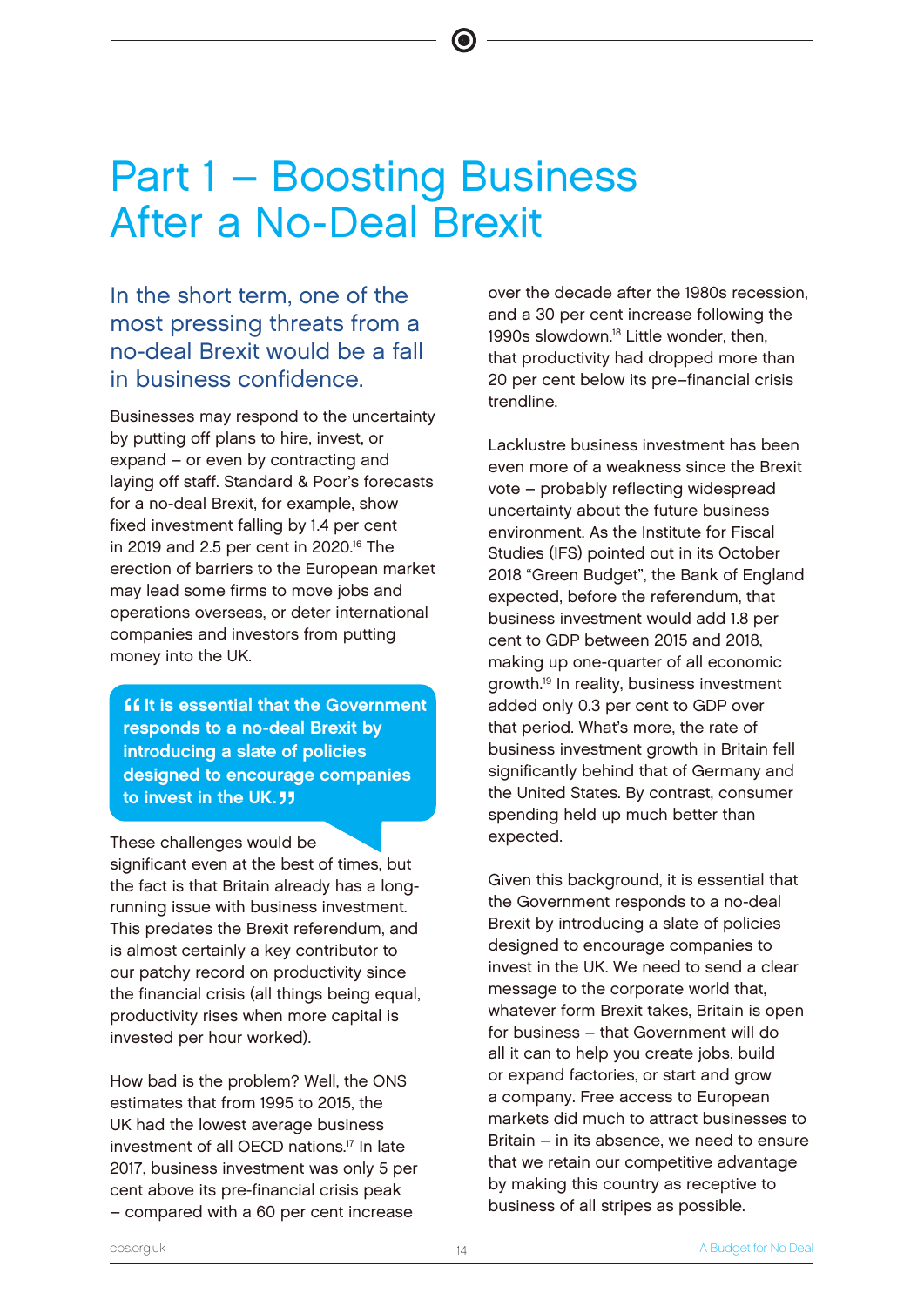# Part 1 – Boosting Business After a No-Deal Brexit

In the short term, one of the most pressing threats from a no-deal Brexit would be a fall in business confidence.

Businesses may respond to the uncertainty by putting off plans to hire, invest, or expand – or even by contracting and laying off staff. Standard & Poor's forecasts for a no-deal Brexit, for example, show fixed investment falling by 1.4 per cent in 2019 and 2.5 per cent in 2020.<sup>16</sup> The erection of barriers to the European market may lead some firms to move jobs and operations overseas, or deter international companies and investors from putting money into the UK.

""<br>""""<br>"" **If it is essential that the Government** responds to a no-deal Brexit by introducing a slate of policies designed to encourage companies to invest in the UK.  $11$ 

These challenges would be significant even at the best of times, but the fact is that Britain already has a longrunning issue with business investment. This predates the Brexit referendum, and is almost certainly a key contributor to our patchy record on productivity since the financial crisis (all things being equal, productivity rises when more capital is invested per hour worked).

How bad is the problem? Well, the ONS estimates that from 1995 to 2015, the UK had the lowest average business investment of all OECD nations.<sup>17</sup> In late 2017, business investment was only 5 per cent above its pre-financial crisis peak – compared with a 60 per cent increase

over the decade after the 1980s recession, and a 30 per cent increase following the 1990s slowdown.<sup>18</sup> Little wonder, then, that productivity had dropped more than 20 per cent below its pre–financial crisis trendline.

Lacklustre business investment has been even more of a weakness since the Brexit vote – probably reflecting widespread uncertainty about the future business environment. As the Institute for Fiscal Studies (IFS) pointed out in its October 2018 "Green Budget", the Bank of England expected, before the referendum, that business investment would add 1.8 per cent to GDP between 2015 and 2018, making up one-quarter of all economic growth.<sup>19</sup> In reality, business investment added only 0.3 per cent to GDP over that period. What's more, the rate of business investment growth in Britain fell significantly behind that of Germany and the United States. By contrast, consumer spending held up much better than expected.

Given this background, it is essential that the Government responds to a no-deal Brexit by introducing a slate of policies designed to encourage companies to invest in the UK. We need to send a clear message to the corporate world that, whatever form Brexit takes, Britain is open for business – that Government will do all it can to help you create jobs, build or expand factories, or start and grow a company. Free access to European markets did much to attract businesses to Britain – in its absence, we need to ensure that we retain our competitive advantage by making this country as receptive to business of all stripes as possible.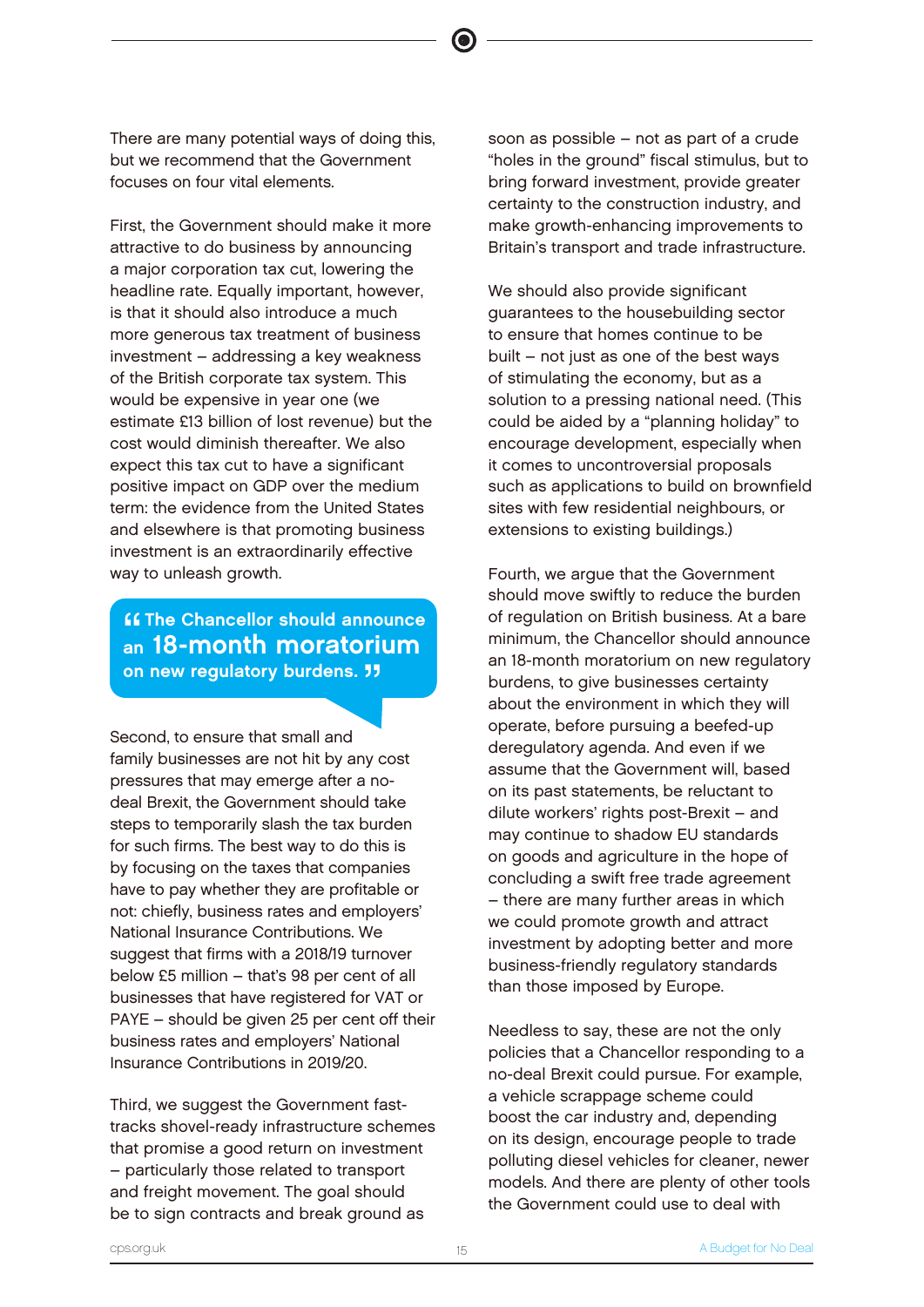There are many potential ways of doing this, but we recommend that the Government focuses on four vital elements.

First, the Government should make it more attractive to do business by announcing a major corporation tax cut, lowering the headline rate. Equally important, however, is that it should also introduce a much more generous tax treatment of business investment – addressing a key weakness of the British corporate tax system. This would be expensive in year one (we estimate £13 billion of lost revenue) but the cost would diminish thereafter. We also expect this tax cut to have a significant positive impact on GDP over the medium term: the evidence from the United States and elsewhere is that promoting business investment is an extraordinarily effective way to unleash growth.

**Example Chancellor should announce**<br> **an 18-month moratorium ff The Chancellor should announce** on new regulatory burdens. **11** 

Second, to ensure that small and family businesses are not hit by any cost pressures that may emerge after a nodeal Brexit, the Government should take steps to temporarily slash the tax burden for such firms. The best way to do this is by focusing on the taxes that companies have to pay whether they are profitable or not: chiefly, business rates and employers' National Insurance Contributions. We suggest that firms with a 2018/19 turnover below £5 million – that's 98 per cent of all businesses that have registered for VAT or PAYE – should be given 25 per cent off their business rates and employers' National Insurance Contributions in 2019/20.

Third, we suggest the Government fasttracks shovel-ready infrastructure schemes that promise a good return on investment – particularly those related to transport and freight movement. The goal should be to sign contracts and break ground as

soon as possible – not as part of a crude "holes in the ground" fiscal stimulus, but to bring forward investment, provide greater certainty to the construction industry, and make growth-enhancing improvements to Britain's transport and trade infrastructure.

We should also provide significant guarantees to the housebuilding sector to ensure that homes continue to be built – not just as one of the best ways of stimulating the economy, but as a solution to a pressing national need. (This could be aided by a "planning holiday" to encourage development, especially when it comes to uncontroversial proposals such as applications to build on brownfield sites with few residential neighbours, or extensions to existing buildings.)

Fourth, we argue that the Government should move swiftly to reduce the burden of regulation on British business. At a bare minimum, the Chancellor should announce an 18-month moratorium on new regulatory burdens, to give businesses certainty about the environment in which they will operate, before pursuing a beefed-up deregulatory agenda. And even if we assume that the Government will, based on its past statements, be reluctant to dilute workers' rights post-Brexit – and may continue to shadow EU standards on goods and agriculture in the hope of concluding a swift free trade agreement – there are many further areas in which we could promote growth and attract investment by adopting better and more business-friendly regulatory standards than those imposed by Europe.

Needless to say, these are not the only policies that a Chancellor responding to a no-deal Brexit could pursue. For example, a vehicle scrappage scheme could boost the car industry and, depending on its design, encourage people to trade polluting diesel vehicles for cleaner, newer models. And there are plenty of other tools the Government could use to deal with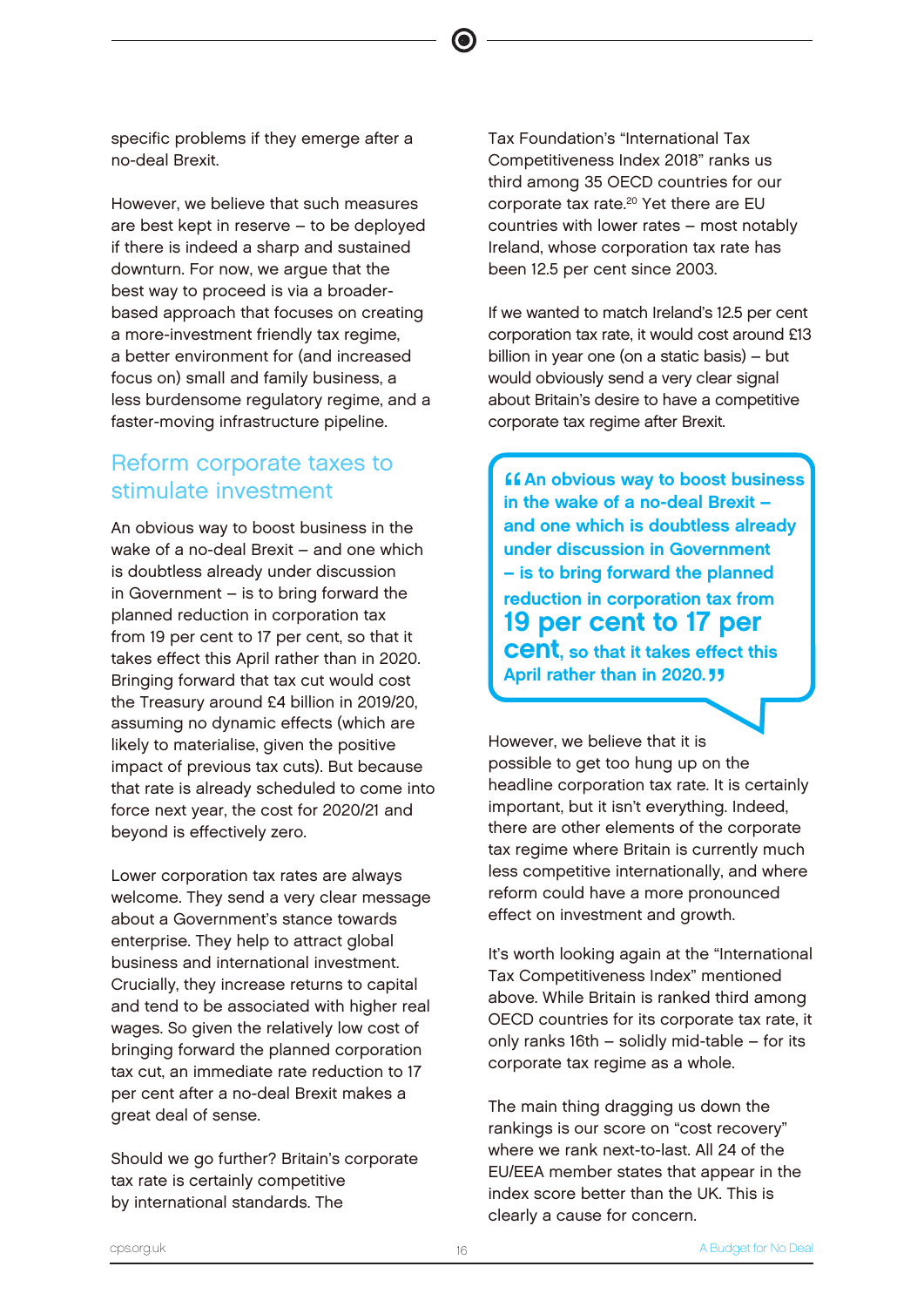specific problems if they emerge after a no-deal Brexit.

However, we believe that such measures are best kept in reserve – to be deployed if there is indeed a sharp and sustained downturn. For now, we argue that the best way to proceed is via a broaderbased approach that focuses on creating a more-investment friendly tax regime, a better environment for (and increased focus on) small and family business, a less burdensome regulatory regime, and a faster-moving infrastructure pipeline.

# Reform corporate taxes to stimulate investment

An obvious way to boost business in the wake of a no-deal Brexit – and one which is doubtless already under discussion in Government – is to bring forward the planned reduction in corporation tax from 19 per cent to 17 per cent, so that it takes effect this April rather than in 2020. Bringing forward that tax cut would cost the Treasury around £4 billion in 2019/20, assuming no dynamic effects (which are likely to materialise, given the positive impact of previous tax cuts). But because that rate is already scheduled to come into force next year, the cost for 2020/21 and beyond is effectively zero.

Lower corporation tax rates are always welcome. They send a very clear message about a Government's stance towards enterprise. They help to attract global business and international investment. Crucially, they increase returns to capital and tend to be associated with higher real wages. So given the relatively low cost of bringing forward the planned corporation tax cut, an immediate rate reduction to 17 per cent after a no-deal Brexit makes a great deal of sense.

Should we go further? Britain's corporate tax rate is certainly competitive by international standards. The

Tax Foundation's "International Tax Competitiveness Index 2018" ranks us third among 35 OECD countries for our corporate tax rate.<sup>20</sup> Yet there are EU countries with lower rates – most notably Ireland, whose corporation tax rate has been 12.5 per cent since 2003.

If we wanted to match Ireland's 12.5 per cent corporation tax rate, it would cost around £13 billion in year one (on a static basis) – but would obviously send a very clear signal about Britain's desire to have a competitive corporate tax regime after Brexit.

 $\frac{66}{10}$ **An obvious way to boost business** in the wake of a no-deal Brexit – and one which is doubtless already under discussion in Government – is to bring forward the planned reduction in corporation tax from 19 per cent to 17 per **Cent.** so that it takes effect this April rather than in 2020.<sup>"</sup>

However, we believe that it is possible to get too hung up on the headline corporation tax rate. It is certainly important, but it isn't everything. Indeed, there are other elements of the corporate tax regime where Britain is currently much less competitive internationally, and where reform could have a more pronounced effect on investment and growth.

It's worth looking again at the "International Tax Competitiveness Index" mentioned above. While Britain is ranked third among OECD countries for its corporate tax rate, it only ranks 16th – solidly mid-table – for its corporate tax regime as a whole.

The main thing dragging us down the rankings is our score on "cost recovery" where we rank next-to-last. All 24 of the EU/EEA member states that appear in the index score better than the UK. This is clearly a cause for concern.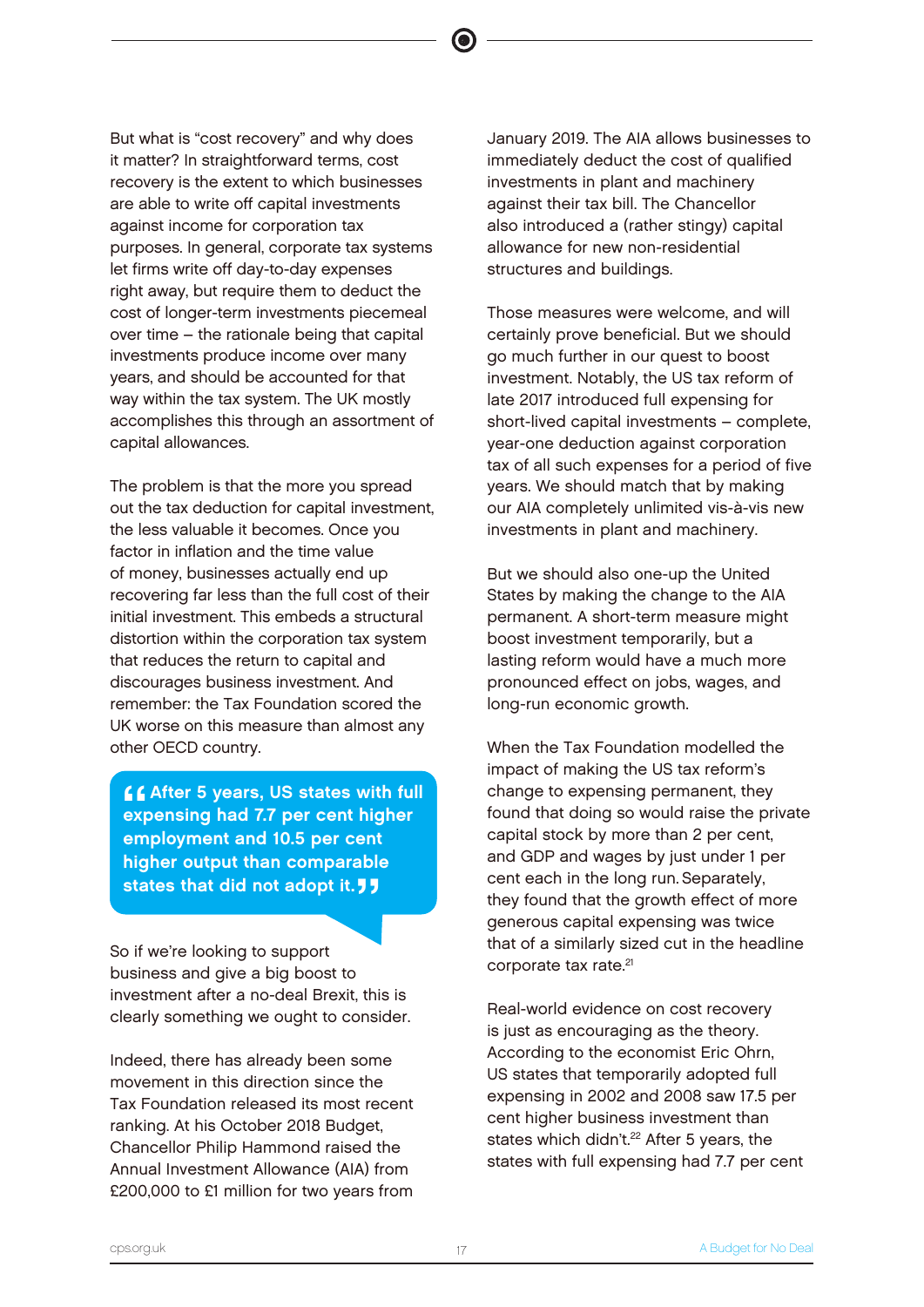But what is "cost recovery" and why does it matter? In straightforward terms, cost recovery is the extent to which businesses are able to write off capital investments against income for corporation tax purposes. In general, corporate tax systems let firms write off day-to-day expenses right away, but require them to deduct the cost of longer-term investments piecemeal over time – the rationale being that capital investments produce income over many years, and should be accounted for that way within the tax system. The UK mostly accomplishes this through an assortment of capital allowances.

The problem is that the more you spread out the tax deduction for capital investment, the less valuable it becomes. Once you factor in inflation and the time value of money, businesses actually end up recovering far less than the full cost of their initial investment. This embeds a structural distortion within the corporation tax system that reduces the return to capital and discourages business investment. And remember: the Tax Foundation scored the UK worse on this measure than almost any other OECD country.

66<br>|<br>|<br>|<br>| **LCAfter 5 years, US states with full** expensing had 7.7 per cent higher employment and 10.5 per cent higher output than comparable states that did not adopt it. **JJ** 

So if we're looking to support business and give a big boost to investment after a no-deal Brexit, this is clearly something we ought to consider.

Indeed, there has already been some movement in this direction since the Tax Foundation released its most recent ranking. At his October 2018 Budget, Chancellor Philip Hammond raised the Annual Investment Allowance (AIA) from £200,000 to £1 million for two years from

January 2019. The AIA allows businesses to immediately deduct the cost of qualified investments in plant and machinery against their tax bill. The Chancellor also introduced a (rather stingy) capital allowance for new non-residential structures and buildings.

Those measures were welcome, and will certainly prove beneficial. But we should go much further in our quest to boost investment. Notably, the US tax reform of late 2017 introduced full expensing for short-lived capital investments – complete, year-one deduction against corporation tax of all such expenses for a period of five years. We should match that by making our AIA completely unlimited vis-à-vis new investments in plant and machinery.

But we should also one-up the United States by making the change to the AIA permanent. A short-term measure might boost investment temporarily, but a lasting reform would have a much more pronounced effect on jobs, wages, and long-run economic growth.

When the Tax Foundation modelled the impact of making the US tax reform's change to expensing permanent, they found that doing so would raise the private capital stock by more than 2 per cent, and GDP and wages by just under 1 per cent each in the long run. Separately, they found that the growth effect of more generous capital expensing was twice that of a similarly sized cut in the headline corporate tax rate.<sup>21</sup>

Real-world evidence on cost recovery is just as encouraging as the theory. According to the economist Eric Ohrn, US states that temporarily adopted full expensing in 2002 and 2008 saw 17.5 per cent higher business investment than states which didn't.<sup>22</sup> After 5 years, the states with full expensing had 7.7 per cent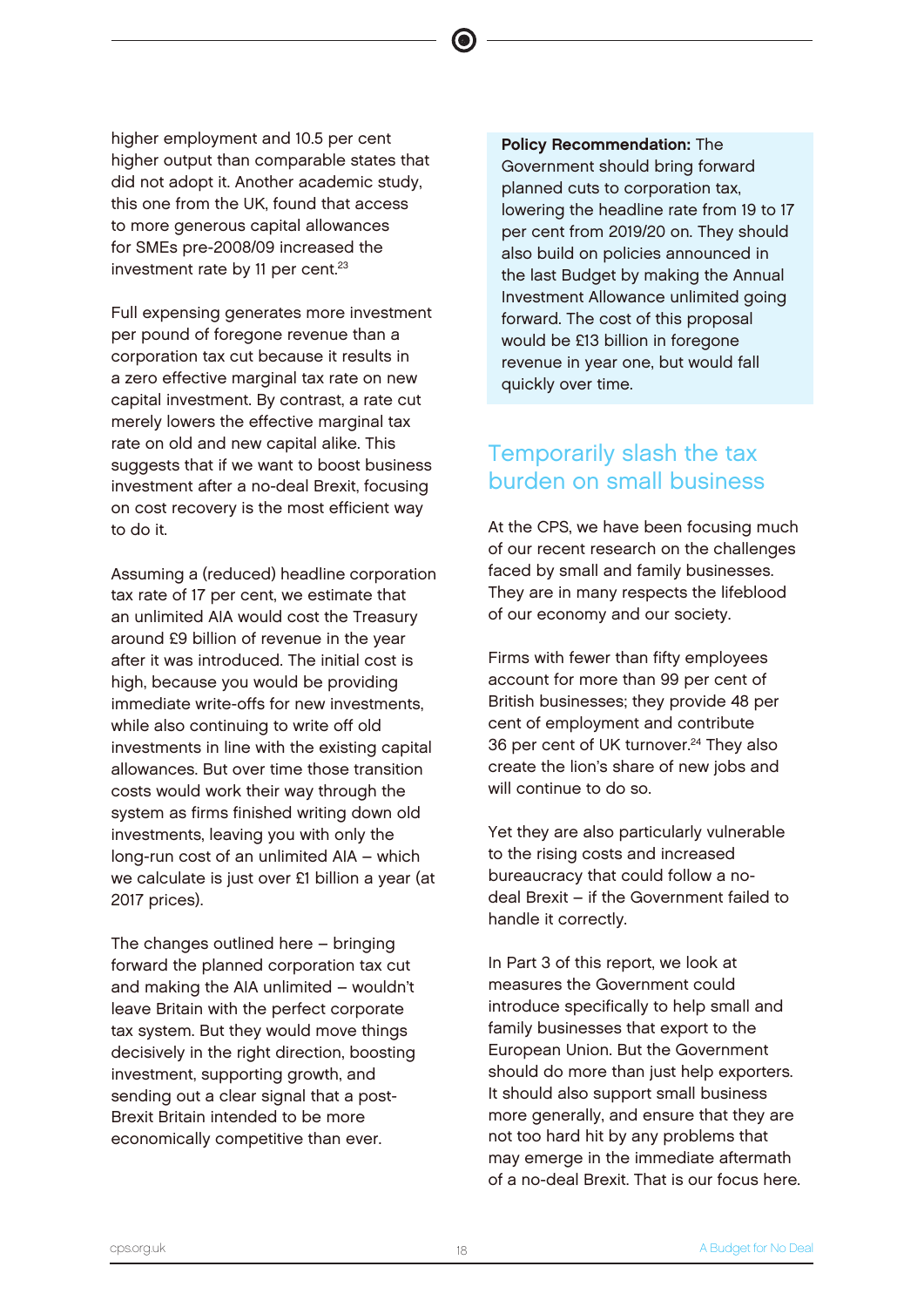higher employment and 10.5 per cent higher output than comparable states that did not adopt it. Another academic study, this one from the UK, found that access to more generous capital allowances for SMEs pre-2008/09 increased the investment rate by 11 per cent.<sup>23</sup>

Full expensing generates more investment per pound of foregone revenue than a corporation tax cut because it results in a zero effective marginal tax rate on new capital investment. By contrast, a rate cut merely lowers the effective marginal tax rate on old and new capital alike. This suggests that if we want to boost business investment after a no-deal Brexit, focusing on cost recovery is the most efficient way to do it.

Assuming a (reduced) headline corporation tax rate of 17 per cent, we estimate that an unlimited AIA would cost the Treasury around £9 billion of revenue in the year after it was introduced. The initial cost is high, because you would be providing immediate write-offs for new investments, while also continuing to write off old investments in line with the existing capital allowances. But over time those transition costs would work their way through the system as firms finished writing down old investments, leaving you with only the long-run cost of an unlimited AIA – which we calculate is just over £1 billion a year (at 2017 prices).

The changes outlined here – bringing forward the planned corporation tax cut and making the AIA unlimited – wouldn't leave Britain with the perfect corporate tax system. But they would move things decisively in the right direction, boosting investment, supporting growth, and sending out a clear signal that a post-Brexit Britain intended to be more economically competitive than ever.

Policy Recommendation: The Government should bring forward planned cuts to corporation tax, lowering the headline rate from 19 to 17 per cent from 2019/20 on. They should also build on policies announced in the last Budget by making the Annual Investment Allowance unlimited going forward. The cost of this proposal would be £13 billion in foregone revenue in year one, but would fall quickly over time.

# Temporarily slash the tax burden on small business

At the CPS, we have been focusing much of our recent research on the challenges faced by small and family businesses. They are in many respects the lifeblood of our economy and our society.

Firms with fewer than fifty employees account for more than 99 per cent of British businesses; they provide 48 per cent of employment and contribute 36 per cent of UK turnover.<sup>24</sup> They also create the lion's share of new jobs and will continue to do so.

Yet they are also particularly vulnerable to the rising costs and increased bureaucracy that could follow a nodeal Brexit – if the Government failed to handle it correctly.

In Part 3 of this report, we look at measures the Government could introduce specifically to help small and family businesses that export to the European Union. But the Government should do more than just help exporters. It should also support small business more generally, and ensure that they are not too hard hit by any problems that may emerge in the immediate aftermath of a no-deal Brexit. That is our focus here.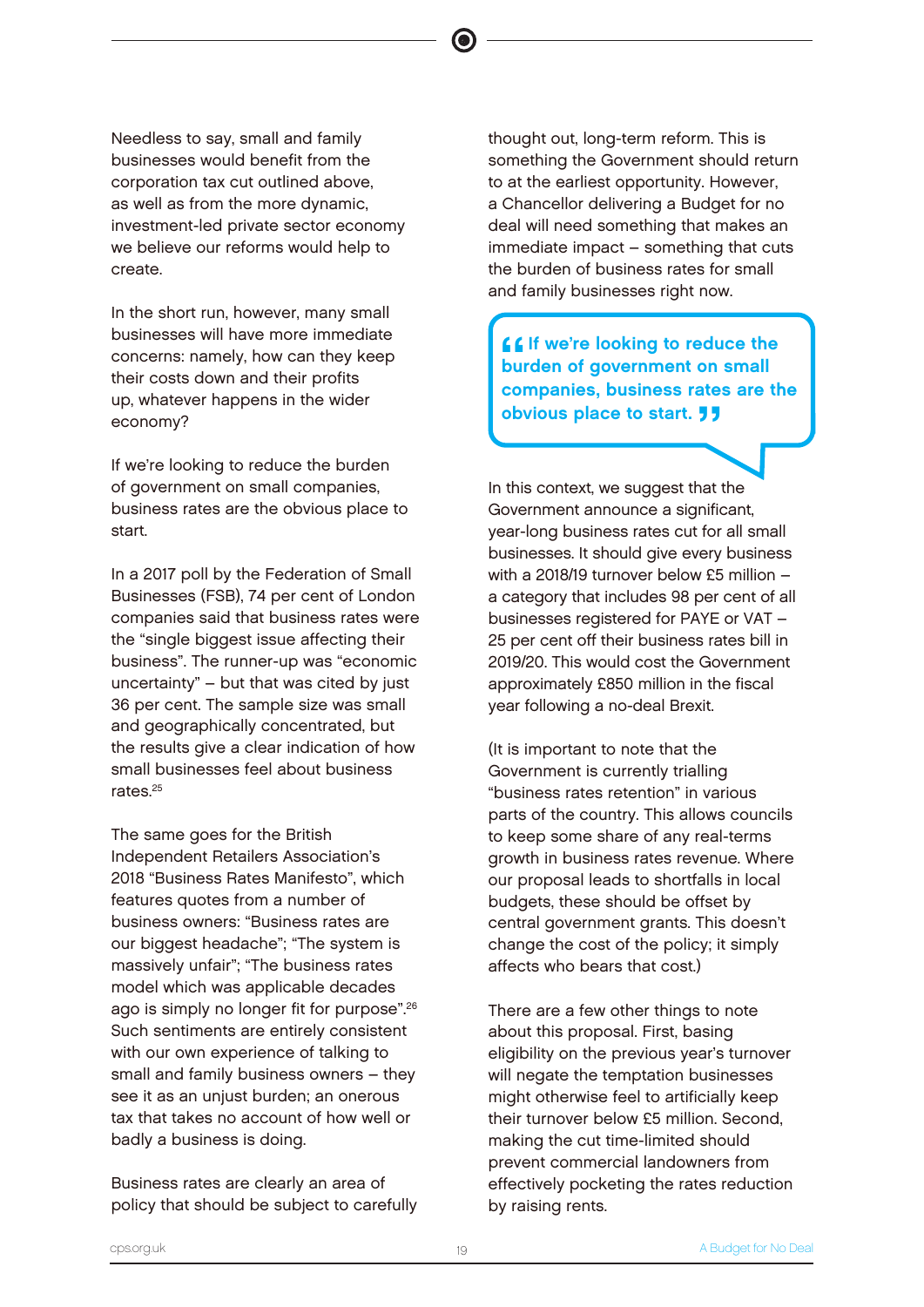Needless to say, small and family businesses would benefit from the corporation tax cut outlined above, as well as from the more dynamic, investment-led private sector economy we believe our reforms would help to create.

In the short run, however, many small businesses will have more immediate concerns: namely, how can they keep their costs down and their profits up, whatever happens in the wider economy?

If we're looking to reduce the burden of government on small companies, business rates are the obvious place to start.

In a 2017 poll by the Federation of Small Businesses (FSB), 74 per cent of London companies said that business rates were the "single biggest issue affecting their business". The runner-up was "economic uncertainty" – but that was cited by just 36 per cent. The sample size was small and geographically concentrated, but the results give a clear indication of how small businesses feel about business rates.<sup>25</sup>

The same goes for the British Independent Retailers Association's 2018 "Business Rates Manifesto", which features quotes from a number of business owners: "Business rates are our biggest headache"; "The system is massively unfair"; "The business rates model which was applicable decades ago is simply no longer fit for purpose".<sup>26</sup> Such sentiments are entirely consistent with our own experience of talking to small and family business owners – they see it as an unjust burden; an onerous tax that takes no account of how well or badly a business is doing.

Business rates are clearly an area of policy that should be subject to carefully thought out, long-term reform. This is something the Government should return to at the earliest opportunity. However, a Chancellor delivering a Budget for no deal will need something that makes an immediate impact – something that cuts the burden of business rates for small and family businesses right now.

66<br>bu<br>22 **Let** If we're looking to reduce the burden of government on small companies, business rates are the obvious place to start. **JJ** 

In this context, we suggest that the Government announce a significant, year-long business rates cut for all small businesses. It should give every business with a 2018/19 turnover below £5 million – a category that includes 98 per cent of all businesses registered for PAYE or VAT – 25 per cent off their business rates bill in 2019/20. This would cost the Government approximately £850 million in the fiscal year following a no-deal Brexit.

(It is important to note that the Government is currently trialling "business rates retention" in various parts of the country. This allows councils to keep some share of any real-terms growth in business rates revenue. Where our proposal leads to shortfalls in local budgets, these should be offset by central government grants. This doesn't change the cost of the policy; it simply affects who bears that cost.)

There are a few other things to note about this proposal. First, basing eligibility on the previous year's turnover will negate the temptation businesses might otherwise feel to artificially keep their turnover below £5 million. Second, making the cut time-limited should prevent commercial landowners from effectively pocketing the rates reduction by raising rents.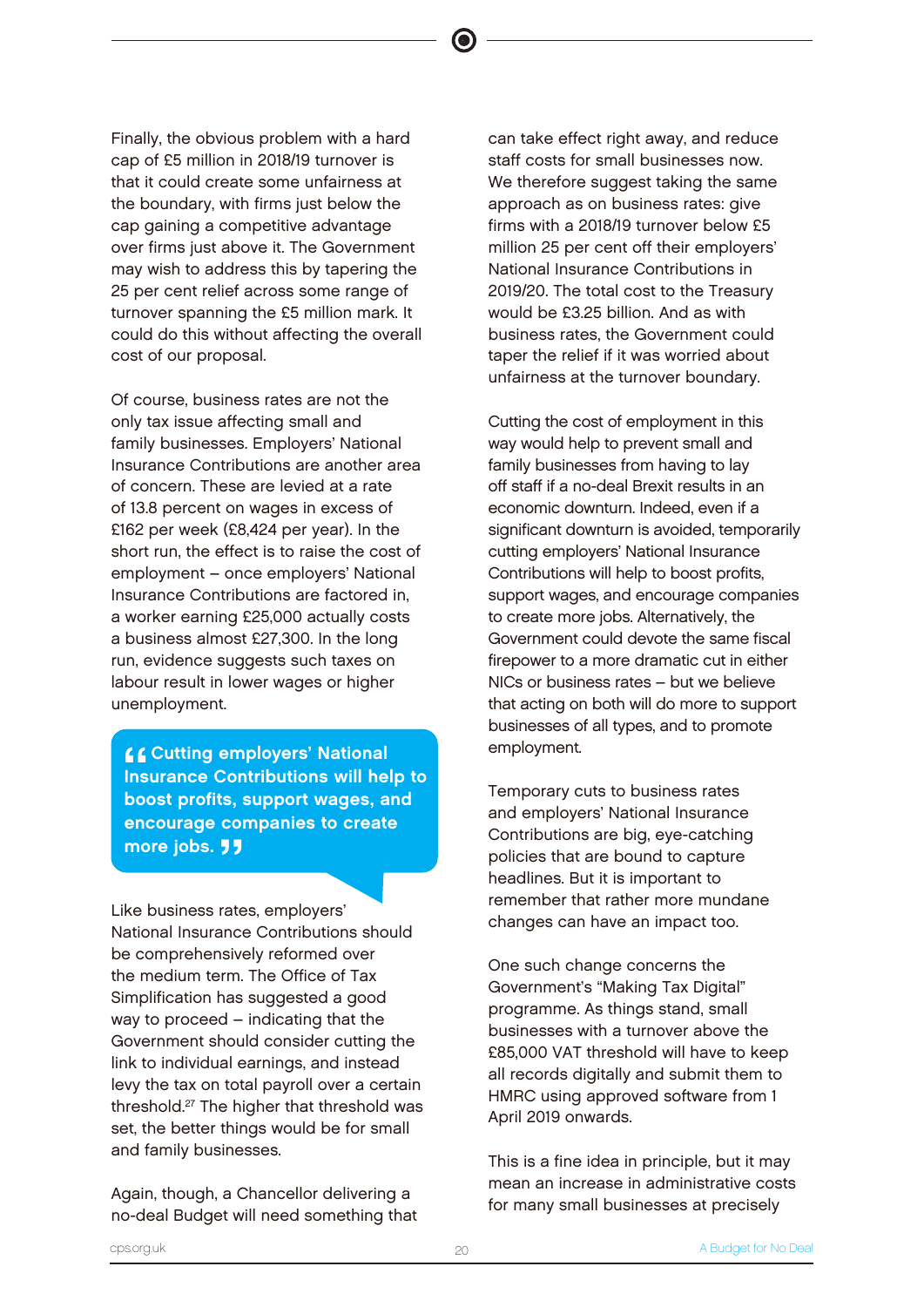Finally, the obvious problem with a hard cap of £5 million in 2018/19 turnover is that it could create some unfairness at the boundary, with firms just below the cap gaining a competitive advantage over firms just above it. The Government may wish to address this by tapering the 25 per cent relief across some range of turnover spanning the £5 million mark. It could do this without affecting the overall cost of our proposal.

Of course, business rates are not the only tax issue affecting small and family businesses. Employers' National Insurance Contributions are another area of concern. These are levied at a rate of 13.8 percent on wages in excess of £162 per week (£8,424 per year). In the short run, the effect is to raise the cost of employment – once employers' National Insurance Contributions are factored in, a worker earning £25,000 actually costs a business almost £27,300. In the long run, evidence suggests such taxes on labour result in lower wages or higher unemployment.

 $\frac{1}{1}$ **CCutting employers' National** Insurance Contributions will help to boost profits, support wages, and encourage companies to create more jobs. **77** 

Like business rates, employers' National Insurance Contributions should be comprehensively reformed over the medium term. The Office of Tax Simplification has suggested a good way to proceed – indicating that the Government should consider cutting the link to individual earnings, and instead levy the tax on total payroll over a certain threshold.<sup>27</sup> The higher that threshold was set, the better things would be for small and family businesses.

Again, though, a Chancellor delivering a no-deal Budget will need something that can take effect right away, and reduce staff costs for small businesses now. We therefore suggest taking the same approach as on business rates: give firms with a 2018/19 turnover below £5 million 25 per cent off their employers' National Insurance Contributions in 2019/20. The total cost to the Treasury would be £3.25 billion. And as with business rates, the Government could taper the relief if it was worried about unfairness at the turnover boundary.

Cutting the cost of employment in this way would help to prevent small and family businesses from having to lay off staff if a no-deal Brexit results in an economic downturn. Indeed, even if a significant downturn is avoided, temporarily cutting employers' National Insurance Contributions will help to boost profits, support wages, and encourage companies to create more jobs. Alternatively, the Government could devote the same fiscal firepower to a more dramatic cut in either NICs or business rates – but we believe that acting on both will do more to support businesses of all types, and to promote employment.

Temporary cuts to business rates and employers' National Insurance Contributions are big, eye-catching policies that are bound to capture headlines. But it is important to remember that rather more mundane changes can have an impact too.

One such change concerns the Government's "Making Tax Digital" programme. As things stand, small businesses with a turnover above the £85,000 VAT threshold will have to keep all records digitally and submit them to HMRC using approved software from 1 April 2019 onwards.

This is a fine idea in principle, but it may mean an increase in administrative costs for many small businesses at precisely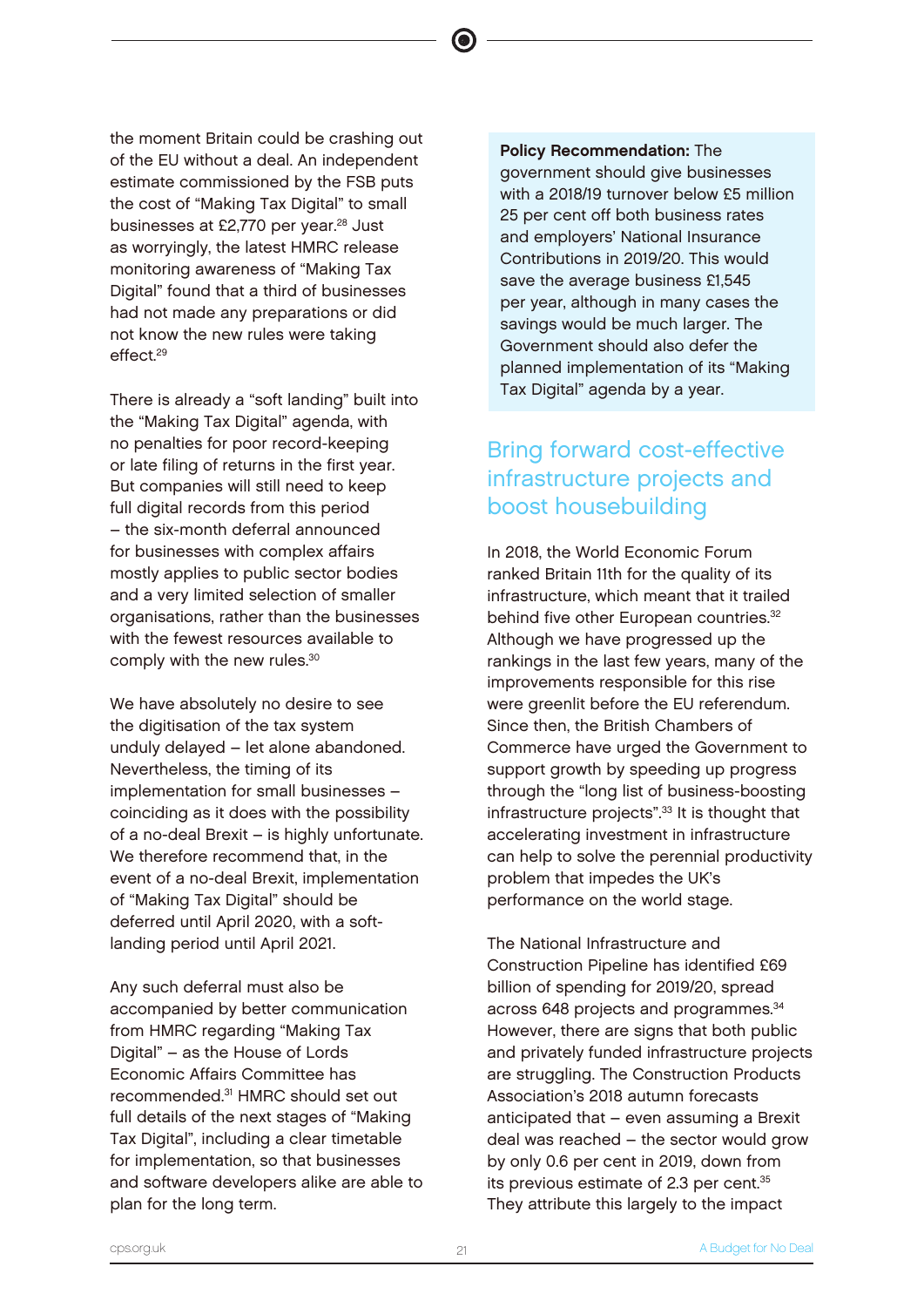the moment Britain could be crashing out of the EU without a deal. An independent estimate commissioned by the FSB puts the cost of "Making Tax Digital" to small businesses at £2,770 per year.<sup>28</sup> Just as worryingly, the latest HMRC release monitoring awareness of "Making Tax Digital" found that a third of businesses had not made any preparations or did not know the new rules were taking effect.<sup>29</sup>

There is already a "soft landing" built into the "Making Tax Digital" agenda, with no penalties for poor record-keeping or late filing of returns in the first year. But companies will still need to keep full digital records from this period – the six-month deferral announced for businesses with complex affairs mostly applies to public sector bodies and a very limited selection of smaller organisations, rather than the businesses with the fewest resources available to comply with the new rules.<sup>30</sup>

We have absolutely no desire to see the digitisation of the tax system unduly delayed – let alone abandoned. Nevertheless, the timing of its implementation for small businesses – coinciding as it does with the possibility of a no-deal Brexit – is highly unfortunate. We therefore recommend that, in the event of a no-deal Brexit, implementation of "Making Tax Digital" should be deferred until April 2020, with a softlanding period until April 2021.

Any such deferral must also be accompanied by better communication from HMRC regarding "Making Tax Digital" – as the House of Lords Economic Affairs Committee has recommended.<sup>31</sup> HMRC should set out full details of the next stages of "Making Tax Digital", including a clear timetable for implementation, so that businesses and software developers alike are able to plan for the long term.

Policy Recommendation: The government should give businesses with a 2018/19 turnover below £5 million 25 per cent off both business rates and employers' National Insurance Contributions in 2019/20. This would save the average business £1,545 per year, although in many cases the savings would be much larger. The Government should also defer the planned implementation of its "Making Tax Digital" agenda by a year.

 $\bullet$ 

# Bring forward cost-effective infrastructure projects and boost housebuilding

In 2018, the World Economic Forum ranked Britain 11th for the quality of its infrastructure, which meant that it trailed behind five other European countries.<sup>32</sup> Although we have progressed up the rankings in the last few years, many of the improvements responsible for this rise were greenlit before the EU referendum. Since then, the British Chambers of Commerce have urged the Government to support growth by speeding up progress through the "long list of business-boosting infrastructure projects".<sup>33</sup> It is thought that accelerating investment in infrastructure can help to solve the perennial productivity problem that impedes the UK's performance on the world stage.

The National Infrastructure and Construction Pipeline has identified £69 billion of spending for 2019/20, spread across 648 projects and programmes.<sup>34</sup> However, there are signs that both public and privately funded infrastructure projects are struggling. The Construction Products Association's 2018 autumn forecasts anticipated that – even assuming a Brexit deal was reached – the sector would grow by only 0.6 per cent in 2019, down from its previous estimate of 2.3 per cent.<sup>35</sup> They attribute this largely to the impact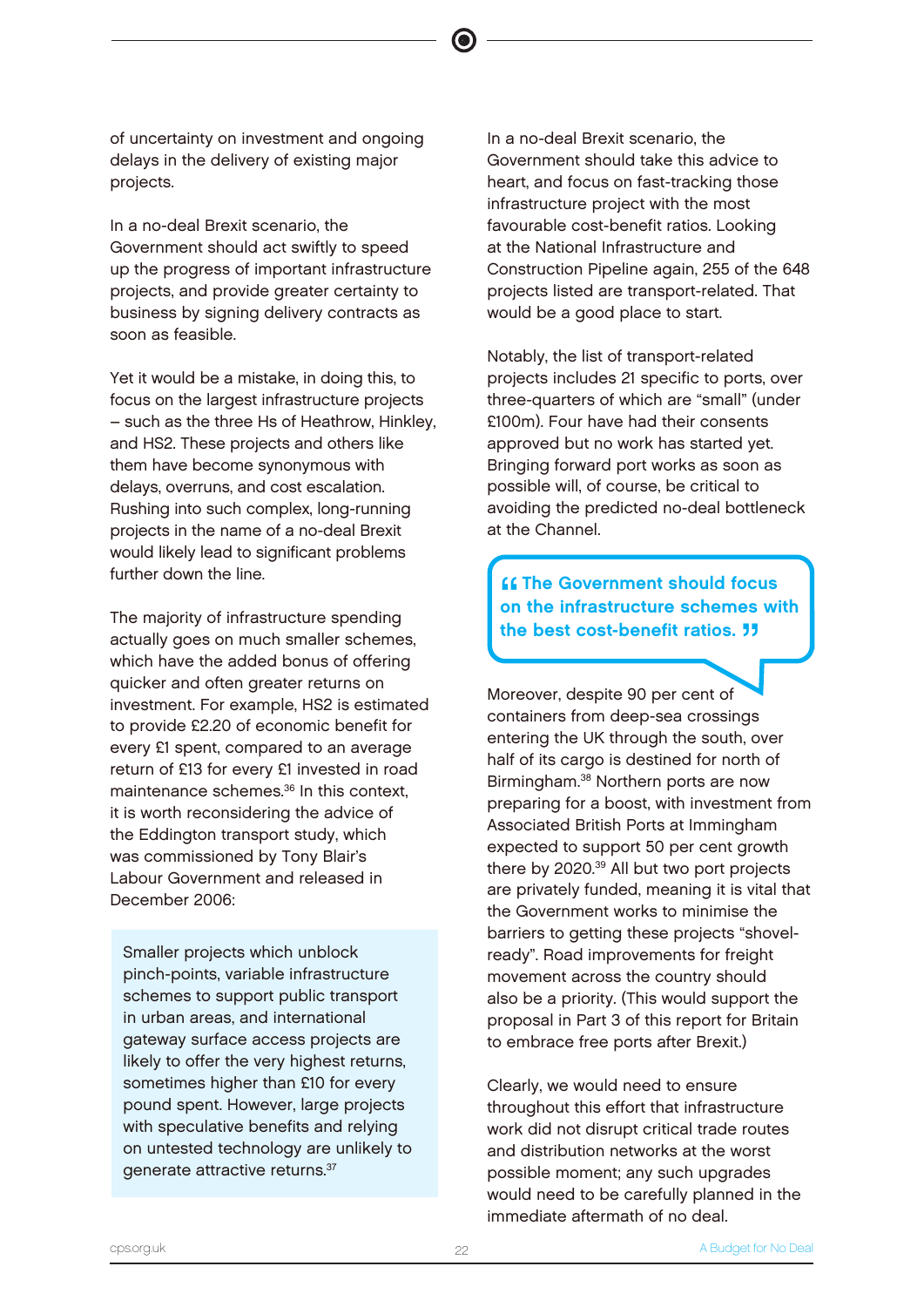of uncertainty on investment and ongoing delays in the delivery of existing major projects.

In a no-deal Brexit scenario, the Government should act swiftly to speed up the progress of important infrastructure projects, and provide greater certainty to business by signing delivery contracts as soon as feasible.

Yet it would be a mistake, in doing this, to focus on the largest infrastructure projects – such as the three Hs of Heathrow, Hinkley, and HS2. These projects and others like them have become synonymous with delays, overruns, and cost escalation. Rushing into such complex, long-running projects in the name of a no-deal Brexit would likely lead to significant problems further down the line.

The majority of infrastructure spending actually goes on much smaller schemes, which have the added bonus of offering quicker and often greater returns on investment. For example, HS2 is estimated to provide £2.20 of economic benefit for every £1 spent, compared to an average return of £13 for every £1 invested in road maintenance schemes.<sup>36</sup> In this context. it is worth reconsidering the advice of the Eddington transport study, which was commissioned by Tony Blair's Labour Government and released in December 2006:

Smaller projects which unblock pinch-points, variable infrastructure schemes to support public transport in urban areas, and international gateway surface access projects are likely to offer the very highest returns, sometimes higher than £10 for every pound spent. However, large projects with speculative benefits and relying on untested technology are unlikely to generate attractive returns.<sup>37</sup>

In a no-deal Brexit scenario, the Government should take this advice to heart, and focus on fast-tracking those infrastructure project with the most favourable cost-benefit ratios. Looking at the National Infrastructure and Construction Pipeline again, 255 of the 648 projects listed are transport-related. That would be a good place to start.

Notably, the list of transport-related projects includes 21 specific to ports, over three-quarters of which are "small" (under £100m). Four have had their consents approved but no work has started yet. Bringing forward port works as soon as possible will, of course, be critical to avoiding the predicted no-deal bottleneck at the Channel.

"<br>"<br>" **K** The Government should focus on the infrastructure schemes with the best cost-benefit ratios. **"** 

Moreover, despite 90 per cent of containers from deep-sea crossings entering the UK through the south, over half of its cargo is destined for north of Birmingham.<sup>38</sup> Northern ports are now preparing for a boost, with investment from Associated British Ports at Immingham expected to support 50 per cent growth there by 2020.<sup>39</sup> All but two port projects are privately funded, meaning it is vital that the Government works to minimise the barriers to getting these projects "shovelready". Road improvements for freight movement across the country should also be a priority. (This would support the proposal in Part 3 of this report for Britain to embrace free ports after Brexit.)

Clearly, we would need to ensure throughout this effort that infrastructure work did not disrupt critical trade routes and distribution networks at the worst possible moment; any such upgrades would need to be carefully planned in the immediate aftermath of no deal.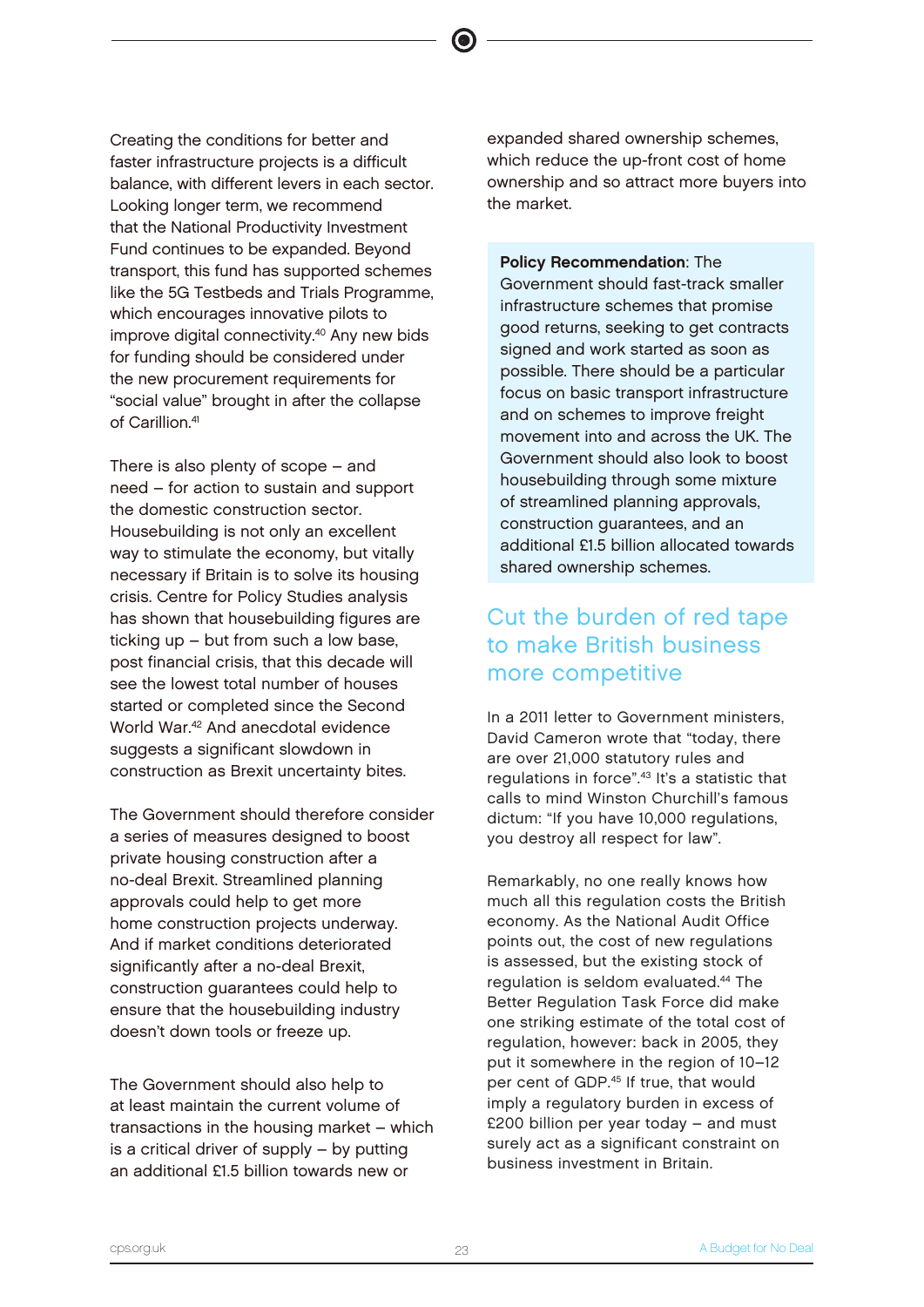Creating the conditions for better and faster infrastructure projects is a difficult balance, with different levers in each sector. Looking longer term, we recommend that the National Productivity Investment Fund continues to be expanded. Beyond transport, this fund has supported schemes like the 5G Testbeds and Trials Programme, which encourages innovative pilots to improve digital connectivity.<sup>40</sup> Any new bids for funding should be considered under the new procurement requirements for "social value" brought in after the collapse of Carillion.<sup>41</sup>

There is also plenty of scope – and need – for action to sustain and support the domestic construction sector. Housebuilding is not only an excellent way to stimulate the economy, but vitally necessary if Britain is to solve its housing crisis. Centre for Policy Studies analysis has shown that housebuilding figures are ticking up – but from such a low base, post financial crisis, that this decade will see the lowest total number of houses started or completed since the Second World War.<sup>42</sup> And anecdotal evidence suggests a significant slowdown in construction as Brexit uncertainty bites.

The Government should therefore consider a series of measures designed to boost private housing construction after a no-deal Brexit. Streamlined planning approvals could help to get more home construction projects underway. And if market conditions deteriorated significantly after a no-deal Brexit. construction guarantees could help to ensure that the housebuilding industry doesn't down tools or freeze up.

The Government should also help to at least maintain the current volume of transactions in the housing market – which is a critical driver of supply – by putting an additional £1.5 billion towards new or

expanded shared ownership schemes, which reduce the up-front cost of home ownership and so attract more buyers into the market.

Policy Recommendation: The Government should fast-track smaller infrastructure schemes that promise good returns, seeking to get contracts signed and work started as soon as possible. There should be a particular focus on basic transport infrastructure and on schemes to improve freight movement into and across the UK. The Government should also look to boost housebuilding through some mixture of streamlined planning approvals, construction guarantees, and an additional £1.5 billion allocated towards shared ownership schemes.

# Cut the burden of red tape to make British business more competitive

In a 2011 letter to Government ministers, David Cameron wrote that "today, there are over 21,000 statutory rules and regulations in force".<sup>43</sup> It's a statistic that calls to mind Winston Churchill's famous dictum: "If you have 10,000 regulations, you destroy all respect for law".

Remarkably, no one really knows how much all this regulation costs the British economy. As the National Audit Office points out, the cost of new regulations is assessed, but the existing stock of regulation is seldom evaluated.<sup>44</sup> The Better Regulation Task Force did make one striking estimate of the total cost of regulation, however: back in 2005, they put it somewhere in the region of 10–12 per cent of GDP.<sup>45</sup> If true, that would imply a regulatory burden in excess of £200 billion per year today – and must surely act as a significant constraint on business investment in Britain.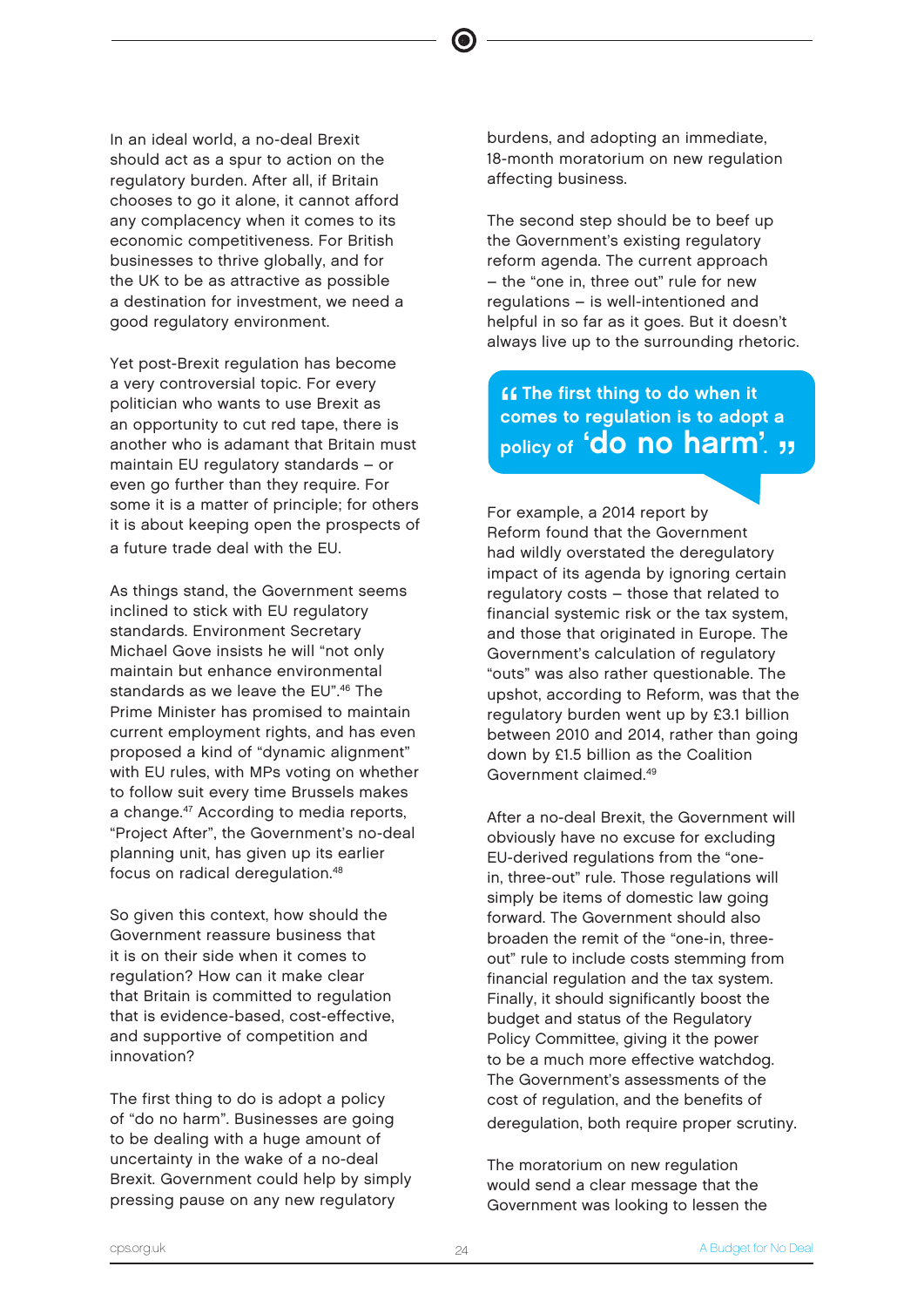In an ideal world, a no-deal Brexit should act as a spur to action on the regulatory burden. After all, if Britain chooses to go it alone, it cannot afford any complacency when it comes to its economic competitiveness. For British businesses to thrive globally, and for the UK to be as attractive as possible a destination for investment, we need a good regulatory environment.

Yet post-Brexit regulation has become a very controversial topic. For every politician who wants to use Brexit as an opportunity to cut red tape, there is another who is adamant that Britain must maintain EU regulatory standards – or even go further than they require. For some it is a matter of principle; for others it is about keeping open the prospects of a future trade deal with the EU.

As things stand, the Government seems inclined to stick with EU regulatory standards. Environment Secretary Michael Gove insists he will "not only maintain but enhance environmental standards as we leave the EU".<sup>46</sup> The Prime Minister has promised to maintain current employment rights, and has even proposed a kind of "dynamic alignment" with EU rules, with MPs voting on whether to follow suit every time Brussels makes a change.<sup>47</sup> According to media reports, "Project After", the Government's no-deal planning unit, has given up its earlier focus on radical deregulation.<sup>48</sup>

So given this context, how should the Government reassure business that it is on their side when it comes to regulation? How can it make clear that Britain is committed to regulation that is evidence-based, cost-effective, and supportive of competition and innovation?

The first thing to do is adopt a policy of "do no harm". Businesses are going to be dealing with a huge amount of uncertainty in the wake of a no-deal Brexit. Government could help by simply pressing pause on any new regulatory

burdens, and adopting an immediate, 18-month moratorium on new regulation affecting business.

The second step should be to beef up the Government's existing regulatory reform agenda. The current approach – the "one in, three out" rule for new regulations – is well-intentioned and helpful in so far as it goes. But it doesn't always live up to the surrounding rhetoric.

"<br>co **ff** The first thing to do when it comes to regulation is to adopt a policy of 'do no harm'. "

For example, a 2014 report by Reform found that the Government had wildly overstated the deregulatory impact of its agenda by ignoring certain regulatory costs – those that related to financial systemic risk or the tax system, and those that originated in Europe. The Government's calculation of regulatory "outs" was also rather questionable. The upshot, according to Reform, was that the regulatory burden went up by £3.1 billion between 2010 and 2014, rather than going down by £1.5 billion as the Coalition Government claimed.<sup>49</sup>

After a no-deal Brexit, the Government will obviously have no excuse for excluding EU-derived regulations from the "onein, three-out" rule. Those regulations will simply be items of domestic law going forward. The Government should also broaden the remit of the "one-in, threeout" rule to include costs stemming from financial regulation and the tax system. Finally, it should significantly boost the budget and status of the Regulatory Policy Committee, giving it the power to be a much more effective watchdog. The Government's assessments of the cost of regulation, and the benefits of deregulation, both require proper scrutiny.

The moratorium on new regulation would send a clear message that the Government was looking to lessen the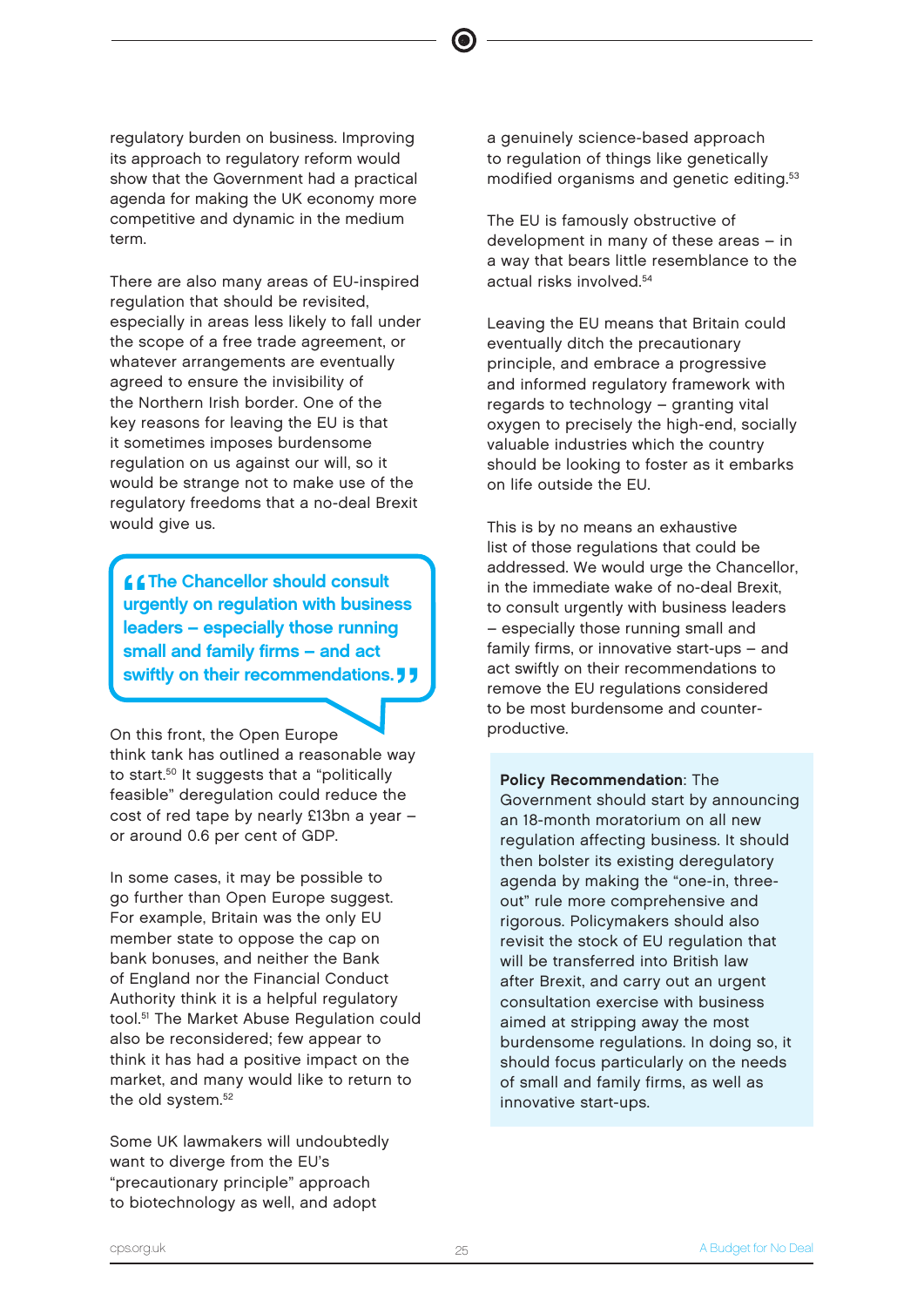regulatory burden on business. Improving its approach to regulatory reform would show that the Government had a practical agenda for making the UK economy more competitive and dynamic in the medium term.

There are also many areas of EU-inspired regulation that should be revisited, especially in areas less likely to fall under the scope of a free trade agreement, or whatever arrangements are eventually agreed to ensure the invisibility of the Northern Irish border. One of the key reasons for leaving the EU is that it sometimes imposes burdensome regulation on us against our will, so it would be strange not to make use of the regulatory freedoms that a no-deal Brexit would give us.

**66**<br>urg<br>loo **CEThe Chancellor should consult** urgently on regulation with business leaders – especially those running small and family firms – and act swiftly on their recommendations. **J** 

On this front, the Open Europe think tank has outlined a reasonable way to start.<sup>50</sup> It suggests that a "politically feasible" deregulation could reduce the cost of red tape by nearly £13bn a year – or around 0.6 per cent of GDP.

In some cases, it may be possible to go further than Open Europe suggest. For example, Britain was the only EU member state to oppose the cap on bank bonuses, and neither the Bank of England nor the Financial Conduct Authority think it is a helpful regulatory tool.<sup>51</sup> The Market Abuse Regulation could also be reconsidered; few appear to think it has had a positive impact on the market, and many would like to return to the old system.<sup>52</sup>

Some UK lawmakers will undoubtedly want to diverge from the EU's "precautionary principle" approach to biotechnology as well, and adopt

a genuinely science-based approach to regulation of things like genetically modified organisms and genetic editing.<sup>53</sup>

The EU is famously obstructive of development in many of these areas – in a way that bears little resemblance to the actual risks involved.<sup>54</sup>

Leaving the EU means that Britain could eventually ditch the precautionary principle, and embrace a progressive and informed regulatory framework with regards to technology – granting vital oxygen to precisely the high-end, socially valuable industries which the country should be looking to foster as it embarks on life outside the EU.

This is by no means an exhaustive list of those regulations that could be addressed. We would urge the Chancellor, in the immediate wake of no-deal Brexit, to consult urgently with business leaders – especially those running small and family firms, or innovative start-ups – and act swiftly on their recommendations to remove the EU regulations considered to be most burdensome and counterproductive.

Policy Recommendation: The Government should start by announcing an 18-month moratorium on all new regulation affecting business. It should then bolster its existing deregulatory agenda by making the "one-in, threeout" rule more comprehensive and rigorous. Policymakers should also revisit the stock of EU regulation that will be transferred into British law after Brexit, and carry out an urgent consultation exercise with business aimed at stripping away the most burdensome regulations. In doing so, it should focus particularly on the needs of small and family firms, as well as innovative start-ups.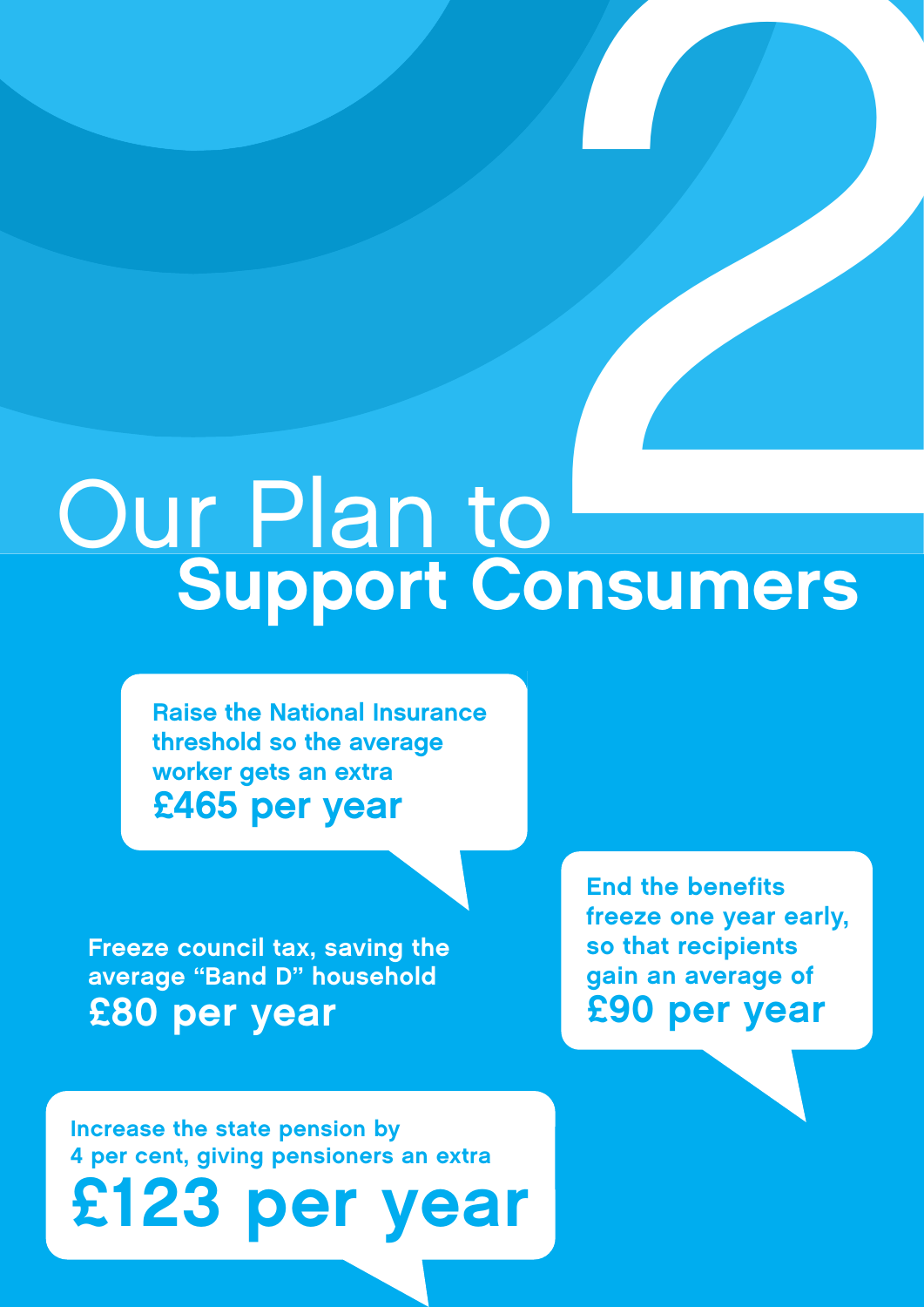# Our Plan to Support Consumers **2006**<br>Disumers

Raise the National Insurance threshold so the average worker gets an extra £465 per year

Freeze council tax, saving the average "Band D" household £80 per year

End the benefits freeze one year early, so that recipients gain an average of £90 per year

Increase the state pension by 4 per cent, giving pensioners an extra

£123 per year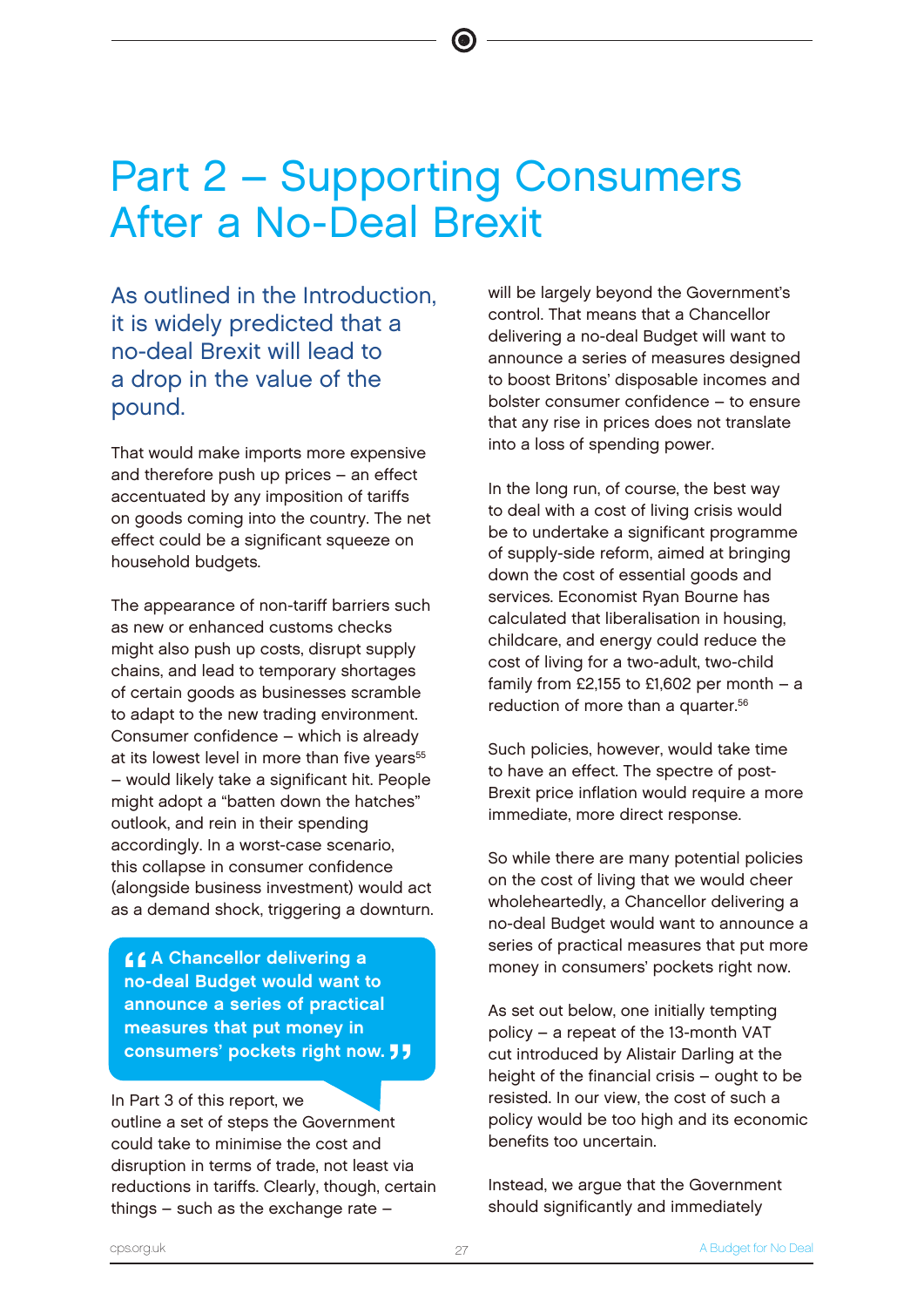# Part 2 – Supporting Consumers After a No-Deal Brexit

As outlined in the Introduction, it is widely predicted that a no-deal Brexit will lead to a drop in the value of the pound.

That would make imports more expensive and therefore push up prices – an effect accentuated by any imposition of tariffs on goods coming into the country. The net effect could be a significant squeeze on household budgets.

The appearance of non-tariff barriers such as new or enhanced customs checks might also push up costs, disrupt supply chains, and lead to temporary shortages of certain goods as businesses scramble to adapt to the new trading environment. Consumer confidence – which is already at its lowest level in more than five years<sup>55</sup> – would likely take a significant hit. People might adopt a "batten down the hatches" outlook, and rein in their spending accordingly. In a worst-case scenario, this collapse in consumer confidence (alongside business investment) would act as a demand shock, triggering a downturn.

 $\frac{66}{10}$ **44 Chancellor delivering a** no-deal Budget would want to announce a series of practical measures that put money in consumers' pockets right now. **JJ** 

### In Part 3 of this report, we

outline a set of steps the Government could take to minimise the cost and disruption in terms of trade, not least via reductions in tariffs. Clearly, though, certain things – such as the exchange rate –

will be largely beyond the Government's control. That means that a Chancellor delivering a no-deal Budget will want to announce a series of measures designed to boost Britons' disposable incomes and bolster consumer confidence – to ensure that any rise in prices does not translate into a loss of spending power.

In the long run, of course, the best way to deal with a cost of living crisis would be to undertake a significant programme of supply-side reform, aimed at bringing down the cost of essential goods and services. Economist Ryan Bourne has calculated that liberalisation in housing, childcare, and energy could reduce the cost of living for a two-adult, two-child family from £2,155 to £1,602 per month  $-$  a reduction of more than a quarter.<sup>56</sup>

Such policies, however, would take time to have an effect. The spectre of post-Brexit price inflation would require a more immediate, more direct response.

So while there are many potential policies on the cost of living that we would cheer wholeheartedly, a Chancellor delivering a no-deal Budget would want to announce a series of practical measures that put more money in consumers' pockets right now.

As set out below, one initially tempting policy – a repeat of the 13-month VAT cut introduced by Alistair Darling at the height of the financial crisis – ought to be resisted. In our view, the cost of such a policy would be too high and its economic benefits too uncertain.

Instead, we argue that the Government should significantly and immediately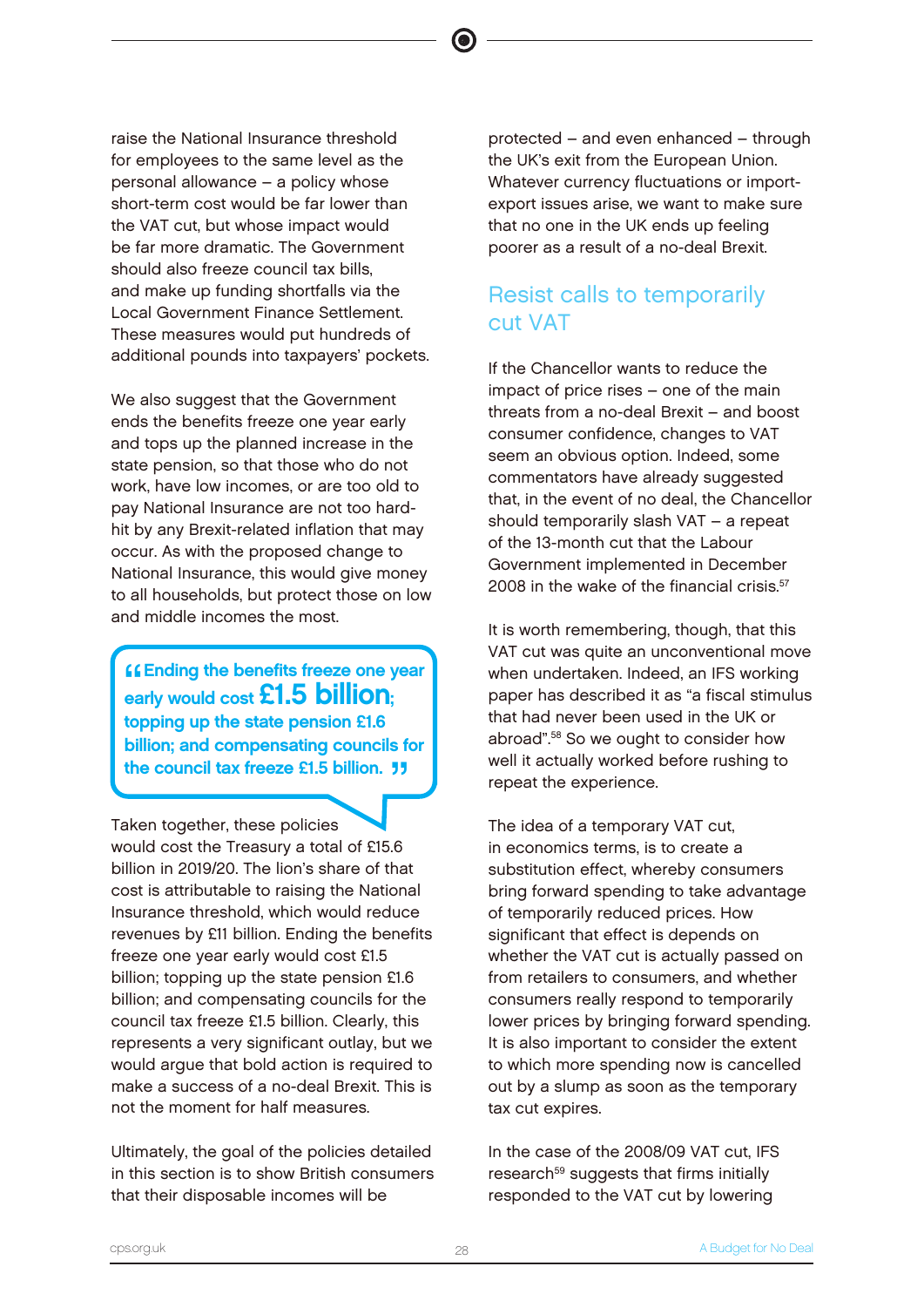raise the National Insurance threshold for employees to the same level as the personal allowance – a policy whose short-term cost would be far lower than the VAT cut, but whose impact would be far more dramatic. The Government should also freeze council tax bills, and make up funding shortfalls via the Local Government Finance Settlement. These measures would put hundreds of additional pounds into taxpayers' pockets.

We also suggest that the Government ends the benefits freeze one year early and tops up the planned increase in the state pension, so that those who do not work, have low incomes, or are too old to pay National Insurance are not too hardhit by any Brexit-related inflation that may occur. As with the proposed change to National Insurance, this would give money to all households, but protect those on low and middle incomes the most.

**Ending the benefits freeze one y**<br>early would cost **£1.5 billion**; **ffending the benefits freeze one year** topping up the state pension £1.6 billion; and compensating councils for the council tax freeze £1.5 billion. "

Taken together, these policies would cost the Treasury a total of £15.6 billion in 2019/20. The lion's share of that cost is attributable to raising the National Insurance threshold, which would reduce revenues by £11 billion. Ending the benefits freeze one year early would cost £1.5 billion; topping up the state pension £1.6 billion; and compensating councils for the council tax freeze £1.5 billion. Clearly, this represents a very significant outlay, but we would argue that bold action is required to make a success of a no-deal Brexit. This is not the moment for half measures.

Ultimately, the goal of the policies detailed in this section is to show British consumers that their disposable incomes will be

protected – and even enhanced – through the UK's exit from the European Union. Whatever currency fluctuations or importexport issues arise, we want to make sure that no one in the UK ends up feeling poorer as a result of a no-deal Brexit.

# Resist calls to temporarily cut VAT

If the Chancellor wants to reduce the impact of price rises – one of the main threats from a no-deal Brexit – and boost consumer confidence, changes to VAT seem an obvious option. Indeed, some commentators have already suggested that, in the event of no deal, the Chancellor should temporarily slash VAT – a repeat of the 13-month cut that the Labour Government implemented in December 2008 in the wake of the financial crisis.<sup>57</sup>

It is worth remembering, though, that this VAT cut was quite an unconventional move when undertaken. Indeed, an IFS working paper has described it as "a fiscal stimulus that had never been used in the UK or abroad".<sup>58</sup> So we ought to consider how well it actually worked before rushing to repeat the experience.

The idea of a temporary VAT cut, in economics terms, is to create a substitution effect, whereby consumers bring forward spending to take advantage of temporarily reduced prices. How significant that effect is depends on whether the VAT cut is actually passed on from retailers to consumers, and whether consumers really respond to temporarily lower prices by bringing forward spending. It is also important to consider the extent to which more spending now is cancelled out by a slump as soon as the temporary tax cut expires.

In the case of the 2008/09 VAT cut, IFS research<sup>59</sup> suggests that firms initially responded to the VAT cut by lowering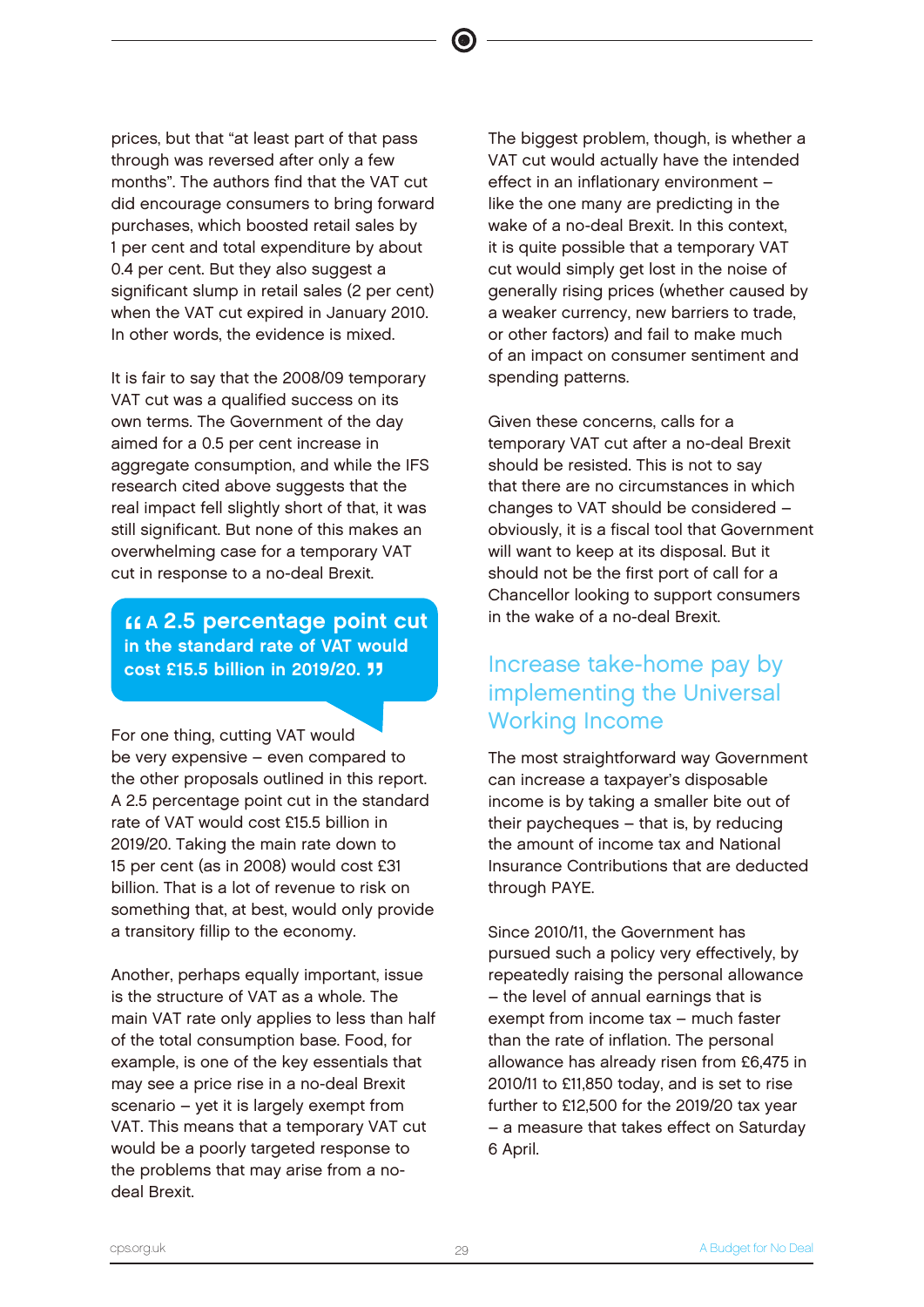prices, but that "at least part of that pass through was reversed after only a few months". The authors find that the VAT cut did encourage consumers to bring forward purchases, which boosted retail sales by 1 per cent and total expenditure by about 0.4 per cent. But they also suggest a significant slump in retail sales (2 per cent) when the VAT cut expired in January 2010. In other words, the evidence is mixed.

It is fair to say that the 2008/09 temporary VAT cut was a qualified success on its own terms. The Government of the day aimed for a 0.5 per cent increase in aggregate consumption, and while the IFS research cited above suggests that the real impact fell slightly short of that, it was still significant. But none of this makes an overwhelming case for a temporary VAT cut in response to a no-deal Brexit.

"<br>"<br>" A 2.5 percentage point cut in the standard rate of VAT would cost £15.5 billion in 2019/20. <sup>1</sup>

For one thing, cutting VAT would be very expensive – even compared to the other proposals outlined in this report. A 2.5 percentage point cut in the standard rate of VAT would cost £15.5 billion in 2019/20. Taking the main rate down to 15 per cent (as in 2008) would cost £31 billion. That is a lot of revenue to risk on something that, at best, would only provide a transitory fillip to the economy.

Another, perhaps equally important, issue is the structure of VAT as a whole. The main VAT rate only applies to less than half of the total consumption base. Food, for example, is one of the key essentials that may see a price rise in a no-deal Brexit scenario – yet it is largely exempt from VAT. This means that a temporary VAT cut would be a poorly targeted response to the problems that may arise from a nodeal Brexit.

The biggest problem, though, is whether a VAT cut would actually have the intended effect in an inflationary environment – like the one many are predicting in the wake of a no-deal Brexit. In this context, it is quite possible that a temporary VAT cut would simply get lost in the noise of generally rising prices (whether caused by a weaker currency, new barriers to trade, or other factors) and fail to make much of an impact on consumer sentiment and spending patterns.

Given these concerns, calls for a temporary VAT cut after a no-deal Brexit should be resisted. This is not to say that there are no circumstances in which changes to VAT should be considered – obviously, it is a fiscal tool that Government will want to keep at its disposal. But it should not be the first port of call for a Chancellor looking to support consumers in the wake of a no-deal Brexit.

# Increase take-home pay by implementing the Universal Working Income

The most straightforward way Government can increase a taxpayer's disposable income is by taking a smaller bite out of their paycheques – that is, by reducing the amount of income tax and National Insurance Contributions that are deducted through PAYE.

Since 2010/11, the Government has pursued such a policy very effectively, by repeatedly raising the personal allowance – the level of annual earnings that is exempt from income tax – much faster than the rate of inflation. The personal allowance has already risen from £6,475 in 2010/11 to £11,850 today, and is set to rise further to £12,500 for the 2019/20 tax year – a measure that takes effect on Saturday 6 April.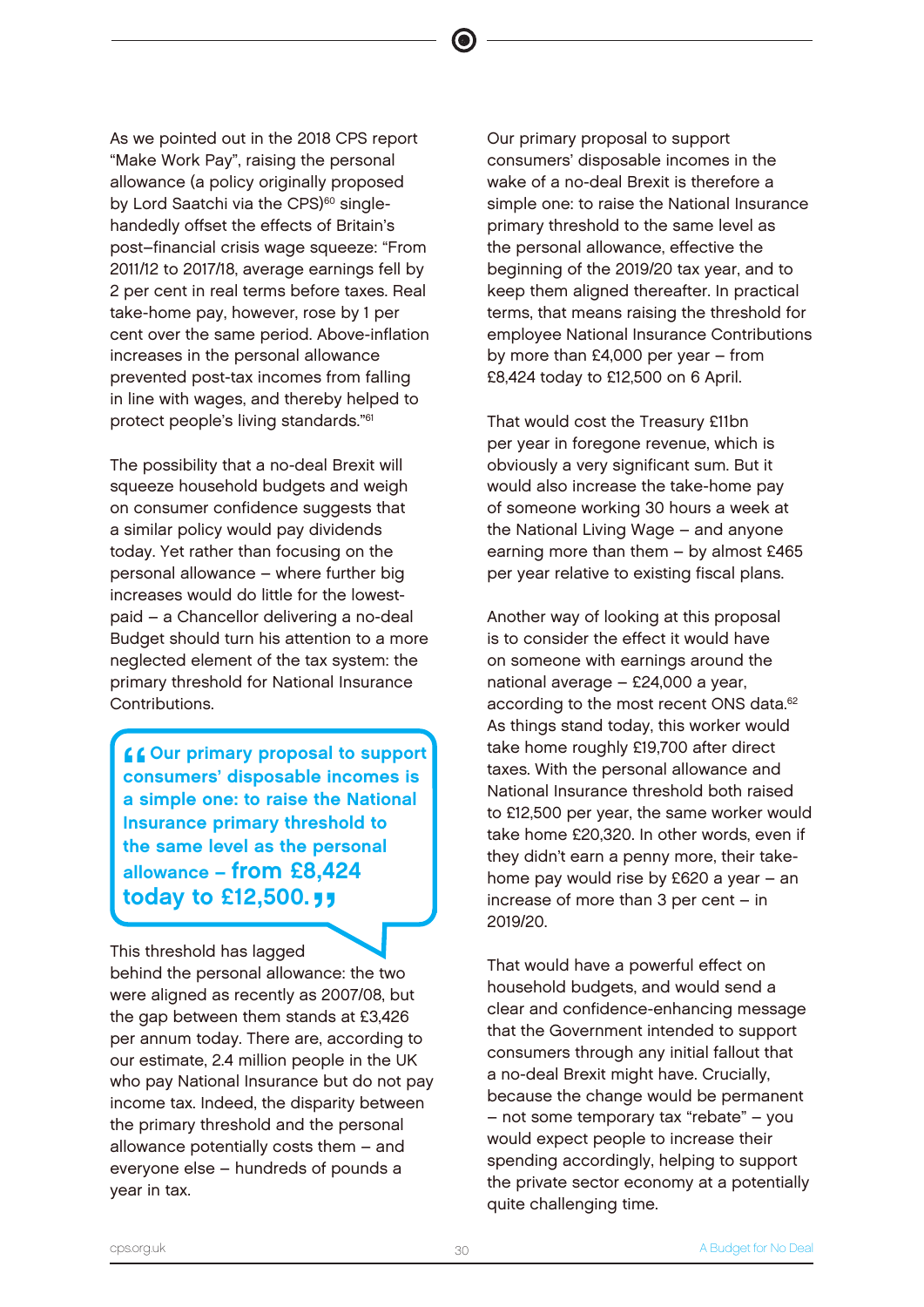As we pointed out in the 2018 CPS report "Make Work Pay", raising the personal allowance (a policy originally proposed by Lord Saatchi via the CPS)<sup>60</sup> singlehandedly offset the effects of Britain's post–financial crisis wage squeeze: "From 2011/12 to 2017/18, average earnings fell by 2 per cent in real terms before taxes. Real take-home pay, however, rose by 1 per cent over the same period. Above-inflation increases in the personal allowance prevented post-tax incomes from falling in line with wages, and thereby helped to protect people's living standards."<sup>61</sup>

The possibility that a no-deal Brexit will squeeze household budgets and weigh on consumer confidence suggests that a similar policy would pay dividends today. Yet rather than focusing on the personal allowance – where further big increases would do little for the lowestpaid – a Chancellor delivering a no-deal Budget should turn his attention to a more neglected element of the tax system: the primary threshold for National Insurance Contributions.

C Cour primary proposal to support<br>
consumers' disposable incomes is<br>
a simple ano: to raise the National consumers' disposable incomes is a simple one: to raise the National Insurance primary threshold to the same level as the personal allowance – from £8,424 today to  $£12,500.$ 

This threshold has lagged behind the personal allowance: the two were aligned as recently as 2007/08, but the gap between them stands at £3,426 per annum today. There are, according to our estimate, 2.4 million people in the UK who pay National Insurance but do not pay income tax. Indeed, the disparity between the primary threshold and the personal allowance potentially costs them – and everyone else – hundreds of pounds a year in tax.

Our primary proposal to support consumers' disposable incomes in the wake of a no-deal Brexit is therefore a simple one: to raise the National Insurance primary threshold to the same level as the personal allowance, effective the beginning of the 2019/20 tax year, and to keep them aligned thereafter. In practical terms, that means raising the threshold for employee National Insurance Contributions by more than £4,000 per year – from £8,424 today to £12,500 on 6 April.

That would cost the Treasury £11bn per year in foregone revenue, which is obviously a very significant sum. But it would also increase the take-home pay of someone working 30 hours a week at the National Living Wage – and anyone earning more than them – by almost £465 per year relative to existing fiscal plans.

Another way of looking at this proposal is to consider the effect it would have on someone with earnings around the national average – £24,000 a year, according to the most recent ONS data.<sup>62</sup> As things stand today, this worker would take home roughly £19,700 after direct taxes. With the personal allowance and National Insurance threshold both raised to £12,500 per year, the same worker would take home £20,320. In other words, even if they didn't earn a penny more, their takehome pay would rise by £620 a year – an increase of more than 3 per cent – in 2019/20.

That would have a powerful effect on household budgets, and would send a clear and confidence-enhancing message that the Government intended to support consumers through any initial fallout that a no-deal Brexit might have. Crucially, because the change would be permanent – not some temporary tax "rebate" – you would expect people to increase their spending accordingly, helping to support the private sector economy at a potentially quite challenging time.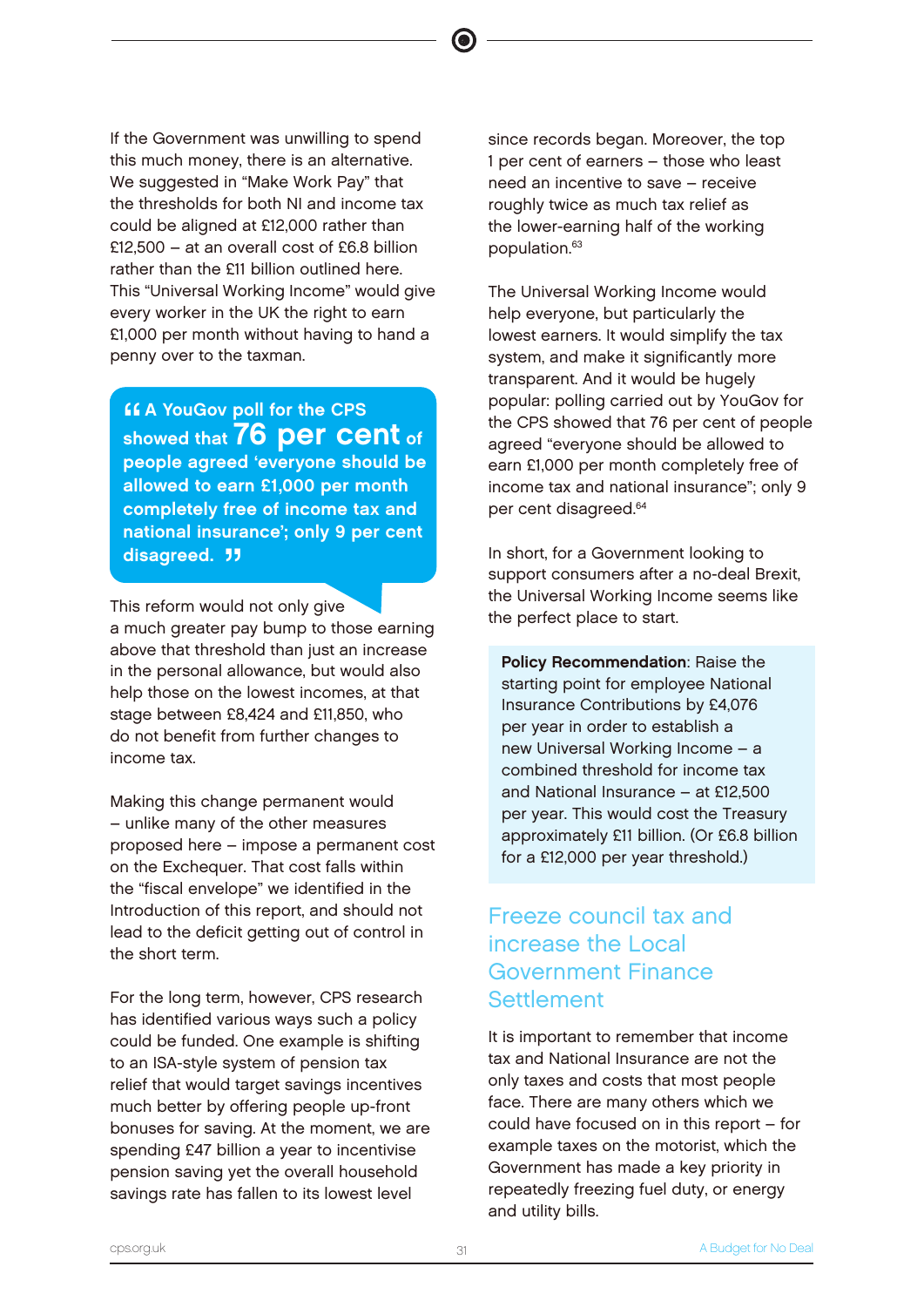If the Government was unwilling to spend this much money, there is an alternative. We suggested in "Make Work Pay" that the thresholds for both NI and income tax could be aligned at £12,000 rather than £12,500 – at an overall cost of £6.8 billion rather than the £11 billion outlined here. This "Universal Working Income" would give every worker in the UK the right to earn £1,000 per month without having to hand a penny over to the taxman.

**CA YouGov poll for the CPS<br>showed that 76 per cent of A YouGov poll for the CPS** people agreed 'everyone should be allowed to earn £1,000 per month completely free of income tax and national insurance'; only 9 per cent disagreed. **JJ** 

This reform would not only give a much greater pay bump to those earning above that threshold than just an increase in the personal allowance, but would also help those on the lowest incomes, at that stage between £8,424 and £11,850, who do not benefit from further changes to income tax.

Making this change permanent would – unlike many of the other measures proposed here – impose a permanent cost on the Exchequer. That cost falls within the "fiscal envelope" we identified in the Introduction of this report, and should not lead to the deficit getting out of control in the short term.

For the long term, however, CPS research has identified various ways such a policy could be funded. One example is shifting to an ISA-style system of pension tax relief that would target savings incentives much better by offering people up-front bonuses for saving. At the moment, we are spending £47 billion a year to incentivise pension saving yet the overall household savings rate has fallen to its lowest level

since records began. Moreover, the top 1 per cent of earners – those who least need an incentive to save – receive roughly twice as much tax relief as the lower-earning half of the working population.<sup>63</sup>

The Universal Working Income would help everyone, but particularly the lowest earners. It would simplify the tax system, and make it significantly more transparent. And it would be hugely popular: polling carried out by YouGov for the CPS showed that 76 per cent of people agreed "everyone should be allowed to earn £1,000 per month completely free of income tax and national insurance"; only 9 per cent disagreed.<sup>64</sup>

In short, for a Government looking to support consumers after a no-deal Brexit, the Universal Working Income seems like the perfect place to start.

Policy Recommendation: Raise the starting point for employee National Insurance Contributions by £4,076 per year in order to establish a new Universal Working Income – a combined threshold for income tax and National Insurance – at £12,500 per year. This would cost the Treasury approximately £11 billion. (Or £6.8 billion for a £12,000 per year threshold.)

# Freeze council tax and increase the Local Government Finance **Settlement**

It is important to remember that income tax and National Insurance are not the only taxes and costs that most people face. There are many others which we could have focused on in this report – for example taxes on the motorist, which the Government has made a key priority in repeatedly freezing fuel duty, or energy and utility bills.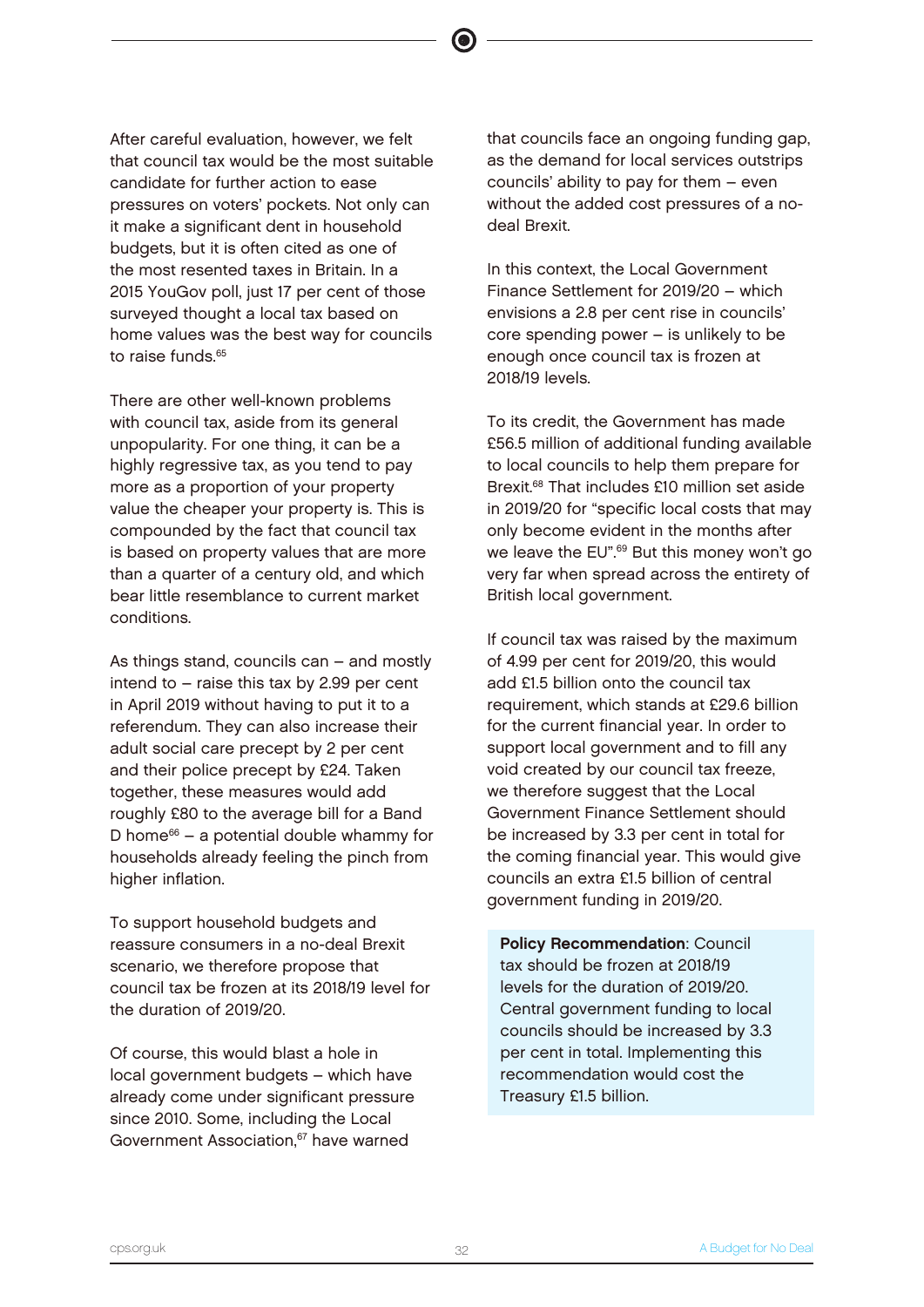After careful evaluation, however, we felt that council tax would be the most suitable candidate for further action to ease pressures on voters' pockets. Not only can it make a significant dent in household budgets, but it is often cited as one of the most resented taxes in Britain. In a 2015 YouGov poll, just 17 per cent of those surveyed thought a local tax based on home values was the best way for councils to raise funds.<sup>65</sup>

There are other well-known problems with council tax, aside from its general unpopularity. For one thing, it can be a highly regressive tax, as you tend to pay more as a proportion of your property value the cheaper your property is. This is compounded by the fact that council tax is based on property values that are more than a quarter of a century old, and which bear little resemblance to current market conditions.

As things stand, councils can – and mostly intend to – raise this tax by 2.99 per cent in April 2019 without having to put it to a referendum. They can also increase their adult social care precept by 2 per cent and their police precept by £24. Taken together, these measures would add roughly £80 to the average bill for a Band D home $66 - a$  potential double whammy for households already feeling the pinch from higher inflation.

To support household budgets and reassure consumers in a no-deal Brexit scenario, we therefore propose that council tax be frozen at its 2018/19 level for the duration of 2019/20.

Of course, this would blast a hole in local government budgets – which have already come under significant pressure since 2010. Some, including the Local Government Association,<sup>67</sup> have warned

that councils face an ongoing funding gap, as the demand for local services outstrips councils' ability to pay for them – even without the added cost pressures of a nodeal Brexit.

In this context, the Local Government Finance Settlement for 2019/20 – which envisions a 2.8 per cent rise in councils' core spending power – is unlikely to be enough once council tax is frozen at 2018/19 levels.

To its credit, the Government has made £56.5 million of additional funding available to local councils to help them prepare for Brexit.<sup>68</sup> That includes £10 million set aside in 2019/20 for "specific local costs that may only become evident in the months after we leave the EU".<sup>69</sup> But this money won't go very far when spread across the entirety of British local government.

If council tax was raised by the maximum of 4.99 per cent for 2019/20, this would add £1.5 billion onto the council tax requirement, which stands at £29.6 billion for the current financial year. In order to support local government and to fill any void created by our council tax freeze, we therefore suggest that the Local Government Finance Settlement should be increased by 3.3 per cent in total for the coming financial year. This would give councils an extra £1.5 billion of central government funding in 2019/20.

Policy Recommendation: Council tax should be frozen at 2018/19 levels for the duration of 2019/20. Central government funding to local councils should be increased by 3.3 per cent in total. Implementing this recommendation would cost the Treasury £1.5 billion.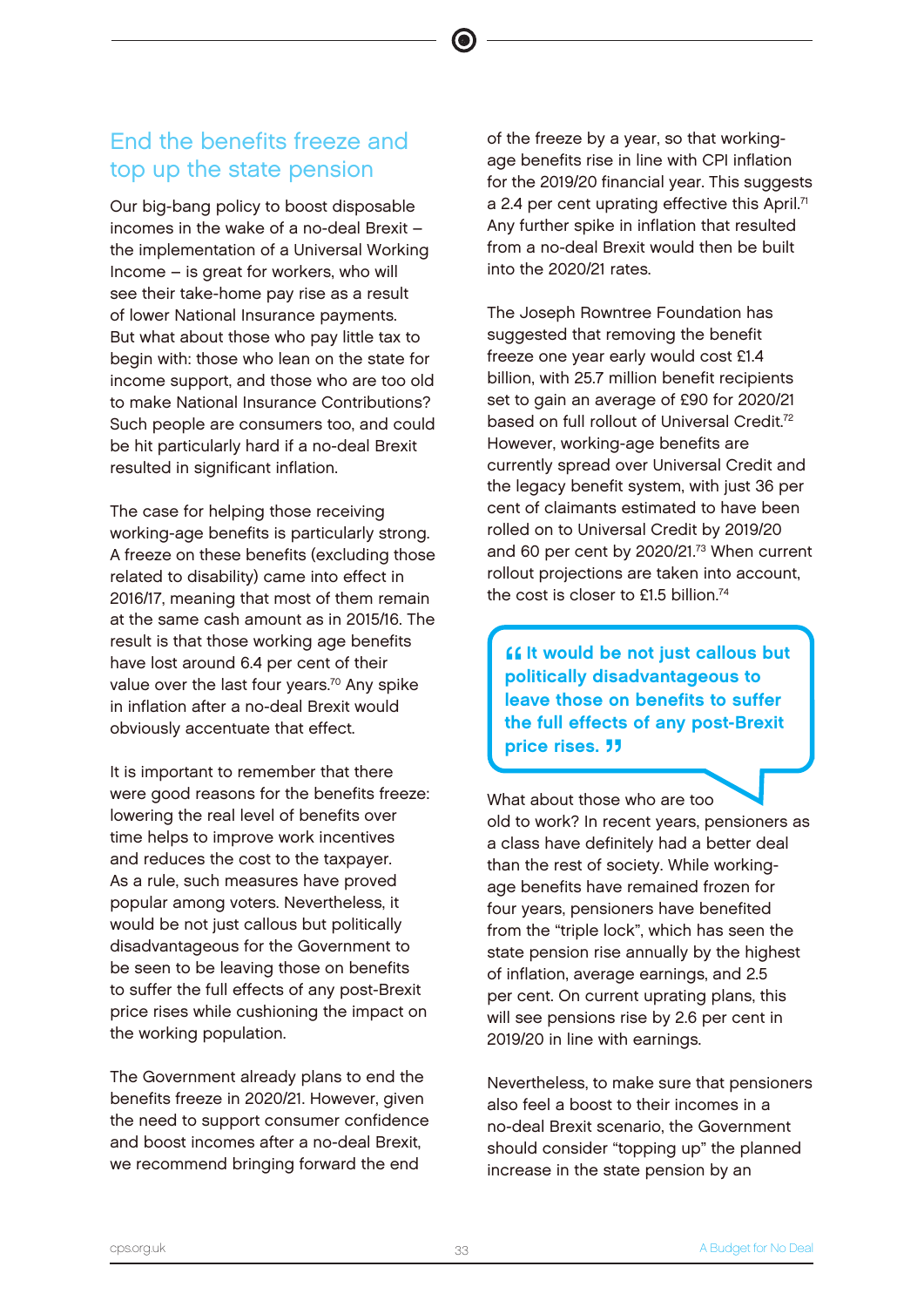# End the benefits freeze and top up the state pension

Our big-bang policy to boost disposable incomes in the wake of a no-deal Brexit – the implementation of a Universal Working Income – is great for workers, who will see their take-home pay rise as a result of lower National Insurance payments. But what about those who pay little tax to begin with: those who lean on the state for income support, and those who are too old to make National Insurance Contributions? Such people are consumers too, and could be hit particularly hard if a no-deal Brexit resulted in significant inflation.

The case for helping those receiving working-age benefits is particularly strong. A freeze on these benefits (excluding those related to disability) came into effect in 2016/17, meaning that most of them remain at the same cash amount as in 2015/16. The result is that those working age benefits have lost around 6.4 per cent of their value over the last four years.<sup>70</sup> Any spike in inflation after a no-deal Brexit would obviously accentuate that effect.

It is important to remember that there were good reasons for the benefits freeze: lowering the real level of benefits over time helps to improve work incentives and reduces the cost to the taxpayer. As a rule, such measures have proved popular among voters. Nevertheless, it would be not just callous but politically disadvantageous for the Government to be seen to be leaving those on benefits to suffer the full effects of any post-Brexit price rises while cushioning the impact on the working population.

The Government already plans to end the benefits freeze in 2020/21. However, given the need to support consumer confidence and boost incomes after a no-deal Brexit, we recommend bringing forward the end

of the freeze by a year, so that workingage benefits rise in line with CPI inflation for the 2019/20 financial year. This suggests a 2.4 per cent uprating effective this April.<sup>71</sup> Any further spike in inflation that resulted from a no-deal Brexit would then be built into the 2020/21 rates.

The Joseph Rowntree Foundation has suggested that removing the benefit freeze one year early would cost £1.4 billion, with 25.7 million benefit recipients set to gain an average of £90 for 2020/21 based on full rollout of Universal Credit.<sup>72</sup> However, working-age benefits are currently spread over Universal Credit and the legacy benefit system, with just 36 per cent of claimants estimated to have been rolled on to Universal Credit by 2019/20 and 60 per cent by 2020/21.<sup>73</sup> When current rollout projections are taken into account, the cost is closer to  $f1.5$  billion<sup>74</sup>

""<br>PC<br>Iol **If it would be not just callous but** politically disadvantageous to leave those on benefits to suffer the full effects of any post-Brexit price rises. **11** 

What about those who are too old to work? In recent years, pensioners as a class have definitely had a better deal than the rest of society. While workingage benefits have remained frozen for four years, pensioners have benefited from the "triple lock", which has seen the state pension rise annually by the highest of inflation, average earnings, and 2.5 per cent. On current uprating plans, this will see pensions rise by 2.6 per cent in 2019/20 in line with earnings.

Nevertheless, to make sure that pensioners also feel a boost to their incomes in a no-deal Brexit scenario, the Government should consider "topping up" the planned increase in the state pension by an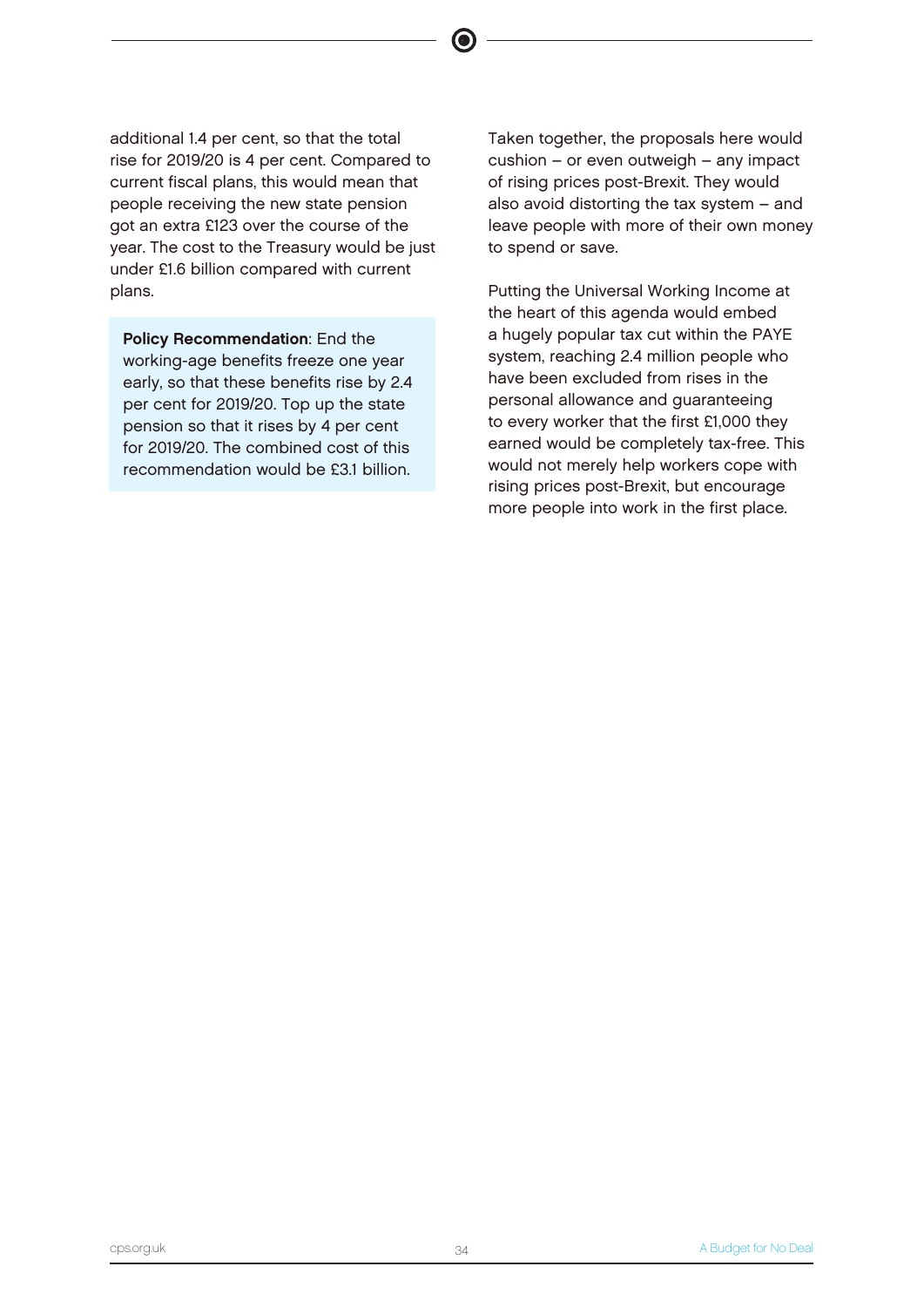additional 1.4 per cent, so that the total rise for 2019/20 is 4 per cent. Compared to current fiscal plans, this would mean that people receiving the new state pension got an extra £123 over the course of the year. The cost to the Treasury would be just under £1.6 billion compared with current plans.

Policy Recommendation: End the working-age benefits freeze one year early, so that these benefits rise by 2.4 per cent for 2019/20. Top up the state pension so that it rises by 4 per cent for 2019/20. The combined cost of this recommendation would be £3.1 billion.

Taken together, the proposals here would cushion – or even outweigh – any impact of rising prices post-Brexit. They would also avoid distorting the tax system – and leave people with more of their own money to spend or save.

Putting the Universal Working Income at the heart of this agenda would embed a hugely popular tax cut within the PAYE system, reaching 2.4 million people who have been excluded from rises in the personal allowance and guaranteeing to every worker that the first £1,000 they earned would be completely tax-free. This would not merely help workers cope with rising prices post-Brexit, but encourage more people into work in the first place.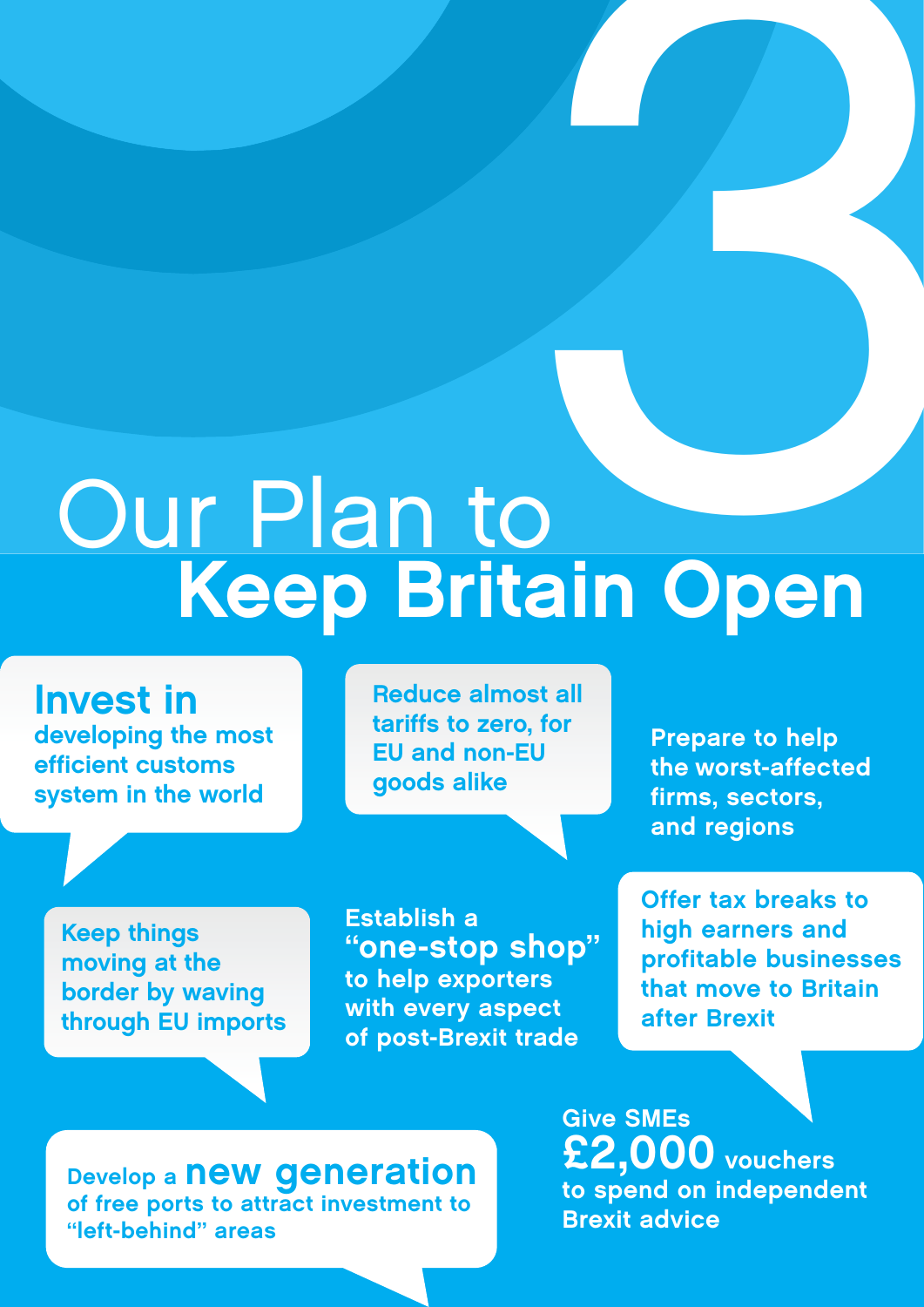# Our Plan to Keep Britain Open **1999**<br>2010<br>2011 Open

developing the most sioping Invest in efficient customs system in the world

Reduce almost all tariffs to zero, for EU and non-EU goods alike

Prepare to help the worst-affected firms, sectors, and regions

Keep things moving at the border by waving through EU imports

Establish a "one-stop shop" to help exporters with every aspect of post-Brexit trade

Offer tax breaks to high earners and profitable businesses that move to Britain after Brexit

Develop a **new generation** of free ports to attract investment to "left-behind" areas

Give SMEs £2,000 vouchers to spend on independent Brexit advice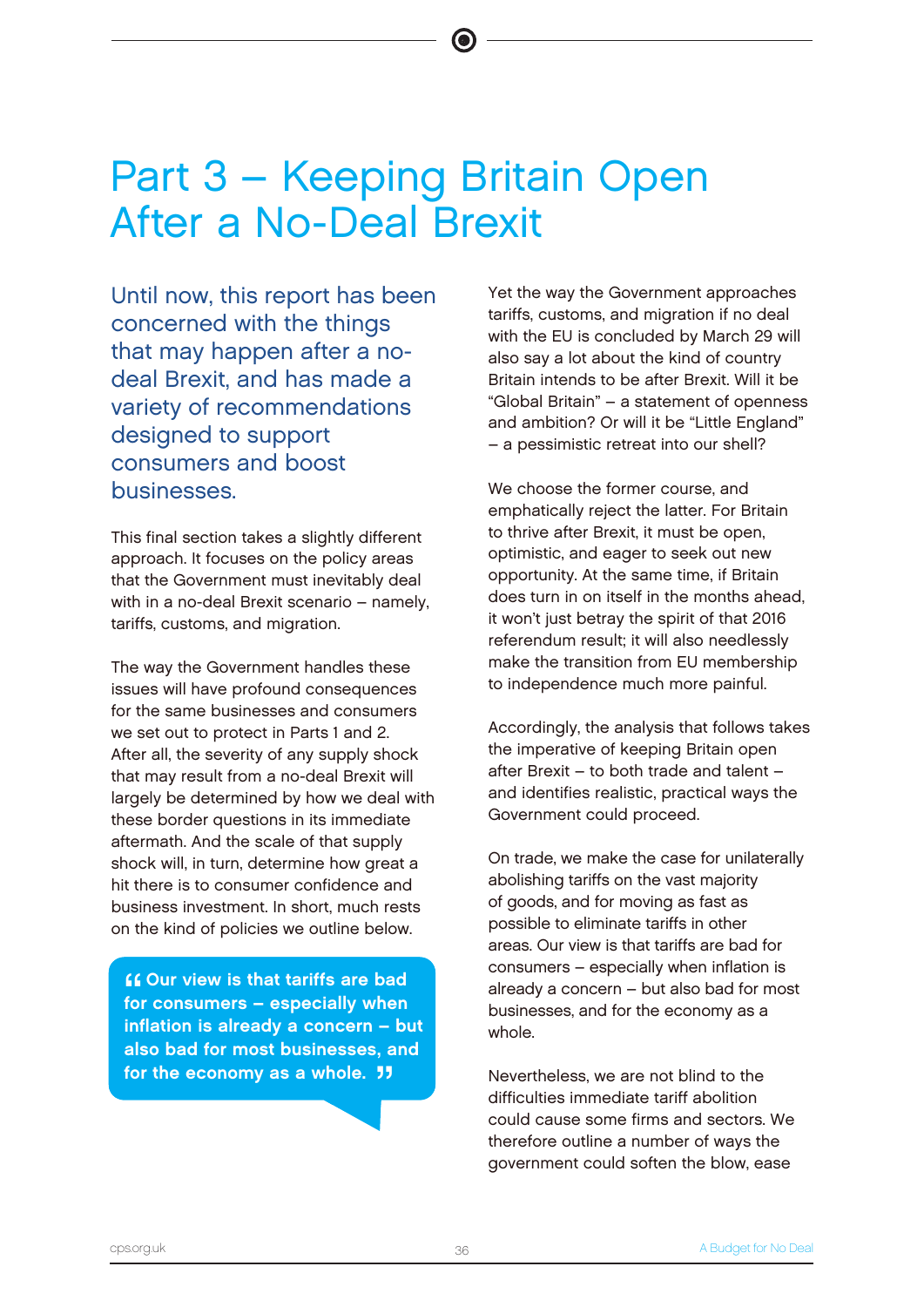# Part 3 – Keeping Britain Open After a No-Deal Brexit

Until now, this report has been concerned with the things that may happen after a nodeal Brexit, and has made a variety of recommendations designed to support consumers and boost businesses.

This final section takes a slightly different approach. It focuses on the policy areas that the Government must inevitably deal with in a no-deal Brexit scenario – namely, tariffs, customs, and migration.

The way the Government handles these issues will have profound consequences for the same businesses and consumers we set out to protect in Parts 1 and 2. After all, the severity of any supply shock that may result from a no-deal Brexit will largely be determined by how we deal with these border questions in its immediate aftermath. And the scale of that supply shock will, in turn, determine how great a hit there is to consumer confidence and business investment. In short, much rests on the kind of policies we outline below.

" **A Our view is that tariffs are bad** for consumers – especially when inflation is already a concern – but also bad for most businesses, and for the economy as a whole.  $11$ 

Yet the way the Government approaches tariffs, customs, and migration if no deal with the EU is concluded by March 29 will also say a lot about the kind of country Britain intends to be after Brexit. Will it be "Global Britain" – a statement of openness and ambition? Or will it be "Little England" – a pessimistic retreat into our shell?

We choose the former course, and emphatically reject the latter. For Britain to thrive after Brexit, it must be open, optimistic, and eager to seek out new opportunity. At the same time, if Britain does turn in on itself in the months ahead, it won't just betray the spirit of that 2016 referendum result; it will also needlessly make the transition from EU membership to independence much more painful.

Accordingly, the analysis that follows takes the imperative of keeping Britain open after Brexit – to both trade and talent – and identifies realistic, practical ways the Government could proceed.

On trade, we make the case for unilaterally abolishing tariffs on the vast majority of goods, and for moving as fast as possible to eliminate tariffs in other areas. Our view is that tariffs are bad for consumers – especially when inflation is already a concern – but also bad for most businesses, and for the economy as a whole.

Nevertheless, we are not blind to the difficulties immediate tariff abolition could cause some firms and sectors. We therefore outline a number of ways the government could soften the blow, ease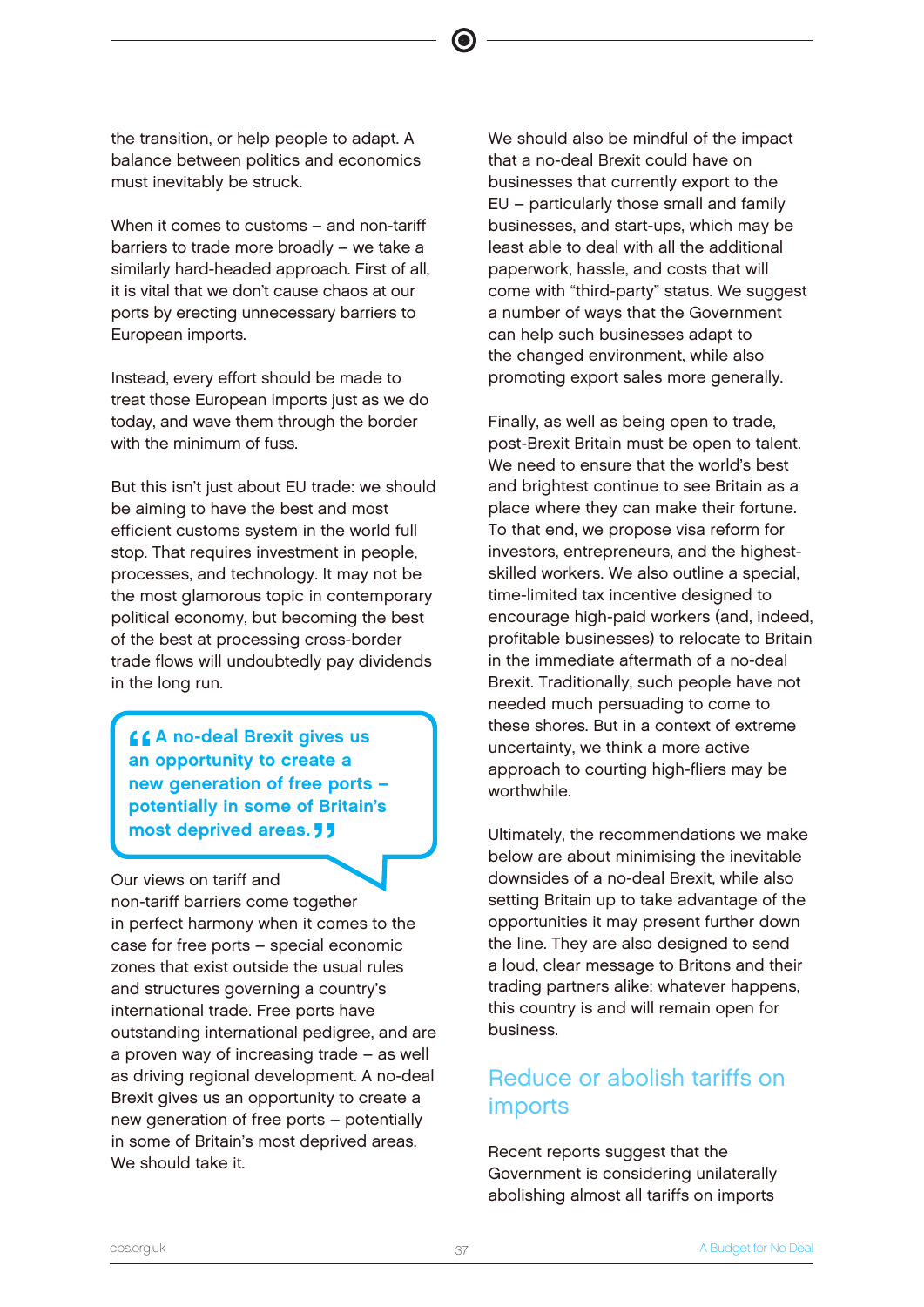the transition, or help people to adapt. A balance between politics and economics must inevitably be struck.

When it comes to customs – and non-tariff barriers to trade more broadly – we take a similarly hard-headed approach. First of all, it is vital that we don't cause chaos at our ports by erecting unnecessary barriers to European imports.

Instead, every effort should be made to treat those European imports just as we do today, and wave them through the border with the minimum of fuss.

But this isn't just about EU trade: we should be aiming to have the best and most efficient customs system in the world full stop. That requires investment in people, processes, and technology. It may not be the most glamorous topic in contemporary political economy, but becoming the best of the best at processing cross-border trade flows will undoubtedly pay dividends in the long run.

 $\frac{6}{1}$ **44 A no-deal Brexit gives us** an opportunity to create a new generation of free ports – potentially in some of Britain's most deprived areas. **JJ** 

Our views on tariff and non-tariff barriers come together in perfect harmony when it comes to the case for free ports – special economic zones that exist outside the usual rules and structures governing a country's international trade. Free ports have outstanding international pedigree, and are a proven way of increasing trade – as well as driving regional development. A no-deal Brexit gives us an opportunity to create a new generation of free ports – potentially in some of Britain's most deprived areas. We should take it.

We should also be mindful of the impact that a no-deal Brexit could have on businesses that currently export to the EU – particularly those small and family businesses, and start-ups, which may be least able to deal with all the additional paperwork, hassle, and costs that will come with "third-party" status. We suggest a number of ways that the Government can help such businesses adapt to the changed environment, while also promoting export sales more generally.

Finally, as well as being open to trade, post-Brexit Britain must be open to talent. We need to ensure that the world's best and brightest continue to see Britain as a place where they can make their fortune. To that end, we propose visa reform for investors, entrepreneurs, and the highestskilled workers. We also outline a special, time-limited tax incentive designed to encourage high-paid workers (and, indeed, profitable businesses) to relocate to Britain in the immediate aftermath of a no-deal Brexit. Traditionally, such people have not needed much persuading to come to these shores. But in a context of extreme uncertainty, we think a more active approach to courting high-fliers may be worthwhile.

Ultimately, the recommendations we make below are about minimising the inevitable downsides of a no-deal Brexit, while also setting Britain up to take advantage of the opportunities it may present further down the line. They are also designed to send a loud, clear message to Britons and their trading partners alike: whatever happens, this country is and will remain open for business.

# Reduce or abolish tariffs on imports

Recent reports suggest that the Government is considering unilaterally abolishing almost all tariffs on imports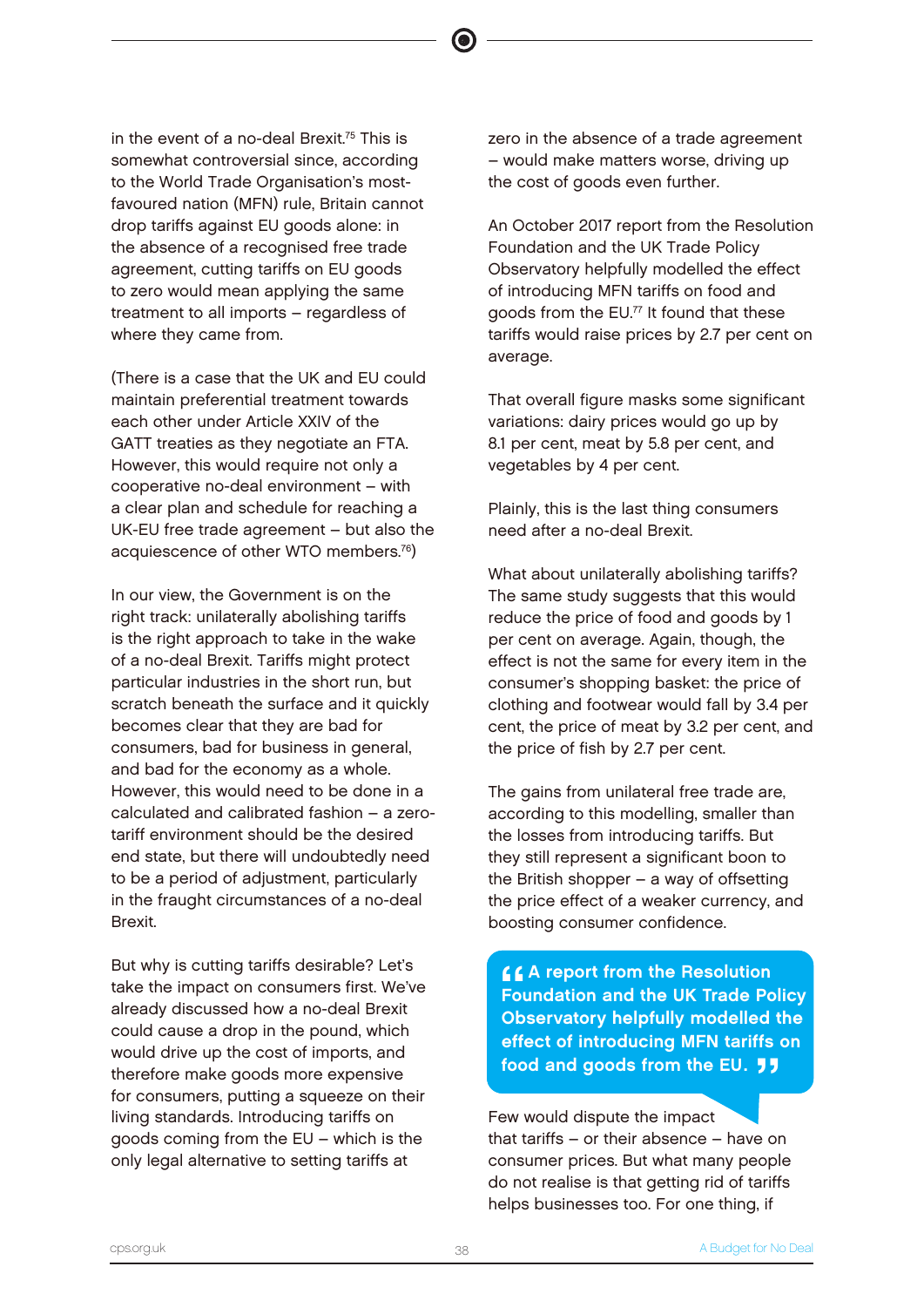in the event of a no-deal Brexit.<sup>75</sup> This is somewhat controversial since, according to the World Trade Organisation's mostfavoured nation (MFN) rule, Britain cannot drop tariffs against EU goods alone: in the absence of a recognised free trade agreement, cutting tariffs on EU goods to zero would mean applying the same treatment to all imports – regardless of where they came from.

(There is a case that the UK and EU could maintain preferential treatment towards each other under Article XXIV of the GATT treaties as they negotiate an FTA. However, this would require not only a cooperative no-deal environment – with a clear plan and schedule for reaching a UK-EU free trade agreement – but also the acquiescence of other WTO members.<sup>76</sup>)

In our view, the Government is on the right track: unilaterally abolishing tariffs is the right approach to take in the wake of a no-deal Brexit. Tariffs might protect particular industries in the short run, but scratch beneath the surface and it quickly becomes clear that they are bad for consumers, bad for business in general, and bad for the economy as a whole. However, this would need to be done in a calculated and calibrated fashion – a zerotariff environment should be the desired end state, but there will undoubtedly need to be a period of adjustment, particularly in the fraught circumstances of a no-deal Brexit.

But why is cutting tariffs desirable? Let's take the impact on consumers first. We've already discussed how a no-deal Brexit could cause a drop in the pound, which would drive up the cost of imports, and therefore make goods more expensive for consumers, putting a squeeze on their living standards. Introducing tariffs on goods coming from the EU – which is the only legal alternative to setting tariffs at

zero in the absence of a trade agreement – would make matters worse, driving up the cost of goods even further.

An October 2017 report from the Resolution Foundation and the UK Trade Policy Observatory helpfully modelled the effect of introducing MFN tariffs on food and goods from the EU.<sup>77</sup> It found that these tariffs would raise prices by 2.7 per cent on average.

That overall figure masks some significant variations: dairy prices would go up by 8.1 per cent, meat by 5.8 per cent, and vegetables by 4 per cent.

Plainly, this is the last thing consumers need after a no-deal Brexit.

What about unilaterally abolishing tariffs? The same study suggests that this would reduce the price of food and goods by 1 per cent on average. Again, though, the effect is not the same for every item in the consumer's shopping basket: the price of clothing and footwear would fall by 3.4 per cent, the price of meat by 3.2 per cent, and the price of fish by 2.7 per cent.

The gains from unilateral free trade are, according to this modelling, smaller than the losses from introducing tariffs. But they still represent a significant boon to the British shopper – a way of offsetting the price effect of a weaker currency, and boosting consumer confidence.

<u>CCA</u> report from the Resolution<br>Foundation and the UK Trade Po<br>Obeervatery belafully modelled Foundation and the UK Trade Policy Observatory helpfully modelled the effect of introducing MFN tariffs on food and goods from the EU.  $11$ 

Few would dispute the impact that tariffs – or their absence – have on consumer prices. But what many people do not realise is that getting rid of tariffs helps businesses too. For one thing, if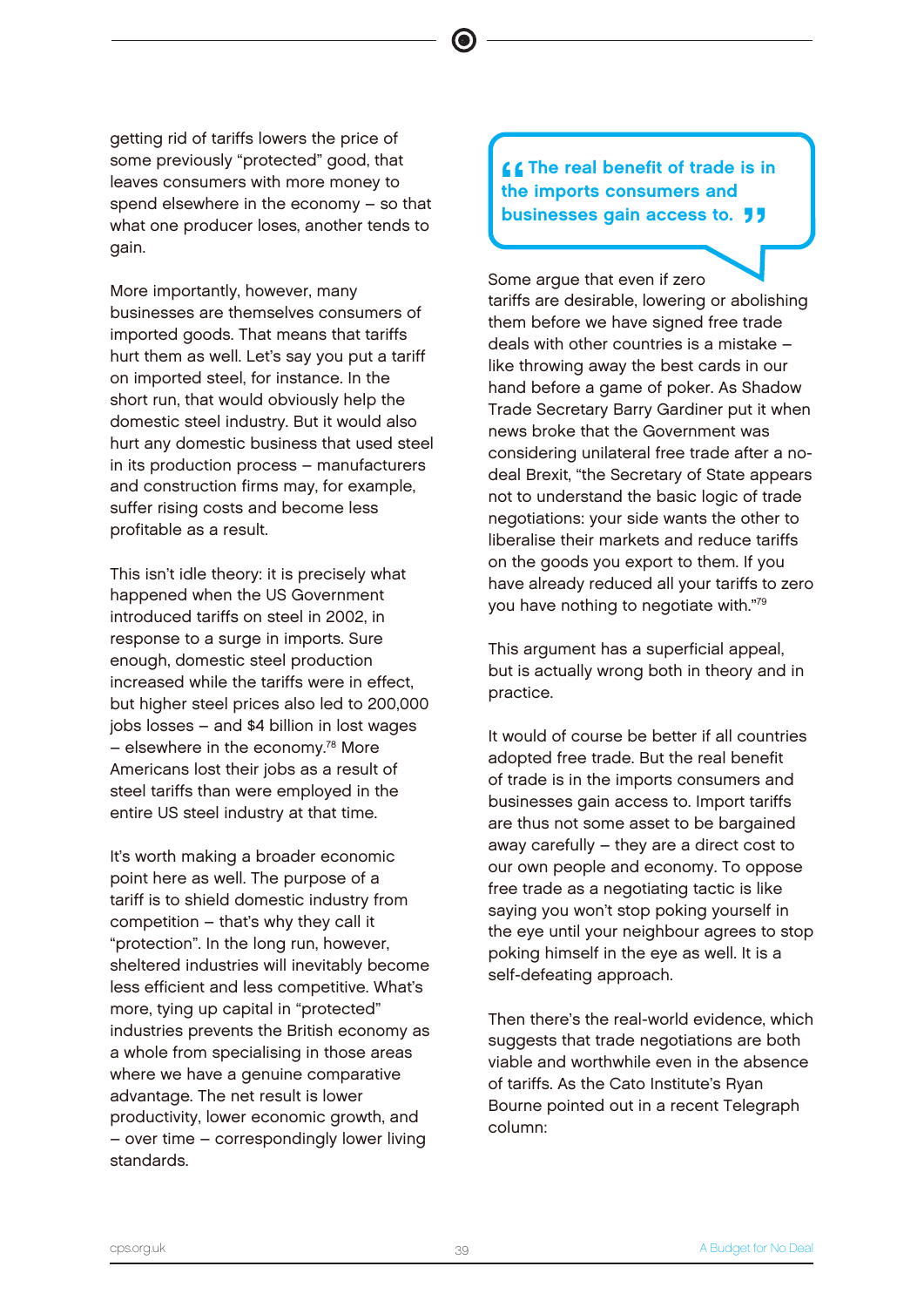getting rid of tariffs lowers the price of some previously "protected" good, that leaves consumers with more money to spend elsewhere in the economy – so that what one producer loses, another tends to gain.

More importantly, however, many businesses are themselves consumers of imported goods. That means that tariffs hurt them as well. Let's say you put a tariff on imported steel, for instance. In the short run, that would obviously help the domestic steel industry. But it would also hurt any domestic business that used steel in its production process – manufacturers and construction firms may, for example, suffer rising costs and become less profitable as a result.

This isn't idle theory: it is precisely what happened when the US Government introduced tariffs on steel in 2002, in response to a surge in imports. Sure enough, domestic steel production increased while the tariffs were in effect, but higher steel prices also led to 200,000 jobs losses – and \$4 billion in lost wages  $-$  elsewhere in the economy.<sup>78</sup> More Americans lost their jobs as a result of steel tariffs than were employed in the entire US steel industry at that time.

It's worth making a broader economic point here as well. The purpose of a tariff is to shield domestic industry from competition – that's why they call it "protection". In the long run, however, sheltered industries will inevitably become less efficient and less competitive. What's more, tying up capital in "protected" industries prevents the British economy as a whole from specialising in those areas where we have a genuine comparative advantage. The net result is lower productivity, lower economic growth, and – over time – correspondingly lower living standards.

 $'$ LL The real benefit of trade is in the imports consumers and businesses gain access to. **JJ** 

Some argue that even if zero tariffs are desirable, lowering or abolishing them before we have signed free trade deals with other countries is a mistake – like throwing away the best cards in our hand before a game of poker. As Shadow Trade Secretary Barry Gardiner put it when news broke that the Government was considering unilateral free trade after a nodeal Brexit, "the Secretary of State appears not to understand the basic logic of trade negotiations: your side wants the other to liberalise their markets and reduce tariffs on the goods you export to them. If you have already reduced all your tariffs to zero you have nothing to negotiate with."<sup>79</sup>

This argument has a superficial appeal, but is actually wrong both in theory and in practice.

It would of course be better if all countries adopted free trade. But the real benefit of trade is in the imports consumers and businesses gain access to. Import tariffs are thus not some asset to be bargained away carefully – they are a direct cost to our own people and economy. To oppose free trade as a negotiating tactic is like saying you won't stop poking yourself in the eye until your neighbour agrees to stop poking himself in the eye as well. It is a self-defeating approach.

Then there's the real-world evidence, which suggests that trade negotiations are both viable and worthwhile even in the absence of tariffs. As the Cato Institute's Ryan Bourne pointed out in a recent Telegraph column: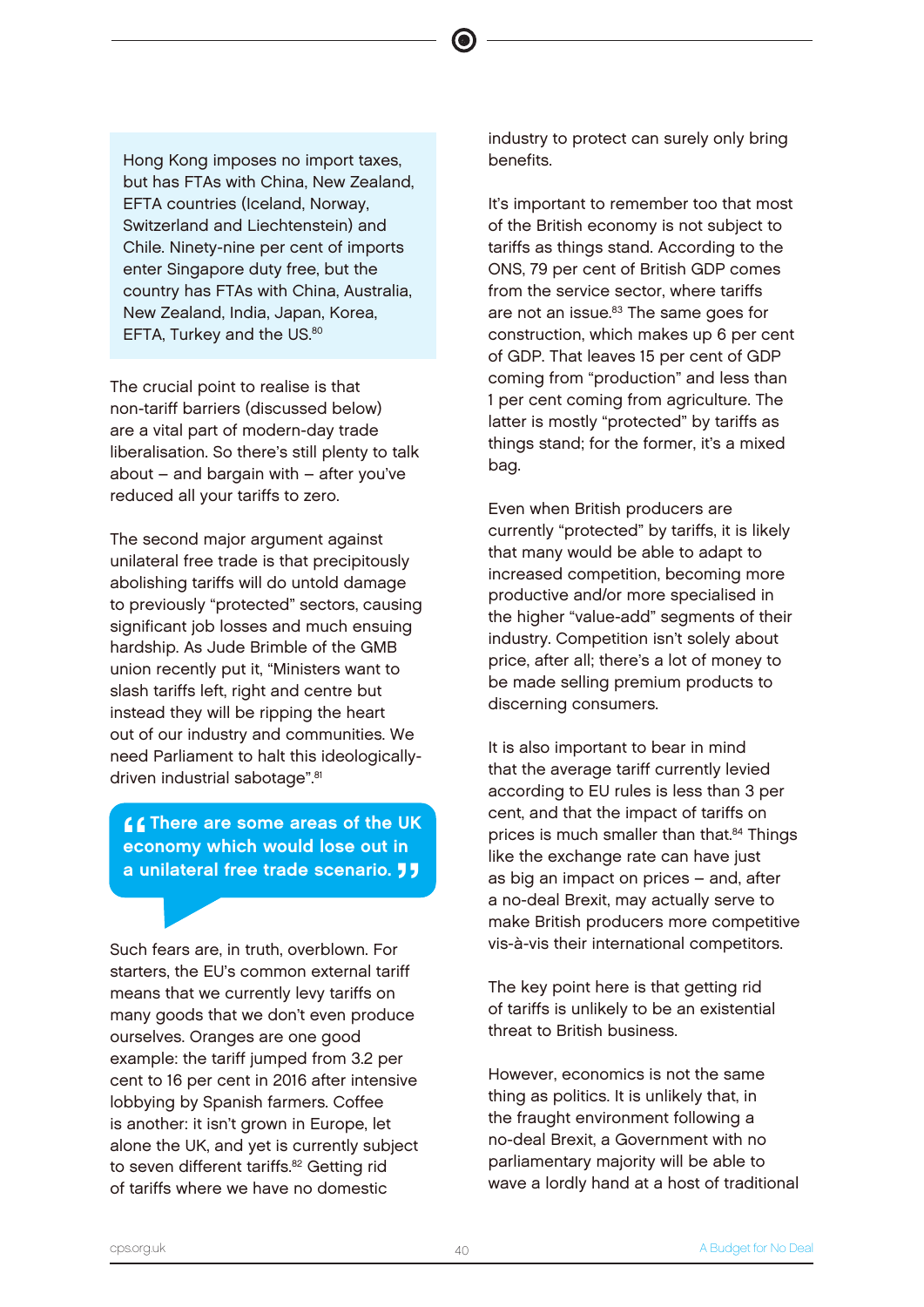Hong Kong imposes no import taxes, but has FTAs with China, New Zealand, EFTA countries (Iceland, Norway, Switzerland and Liechtenstein) and Chile. Ninety-nine per cent of imports enter Singapore duty free, but the country has FTAs with China, Australia, New Zealand, India, Japan, Korea, EFTA, Turkey and the US.<sup>80</sup>

The crucial point to realise is that non-tariff barriers (discussed below) are a vital part of modern-day trade liberalisation. So there's still plenty to talk about – and bargain with – after you've reduced all your tariffs to zero.

The second major argument against unilateral free trade is that precipitously abolishing tariffs will do untold damage to previously "protected" sectors, causing significant job losses and much ensuing hardship. As Jude Brimble of the GMB union recently put it, "Ministers want to slash tariffs left, right and centre but instead they will be ripping the heart out of our industry and communities. We need Parliament to halt this ideologicallydriven industrial sabotage".<sup>81</sup>

""<br>"""<br>"" **CO** There are some areas of the UK economy which would lose out in a unilateral free trade scenario. **JJ** 

Such fears are, in truth, overblown. For starters, the EU's common external tariff means that we currently levy tariffs on many goods that we don't even produce ourselves. Oranges are one good example: the tariff jumped from 3.2 per cent to 16 per cent in 2016 after intensive lobbying by Spanish farmers. Coffee is another: it isn't grown in Europe, let alone the UK, and yet is currently subject to seven different tariffs.<sup>82</sup> Getting rid of tariffs where we have no domestic

industry to protect can surely only bring benefits.

It's important to remember too that most of the British economy is not subject to tariffs as things stand. According to the ONS, 79 per cent of British GDP comes from the service sector, where tariffs are not an issue.<sup>83</sup> The same goes for construction, which makes up 6 per cent of GDP. That leaves 15 per cent of GDP coming from "production" and less than 1 per cent coming from agriculture. The latter is mostly "protected" by tariffs as things stand; for the former, it's a mixed bag.

Even when British producers are currently "protected" by tariffs, it is likely that many would be able to adapt to increased competition, becoming more productive and/or more specialised in the higher "value-add" segments of their industry. Competition isn't solely about price, after all; there's a lot of money to be made selling premium products to discerning consumers.

It is also important to bear in mind that the average tariff currently levied according to EU rules is less than 3 per cent, and that the impact of tariffs on prices is much smaller than that.<sup>84</sup> Things like the exchange rate can have just as big an impact on prices – and, after a no-deal Brexit, may actually serve to make British producers more competitive vis-à-vis their international competitors.

The key point here is that getting rid of tariffs is unlikely to be an existential threat to British business.

However, economics is not the same thing as politics. It is unlikely that, in the fraught environment following a no-deal Brexit, a Government with no parliamentary majority will be able to wave a lordly hand at a host of traditional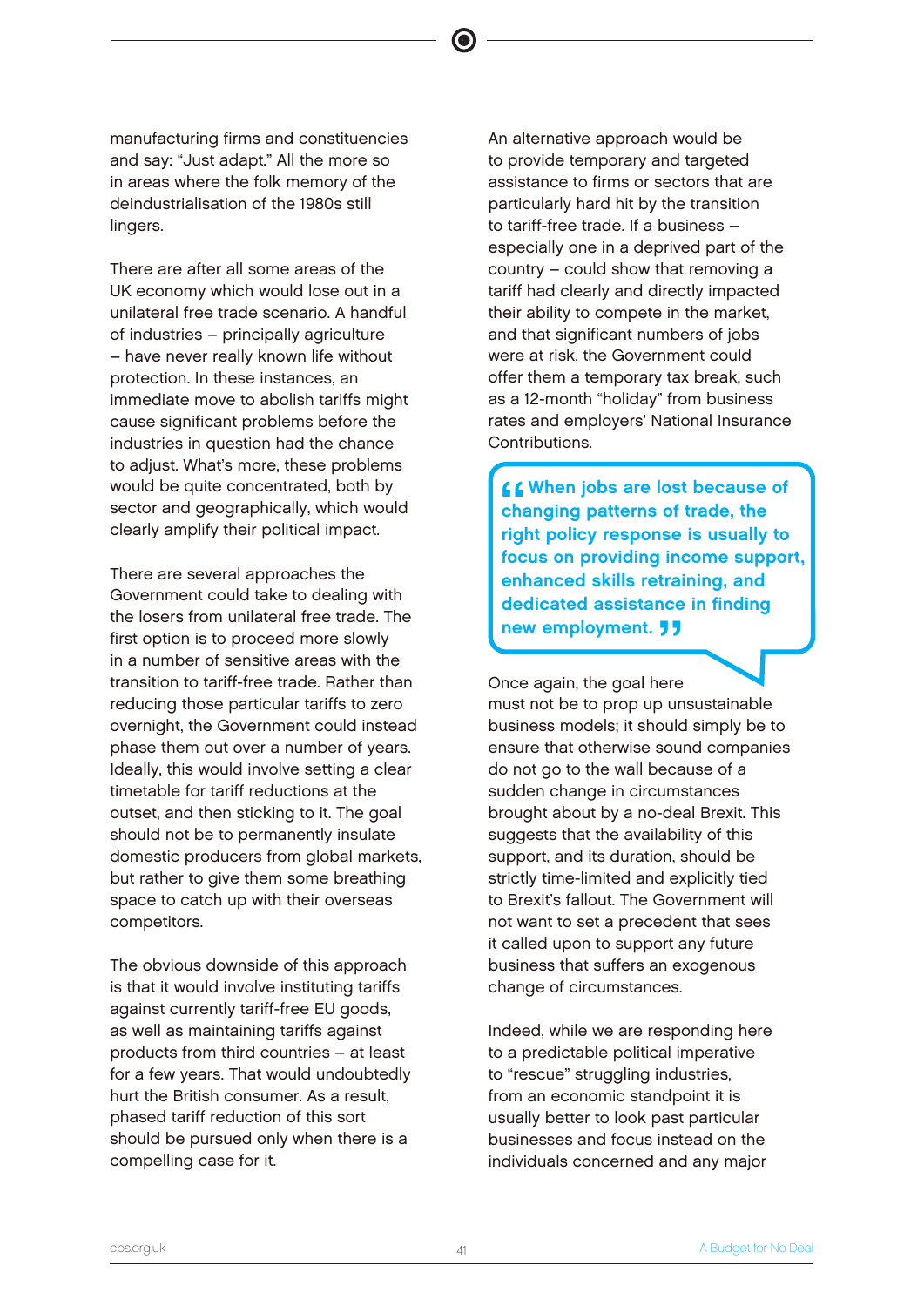manufacturing firms and constituencies and say: "Just adapt." All the more so in areas where the folk memory of the deindustrialisation of the 1980s still lingers.

There are after all some areas of the UK economy which would lose out in a unilateral free trade scenario. A handful of industries – principally agriculture – have never really known life without protection. In these instances, an immediate move to abolish tariffs might cause significant problems before the industries in question had the chance to adjust. What's more, these problems would be quite concentrated, both by sector and geographically, which would clearly amplify their political impact.

There are several approaches the Government could take to dealing with the losers from unilateral free trade. The first option is to proceed more slowly in a number of sensitive areas with the transition to tariff-free trade. Rather than reducing those particular tariffs to zero overnight, the Government could instead phase them out over a number of years. Ideally, this would involve setting a clear timetable for tariff reductions at the outset, and then sticking to it. The goal should not be to permanently insulate domestic producers from global markets, but rather to give them some breathing space to catch up with their overseas competitors.

The obvious downside of this approach is that it would involve instituting tariffs against currently tariff-free EU goods, as well as maintaining tariffs against products from third countries – at least for a few years. That would undoubtedly hurt the British consumer. As a result, phased tariff reduction of this sort should be pursued only when there is a compelling case for it.

An alternative approach would be to provide temporary and targeted assistance to firms or sectors that are particularly hard hit by the transition to tariff-free trade. If a business – especially one in a deprived part of the country – could show that removing a tariff had clearly and directly impacted their ability to compete in the market, and that significant numbers of jobs were at risk, the Government could offer them a temporary tax break, such as a 12-month "holiday" from business rates and employers' National Insurance Contributions.

 $'$ LL When jobs are lost because of changing patterns of trade, the right policy response is usually to focus on providing income support, enhanced skills retraining, and dedicated assistance in finding new employment. **JJ** 

Once again, the goal here must not be to prop up unsustainable business models; it should simply be to ensure that otherwise sound companies do not go to the wall because of a sudden change in circumstances brought about by a no-deal Brexit. This suggests that the availability of this support, and its duration, should be strictly time-limited and explicitly tied to Brexit's fallout. The Government will not want to set a precedent that sees it called upon to support any future business that suffers an exogenous change of circumstances.

Indeed, while we are responding here to a predictable political imperative to "rescue" struggling industries, from an economic standpoint it is usually better to look past particular businesses and focus instead on the individuals concerned and any major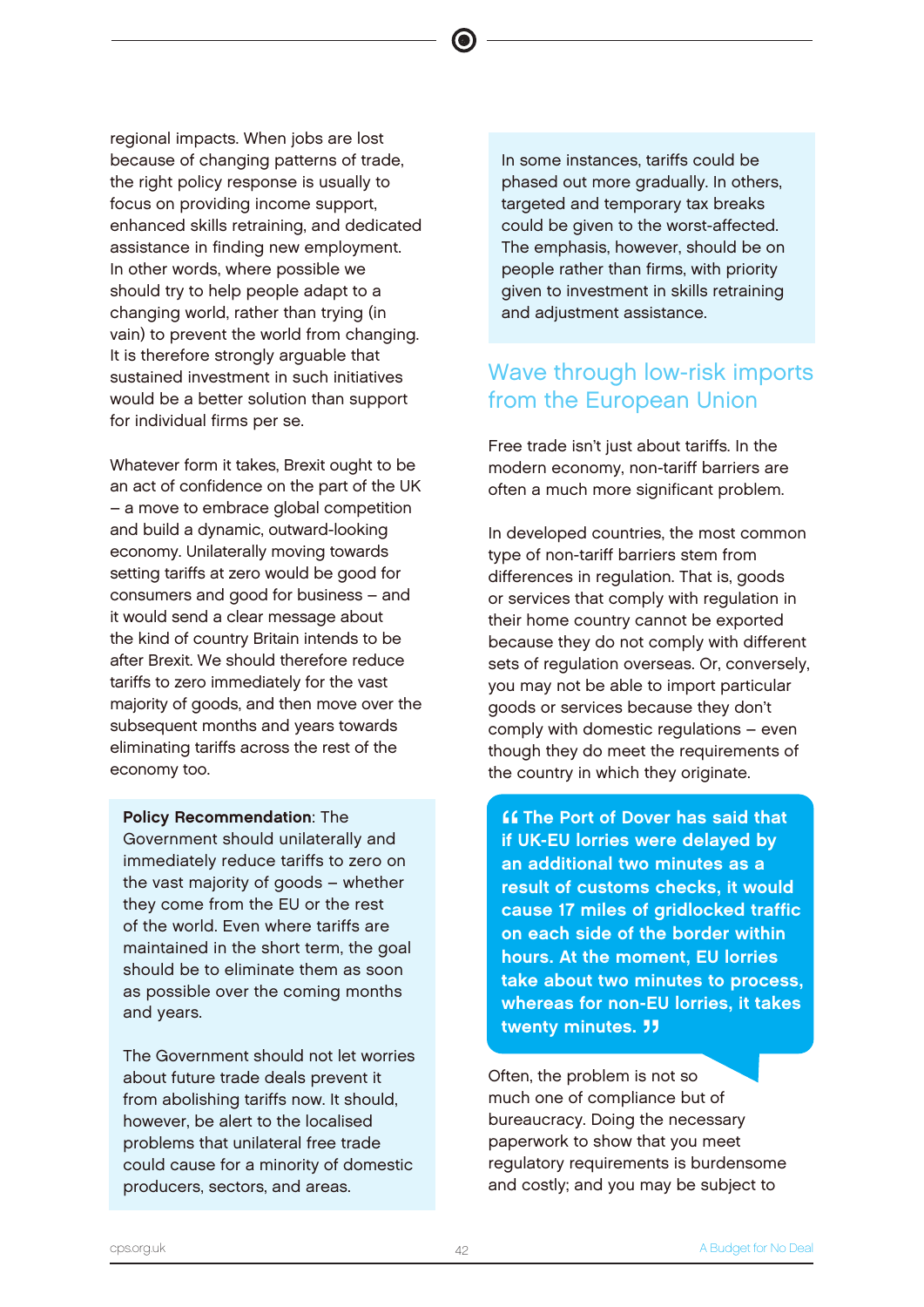regional impacts. When jobs are lost because of changing patterns of trade, the right policy response is usually to focus on providing income support, enhanced skills retraining, and dedicated assistance in finding new employment. In other words, where possible we should try to help people adapt to a changing world, rather than trying (in vain) to prevent the world from changing. It is therefore strongly arguable that sustained investment in such initiatives would be a better solution than support for individual firms per se.

Whatever form it takes, Brexit ought to be an act of confidence on the part of the UK – a move to embrace global competition and build a dynamic, outward-looking economy. Unilaterally moving towards setting tariffs at zero would be good for consumers and good for business – and it would send a clear message about the kind of country Britain intends to be after Brexit. We should therefore reduce tariffs to zero immediately for the vast majority of goods, and then move over the subsequent months and years towards eliminating tariffs across the rest of the economy too.

Policy Recommendation: The Government should unilaterally and immediately reduce tariffs to zero on the vast majority of goods – whether they come from the EU or the rest of the world. Even where tariffs are maintained in the short term, the goal should be to eliminate them as soon as possible over the coming months and years.

The Government should not let worries about future trade deals prevent it from abolishing tariffs now. It should, however, be alert to the localised problems that unilateral free trade could cause for a minority of domestic producers, sectors, and areas.

In some instances, tariffs could be phased out more gradually. In others, targeted and temporary tax breaks could be given to the worst-affected. The emphasis, however, should be on people rather than firms, with priority given to investment in skills retraining and adjustment assistance.

# Wave through low-risk imports from the European Union

Free trade isn't just about tariffs. In the modern economy, non-tariff barriers are often a much more significant problem.

In developed countries, the most common type of non-tariff barriers stem from differences in regulation. That is, goods or services that comply with regulation in their home country cannot be exported because they do not comply with different sets of regulation overseas. Or, conversely, you may not be able to import particular goods or services because they don't comply with domestic regulations – even though they do meet the requirements of the country in which they originate.

"<br>"<br>" **ff The Port of Dover has said that** if UK-EU lorries were delayed by an additional two minutes as a result of customs checks, it would cause 17 miles of gridlocked traffic on each side of the border within hours. At the moment, EU lorries take about two minutes to process, whereas for non-EU lorries, it takes twenty minutes. *JJ* 

Often, the problem is not so much one of compliance but of bureaucracy. Doing the necessary paperwork to show that you meet regulatory requirements is burdensome and costly; and you may be subject to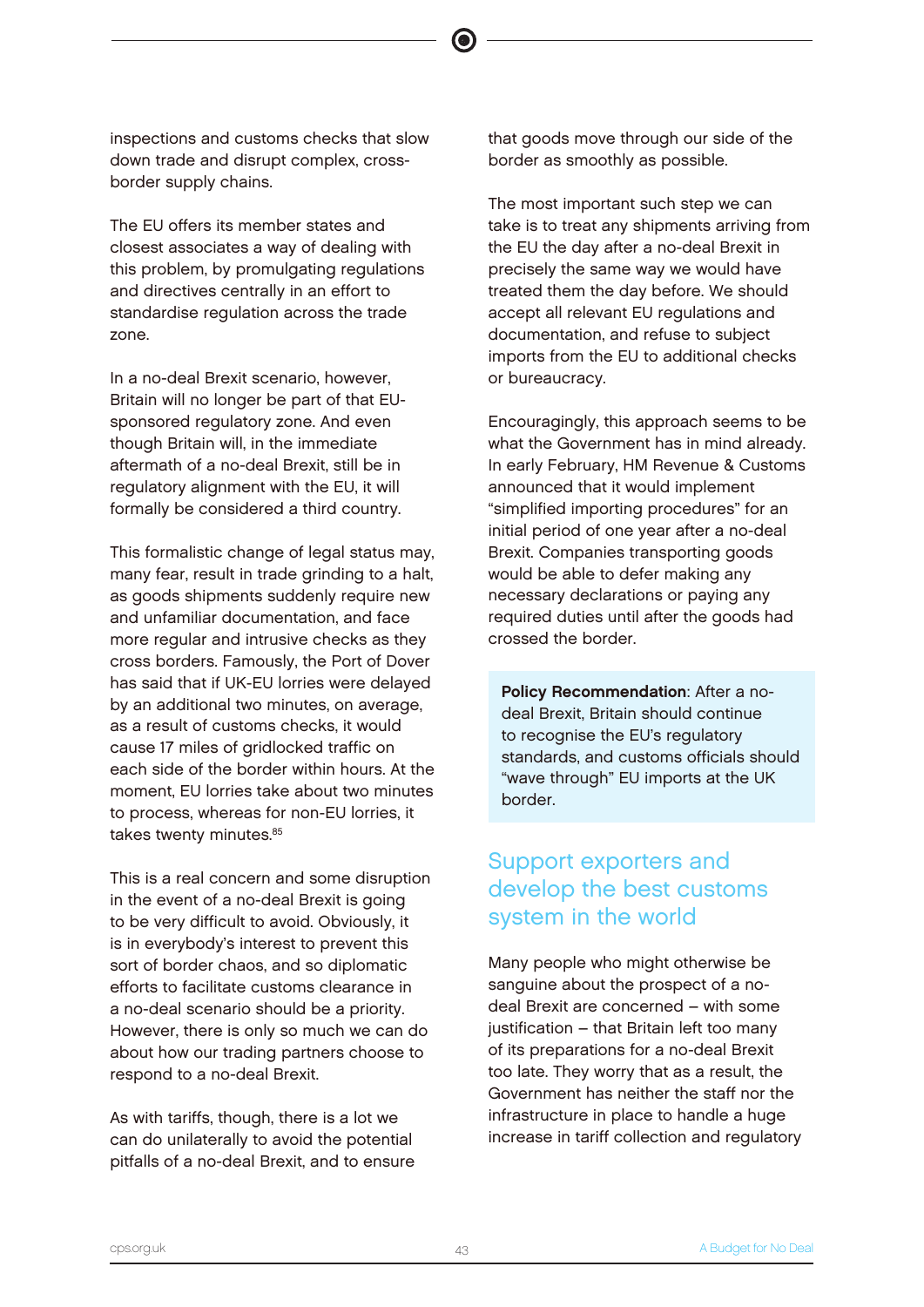inspections and customs checks that slow down trade and disrupt complex, crossborder supply chains.

The EU offers its member states and closest associates a way of dealing with this problem, by promulgating regulations and directives centrally in an effort to standardise regulation across the trade zone.

In a no-deal Brexit scenario, however, Britain will no longer be part of that EUsponsored regulatory zone. And even though Britain will, in the immediate aftermath of a no-deal Brexit, still be in regulatory alignment with the EU, it will formally be considered a third country.

This formalistic change of legal status may, many fear, result in trade grinding to a halt, as goods shipments suddenly require new and unfamiliar documentation, and face more regular and intrusive checks as they cross borders. Famously, the Port of Dover has said that if UK-EU lorries were delayed by an additional two minutes, on average, as a result of customs checks, it would cause 17 miles of gridlocked traffic on each side of the border within hours. At the moment, EU lorries take about two minutes to process, whereas for non-EU lorries, it takes twenty minutes.<sup>85</sup>

This is a real concern and some disruption in the event of a no-deal Brexit is going to be very difficult to avoid. Obviously, it is in everybody's interest to prevent this sort of border chaos, and so diplomatic efforts to facilitate customs clearance in a no-deal scenario should be a priority. However, there is only so much we can do about how our trading partners choose to respond to a no-deal Brexit.

As with tariffs, though, there is a lot we can do unilaterally to avoid the potential pitfalls of a no-deal Brexit, and to ensure that goods move through our side of the border as smoothly as possible.

The most important such step we can take is to treat any shipments arriving from the EU the day after a no-deal Brexit in precisely the same way we would have treated them the day before. We should accept all relevant EU regulations and documentation, and refuse to subject imports from the EU to additional checks or bureaucracy.

Encouragingly, this approach seems to be what the Government has in mind already. In early February, HM Revenue & Customs announced that it would implement "simplified importing procedures" for an initial period of one year after a no-deal Brexit. Companies transporting goods would be able to defer making any necessary declarations or paying any required duties until after the goods had crossed the border.

Policy Recommendation: After a nodeal Brexit, Britain should continue to recognise the EU's regulatory standards, and customs officials should "wave through" EU imports at the UK border.

# Support exporters and develop the best customs system in the world

Many people who might otherwise be sanguine about the prospect of a nodeal Brexit are concerned – with some justification – that Britain left too many of its preparations for a no-deal Brexit too late. They worry that as a result, the Government has neither the staff nor the infrastructure in place to handle a huge increase in tariff collection and regulatory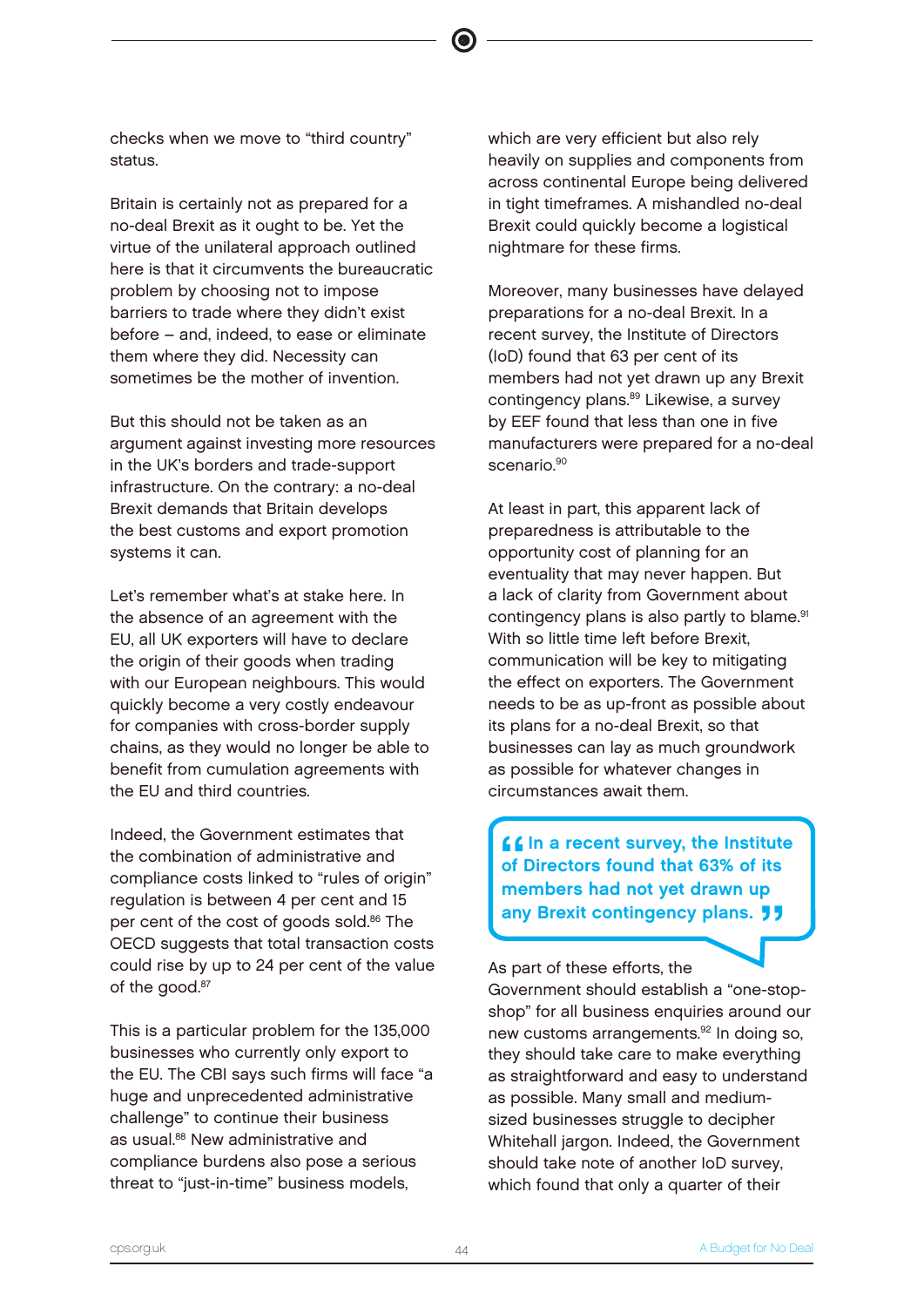checks when we move to "third country" status.

Britain is certainly not as prepared for a no-deal Brexit as it ought to be. Yet the virtue of the unilateral approach outlined here is that it circumvents the bureaucratic problem by choosing not to impose barriers to trade where they didn't exist before – and, indeed, to ease or eliminate them where they did. Necessity can sometimes be the mother of invention.

But this should not be taken as an argument against investing more resources in the UK's borders and trade-support infrastructure. On the contrary: a no-deal Brexit demands that Britain develops the best customs and export promotion systems it can.

Let's remember what's at stake here. In the absence of an agreement with the EU, all UK exporters will have to declare the origin of their goods when trading with our European neighbours. This would quickly become a very costly endeavour for companies with cross-border supply chains, as they would no longer be able to benefit from cumulation agreements with the EU and third countries.

Indeed, the Government estimates that the combination of administrative and compliance costs linked to "rules of origin" regulation is between 4 per cent and 15 per cent of the cost of goods sold.<sup>86</sup> The OECD suggests that total transaction costs could rise by up to 24 per cent of the value of the good.<sup>87</sup>

This is a particular problem for the 135,000 businesses who currently only export to the EU. The CBI says such firms will face "a huge and unprecedented administrative challenge" to continue their business as usual.<sup>88</sup> New administrative and compliance burdens also pose a serious threat to "just-in-time" business models,

which are very efficient but also rely heavily on supplies and components from across continental Europe being delivered in tight timeframes. A mishandled no-deal Brexit could quickly become a logistical nightmare for these firms.

Moreover, many businesses have delayed preparations for a no-deal Brexit. In a recent survey, the Institute of Directors (IoD) found that 63 per cent of its members had not yet drawn up any Brexit contingency plans.<sup>89</sup> Likewise, a survey by EEF found that less than one in five manufacturers were prepared for a no-deal scenario.<sup>90</sup>

At least in part, this apparent lack of preparedness is attributable to the opportunity cost of planning for an eventuality that may never happen. But a lack of clarity from Government about contingency plans is also partly to blame.<sup>91</sup> With so little time left before Brexit, communication will be key to mitigating the effect on exporters. The Government needs to be as up-front as possible about its plans for a no-deal Brexit, so that businesses can lay as much groundwork as possible for whatever changes in circumstances await them.

 $^{\frac{66}{}}$  $f f$  In a recent survey, the Institute of Directors found that 63% of its members had not yet drawn up any Brexit contingency plans. **JJ** 

As part of these efforts, the

Government should establish a "one-stopshop" for all business enquiries around our new customs arrangements.<sup>92</sup> In doing so, they should take care to make everything as straightforward and easy to understand as possible. Many small and mediumsized businesses struggle to decipher Whitehall jargon. Indeed, the Government should take note of another IoD survey, which found that only a quarter of their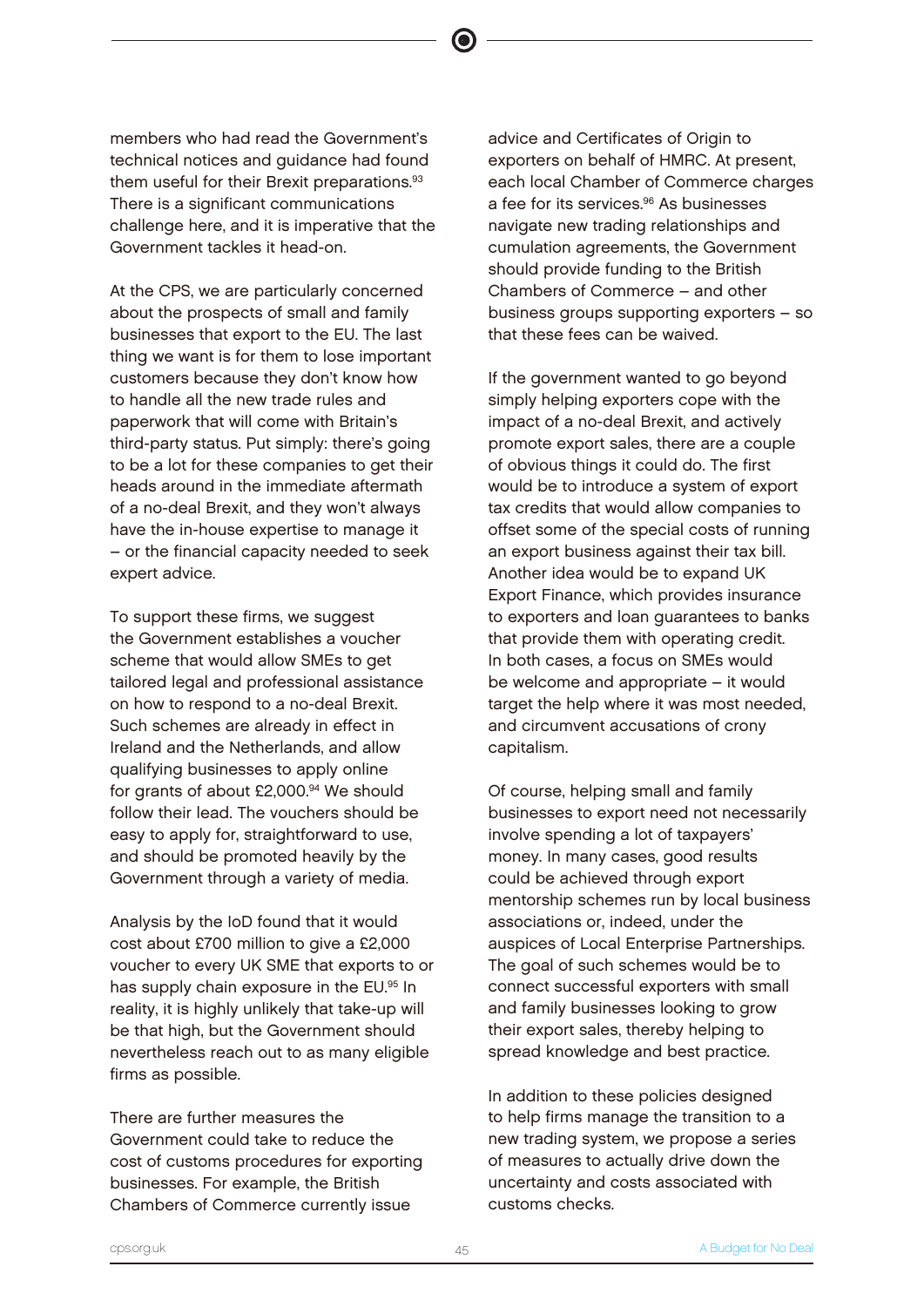members who had read the Government's technical notices and guidance had found them useful for their Brexit preparations.<sup>93</sup> There is a significant communications challenge here, and it is imperative that the Government tackles it head-on.

At the CPS, we are particularly concerned about the prospects of small and family businesses that export to the EU. The last thing we want is for them to lose important customers because they don't know how to handle all the new trade rules and paperwork that will come with Britain's third-party status. Put simply: there's going to be a lot for these companies to get their heads around in the immediate aftermath of a no-deal Brexit, and they won't always have the in-house expertise to manage it – or the financial capacity needed to seek expert advice.

To support these firms, we suggest the Government establishes a voucher scheme that would allow SMEs to get tailored legal and professional assistance on how to respond to a no-deal Brexit. Such schemes are already in effect in Ireland and the Netherlands, and allow qualifying businesses to apply online for grants of about £2,000.94 We should follow their lead. The vouchers should be easy to apply for, straightforward to use, and should be promoted heavily by the Government through a variety of media.

Analysis by the IoD found that it would cost about £700 million to give a £2,000 voucher to every UK SME that exports to or has supply chain exposure in the EU.95 In reality, it is highly unlikely that take-up will be that high, but the Government should nevertheless reach out to as many eligible firms as possible.

There are further measures the Government could take to reduce the cost of customs procedures for exporting businesses. For example, the British Chambers of Commerce currently issue

advice and Certificates of Origin to exporters on behalf of HMRC. At present, each local Chamber of Commerce charges a fee for its services.<sup>96</sup> As businesses navigate new trading relationships and cumulation agreements, the Government should provide funding to the British Chambers of Commerce – and other business groups supporting exporters – so that these fees can be waived.

If the government wanted to go beyond simply helping exporters cope with the impact of a no-deal Brexit, and actively promote export sales, there are a couple of obvious things it could do. The first would be to introduce a system of export tax credits that would allow companies to offset some of the special costs of running an export business against their tax bill. Another idea would be to expand UK Export Finance, which provides insurance to exporters and loan guarantees to banks that provide them with operating credit. In both cases, a focus on SMEs would be welcome and appropriate – it would target the help where it was most needed, and circumvent accusations of crony capitalism.

Of course, helping small and family businesses to export need not necessarily involve spending a lot of taxpayers' money. In many cases, good results could be achieved through export mentorship schemes run by local business associations or, indeed, under the auspices of Local Enterprise Partnerships. The goal of such schemes would be to connect successful exporters with small and family businesses looking to grow their export sales, thereby helping to spread knowledge and best practice.

In addition to these policies designed to help firms manage the transition to a new trading system, we propose a series of measures to actually drive down the uncertainty and costs associated with customs checks.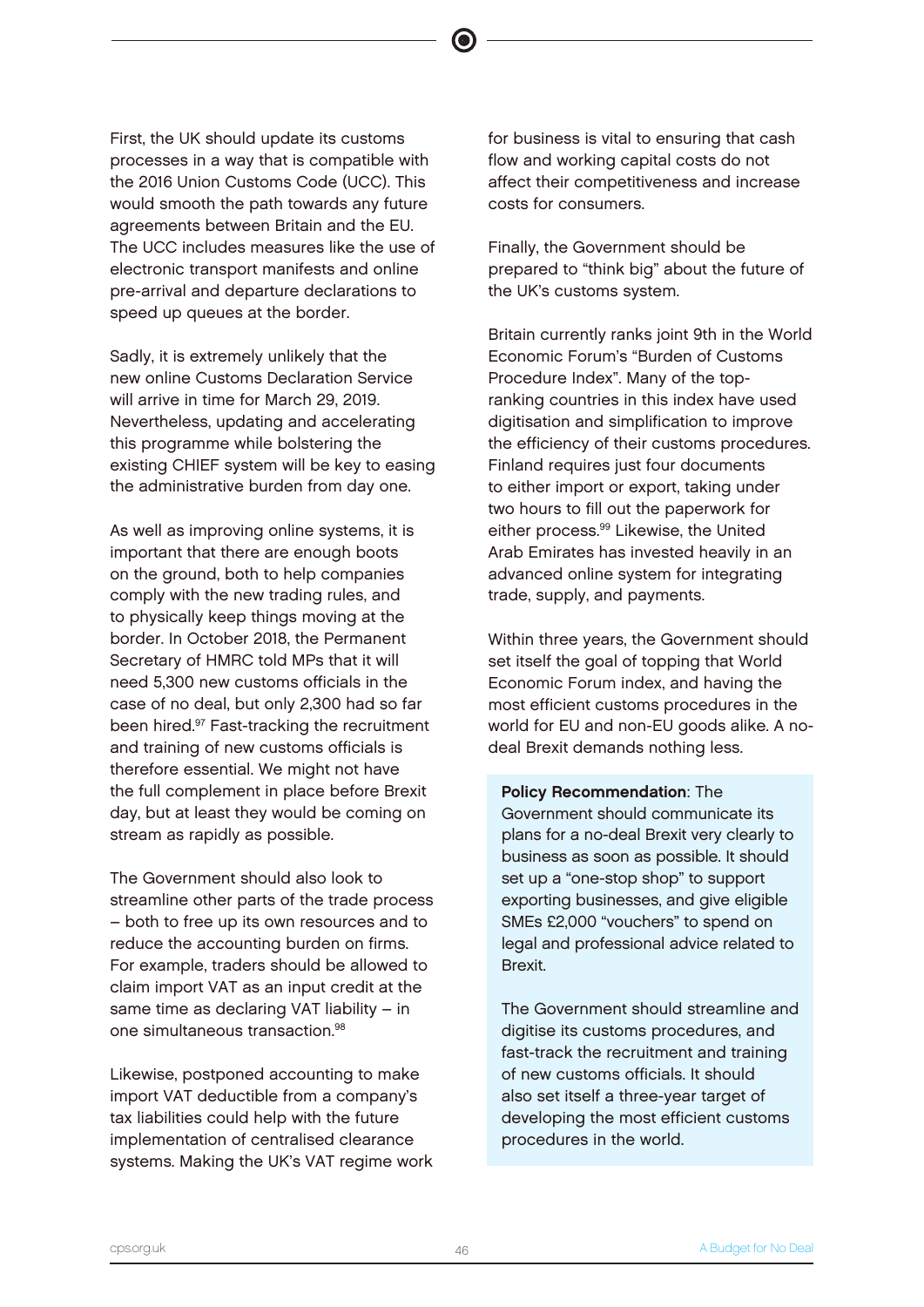First, the UK should update its customs processes in a way that is compatible with the 2016 Union Customs Code (UCC). This would smooth the path towards any future agreements between Britain and the EU. The UCC includes measures like the use of electronic transport manifests and online pre-arrival and departure declarations to speed up queues at the border.

Sadly, it is extremely unlikely that the new online Customs Declaration Service will arrive in time for March 29, 2019. Nevertheless, updating and accelerating this programme while bolstering the existing CHIEF system will be key to easing the administrative burden from day one.

As well as improving online systems, it is important that there are enough boots on the ground, both to help companies comply with the new trading rules, and to physically keep things moving at the border. In October 2018, the Permanent Secretary of HMRC told MPs that it will need 5,300 new customs officials in the case of no deal, but only 2,300 had so far been hired.<sup>97</sup> Fast-tracking the recruitment and training of new customs officials is therefore essential. We might not have the full complement in place before Brexit day, but at least they would be coming on stream as rapidly as possible.

The Government should also look to streamline other parts of the trade process – both to free up its own resources and to reduce the accounting burden on firms. For example, traders should be allowed to claim import VAT as an input credit at the same time as declaring VAT liability – in one simultaneous transaction<sup>98</sup>

Likewise, postponed accounting to make import VAT deductible from a company's tax liabilities could help with the future implementation of centralised clearance systems. Making the UK's VAT regime work for business is vital to ensuring that cash flow and working capital costs do not affect their competitiveness and increase costs for consumers.

Finally, the Government should be prepared to "think big" about the future of the UK's customs system.

Britain currently ranks joint 9th in the World Economic Forum's "Burden of Customs Procedure Index". Many of the topranking countries in this index have used digitisation and simplification to improve the efficiency of their customs procedures. Finland requires just four documents to either import or export, taking under two hours to fill out the paperwork for either process.<sup>99</sup> Likewise, the United Arab Emirates has invested heavily in an advanced online system for integrating trade, supply, and payments.

Within three years, the Government should set itself the goal of topping that World Economic Forum index, and having the most efficient customs procedures in the world for EU and non-EU goods alike. A nodeal Brexit demands nothing less.

Policy Recommendation: The Government should communicate its plans for a no-deal Brexit very clearly to business as soon as possible. It should set up a "one-stop shop" to support exporting businesses, and give eligible SMEs £2,000 "vouchers" to spend on legal and professional advice related to Brexit.

The Government should streamline and digitise its customs procedures, and fast-track the recruitment and training of new customs officials. It should also set itself a three-year target of developing the most efficient customs procedures in the world.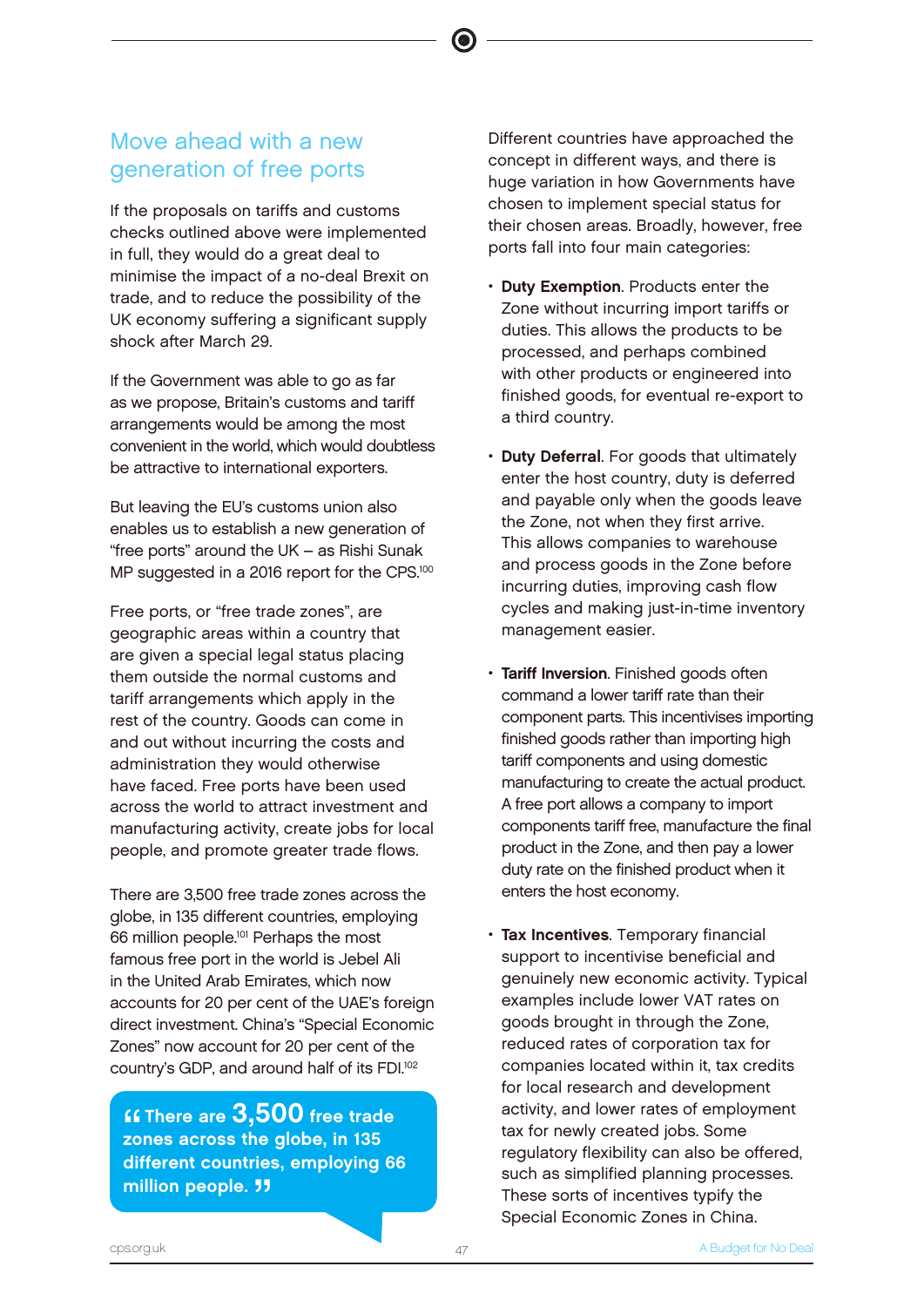# Move ahead with a new generation of free ports

If the proposals on tariffs and customs checks outlined above were implemented in full, they would do a great deal to minimise the impact of a no-deal Brexit on trade, and to reduce the possibility of the UK economy suffering a significant supply shock after March 29.

If the Government was able to go as far as we propose, Britain's customs and tariff arrangements would be among the most convenient in the world, which would doubtless be attractive to international exporters.

But leaving the EU's customs union also enables us to establish a new generation of "free ports" around the UK – as Rishi Sunak MP suggested in a 2016 report for the CPS.<sup>100</sup>

Free ports, or "free trade zones", are geographic areas within a country that are given a special legal status placing them outside the normal customs and tariff arrangements which apply in the rest of the country. Goods can come in and out without incurring the costs and administration they would otherwise have faced. Free ports have been used across the world to attract investment and manufacturing activity, create jobs for local people, and promote greater trade flows.

There are 3,500 free trade zones across the globe, in 135 different countries, employing 66 million people.<sup>101</sup> Perhaps the most famous free port in the world is Jebel Ali in the United Arab Emirates, which now accounts for 20 per cent of the UAE's foreign direct investment. China's "Special Economic Zones" now account for 20 per cent of the country's GDP, and around half of its FDI.<sup>102</sup>

**""**<br>20<br>" **ff There are 3.500 free trade** zones across the globe, in 135 different countries, employing 66 million people. **11** 

Different countries have approached the concept in different ways, and there is huge variation in how Governments have chosen to implement special status for their chosen areas. Broadly, however, free ports fall into four main categories:

- Duty Exemption. Products enter the Zone without incurring import tariffs or duties. This allows the products to be processed, and perhaps combined with other products or engineered into finished goods, for eventual re-export to a third country.
- **Duty Deferral.** For goods that ultimately enter the host country, duty is deferred and payable only when the goods leave the Zone, not when they first arrive. This allows companies to warehouse and process goods in the Zone before incurring duties, improving cash flow cycles and making just-in-time inventory management easier.
- Tariff Inversion. Finished goods often command a lower tariff rate than their component parts. This incentivises importing finished goods rather than importing high tariff components and using domestic manufacturing to create the actual product. A free port allows a company to import components tariff free, manufacture the final product in the Zone, and then pay a lower duty rate on the finished product when it enters the host economy.
- Tax Incentives. Temporary financial support to incentivise beneficial and genuinely new economic activity. Typical examples include lower VAT rates on goods brought in through the Zone, reduced rates of corporation tax for companies located within it, tax credits for local research and development activity, and lower rates of employment tax for newly created jobs. Some regulatory flexibility can also be offered, such as simplified planning processes. These sorts of incentives typify the Special Economic Zones in China.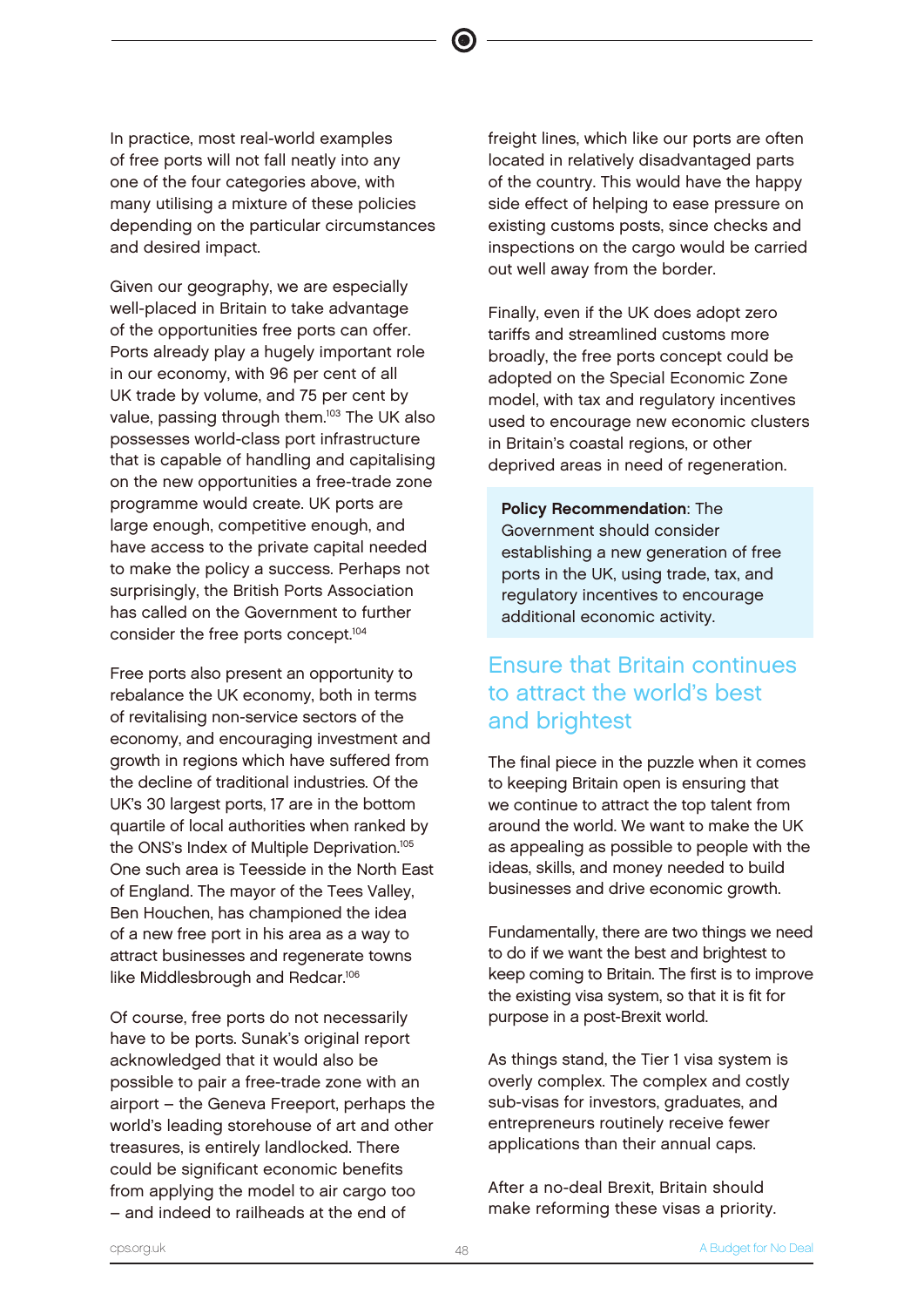In practice, most real-world examples of free ports will not fall neatly into any one of the four categories above, with many utilising a mixture of these policies depending on the particular circumstances and desired impact.

Given our geography, we are especially well-placed in Britain to take advantage of the opportunities free ports can offer. Ports already play a hugely important role in our economy, with 96 per cent of all UK trade by volume, and 75 per cent by value, passing through them.<sup>103</sup> The UK also possesses world-class port infrastructure that is capable of handling and capitalising on the new opportunities a free-trade zone programme would create. UK ports are large enough, competitive enough, and have access to the private capital needed to make the policy a success. Perhaps not surprisingly, the British Ports Association has called on the Government to further consider the free ports concept.<sup>104</sup>

Free ports also present an opportunity to rebalance the UK economy, both in terms of revitalising non-service sectors of the economy, and encouraging investment and growth in regions which have suffered from the decline of traditional industries. Of the UK's 30 largest ports, 17 are in the bottom quartile of local authorities when ranked by the ONS's Index of Multiple Deprivation.<sup>105</sup> One such area is Teesside in the North East of England. The mayor of the Tees Valley, Ben Houchen, has championed the idea of a new free port in his area as a way to attract businesses and regenerate towns like Middlesbrough and Redcar.<sup>106</sup>

Of course, free ports do not necessarily have to be ports. Sunak's original report acknowledged that it would also be possible to pair a free-trade zone with an airport – the Geneva Freeport, perhaps the world's leading storehouse of art and other treasures, is entirely landlocked. There could be significant economic benefits from applying the model to air cargo too – and indeed to railheads at the end of

freight lines, which like our ports are often located in relatively disadvantaged parts of the country. This would have the happy side effect of helping to ease pressure on existing customs posts, since checks and inspections on the cargo would be carried out well away from the border.

 $\bullet$ 

Finally, even if the UK does adopt zero tariffs and streamlined customs more broadly, the free ports concept could be adopted on the Special Economic Zone model, with tax and regulatory incentives used to encourage new economic clusters in Britain's coastal regions, or other deprived areas in need of regeneration.

Policy Recommendation: The Government should consider establishing a new generation of free ports in the UK, using trade, tax, and regulatory incentives to encourage additional economic activity.

# Ensure that Britain continues to attract the world's best and brightest

The final piece in the puzzle when it comes to keeping Britain open is ensuring that we continue to attract the top talent from around the world. We want to make the UK as appealing as possible to people with the ideas, skills, and money needed to build businesses and drive economic growth.

Fundamentally, there are two things we need to do if we want the best and brightest to keep coming to Britain. The first is to improve the existing visa system, so that it is fit for purpose in a post-Brexit world.

As things stand, the Tier 1 visa system is overly complex. The complex and costly sub-visas for investors, graduates, and entrepreneurs routinely receive fewer applications than their annual caps.

After a no-deal Brexit, Britain should make reforming these visas a priority.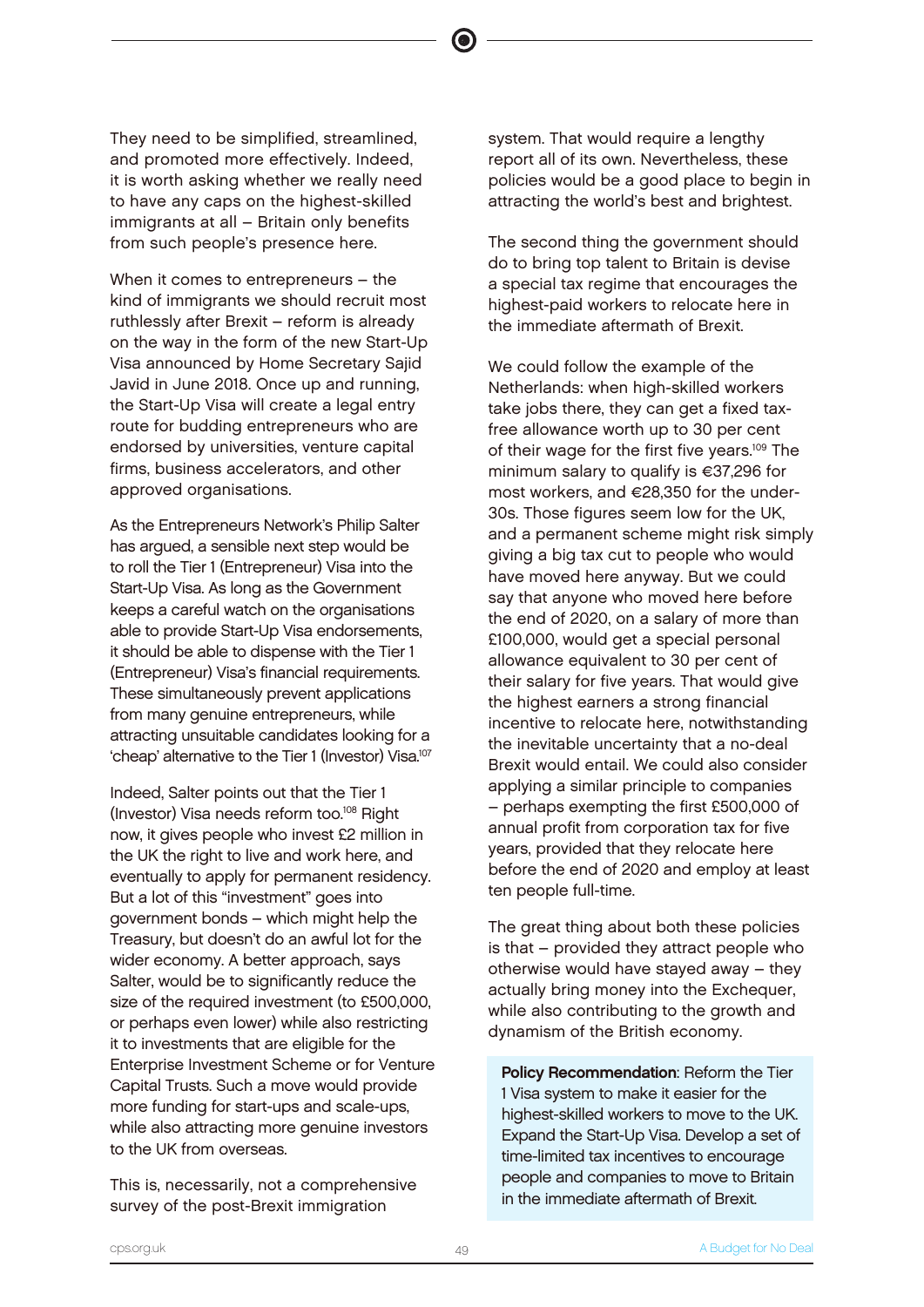They need to be simplified, streamlined, and promoted more effectively. Indeed, it is worth asking whether we really need to have any caps on the highest-skilled immigrants at all – Britain only benefits from such people's presence here.

When it comes to entrepreneurs – the kind of immigrants we should recruit most ruthlessly after Brexit – reform is already on the way in the form of the new Start-Up Visa announced by Home Secretary Sajid Javid in June 2018. Once up and running, the Start-Up Visa will create a legal entry route for budding entrepreneurs who are endorsed by universities, venture capital firms, business accelerators, and other approved organisations.

As the Entrepreneurs Network's Philip Salter has argued, a sensible next step would be to roll the Tier 1 (Entrepreneur) Visa into the Start-Up Visa. As long as the Government keeps a careful watch on the organisations able to provide Start-Up Visa endorsements, it should be able to dispense with the Tier 1 (Entrepreneur) Visa's financial requirements. These simultaneously prevent applications from many genuine entrepreneurs, while attracting unsuitable candidates looking for a 'cheap' alternative to the Tier 1 (Investor) Visa.<sup>107</sup>

Indeed, Salter points out that the Tier 1 (Investor) Visa needs reform too.<sup>108</sup> Right now, it gives people who invest £2 million in the UK the right to live and work here, and eventually to apply for permanent residency. But a lot of this "investment" goes into government bonds – which might help the Treasury, but doesn't do an awful lot for the wider economy. A better approach, says Salter, would be to significantly reduce the size of the required investment (to £500,000, or perhaps even lower) while also restricting it to investments that are eligible for the Enterprise Investment Scheme or for Venture Capital Trusts. Such a move would provide more funding for start-ups and scale-ups, while also attracting more genuine investors to the UK from overseas.

This is, necessarily, not a comprehensive survey of the post-Brexit immigration

system. That would require a lengthy report all of its own. Nevertheless, these policies would be a good place to begin in attracting the world's best and brightest.

 $\bullet$ 

The second thing the government should do to bring top talent to Britain is devise a special tax regime that encourages the highest-paid workers to relocate here in the immediate aftermath of Brexit.

We could follow the example of the Netherlands: when high-skilled workers take jobs there, they can get a fixed taxfree allowance worth up to 30 per cent of their wage for the first five years.<sup>109</sup> The minimum salary to qualify is €37,296 for most workers, and €28,350 for the under-30s. Those figures seem low for the UK, and a permanent scheme might risk simply giving a big tax cut to people who would have moved here anyway. But we could say that anyone who moved here before the end of 2020, on a salary of more than £100,000, would get a special personal allowance equivalent to 30 per cent of their salary for five years. That would give the highest earners a strong financial incentive to relocate here, notwithstanding the inevitable uncertainty that a no-deal Brexit would entail. We could also consider applying a similar principle to companies – perhaps exempting the first £500,000 of annual profit from corporation tax for five years, provided that they relocate here before the end of 2020 and employ at least ten people full-time.

The great thing about both these policies is that – provided they attract people who otherwise would have stayed away – they actually bring money into the Exchequer, while also contributing to the growth and dynamism of the British economy.

Policy Recommendation: Reform the Tier 1 Visa system to make it easier for the highest-skilled workers to move to the UK. Expand the Start-Up Visa. Develop a set of time-limited tax incentives to encourage people and companies to move to Britain in the immediate aftermath of Brexit.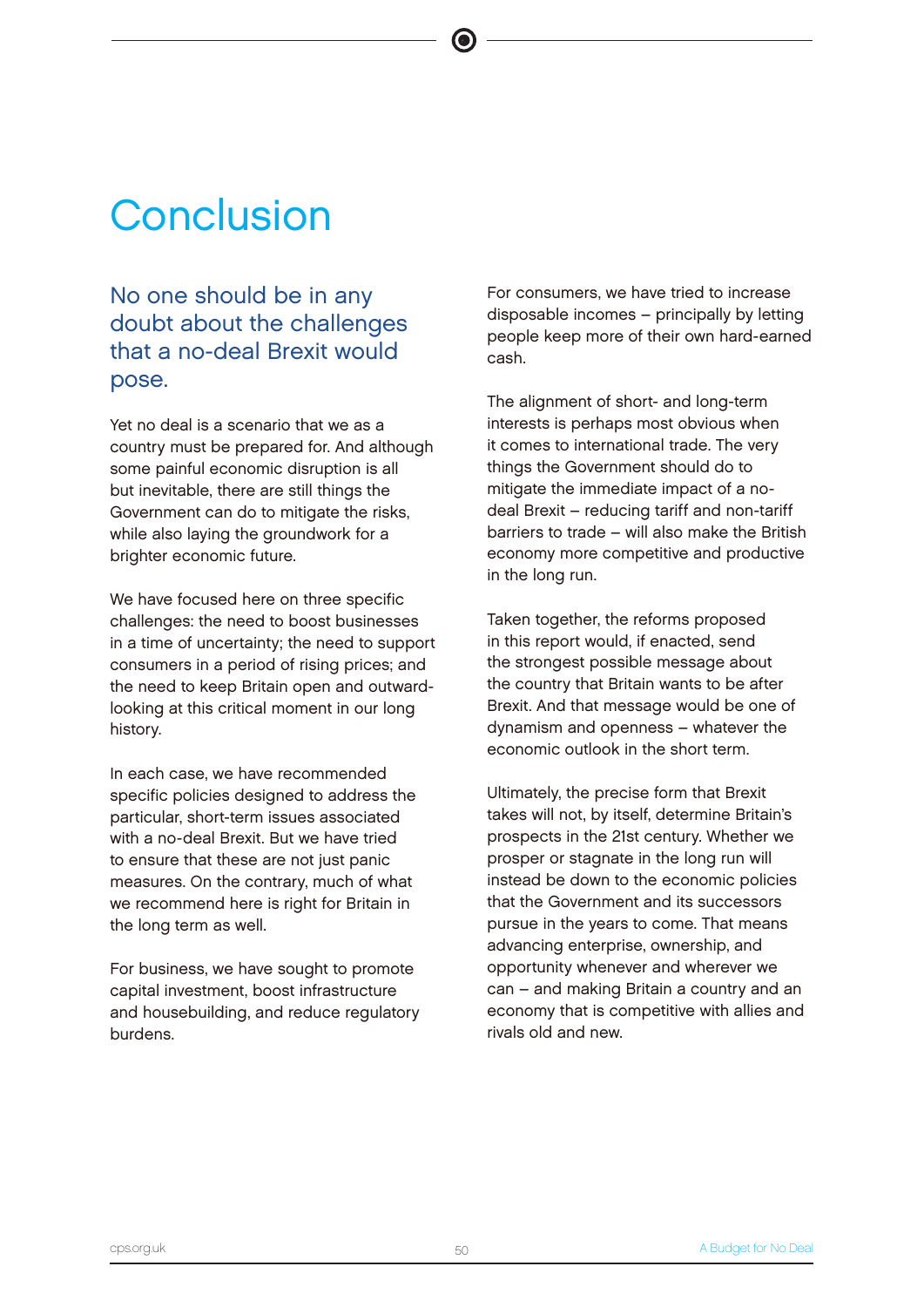# **Conclusion**

# No one should be in any doubt about the challenges that a no-deal Brexit would pose.

Yet no deal is a scenario that we as a country must be prepared for. And although some painful economic disruption is all but inevitable, there are still things the Government can do to mitigate the risks, while also laying the groundwork for a brighter economic future.

We have focused here on three specific challenges: the need to boost businesses in a time of uncertainty; the need to support consumers in a period of rising prices; and the need to keep Britain open and outwardlooking at this critical moment in our long history.

In each case, we have recommended specific policies designed to address the particular, short-term issues associated with a no-deal Brexit. But we have tried to ensure that these are not just panic measures. On the contrary, much of what we recommend here is right for Britain in the long term as well.

For business, we have sought to promote capital investment, boost infrastructure and housebuilding, and reduce regulatory burdens.

For consumers, we have tried to increase disposable incomes – principally by letting people keep more of their own hard-earned cash.

The alignment of short- and long-term interests is perhaps most obvious when it comes to international trade. The very things the Government should do to mitigate the immediate impact of a nodeal Brexit – reducing tariff and non-tariff barriers to trade – will also make the British economy more competitive and productive in the long run.

Taken together, the reforms proposed in this report would, if enacted, send the strongest possible message about the country that Britain wants to be after Brexit. And that message would be one of dynamism and openness – whatever the economic outlook in the short term.

Ultimately, the precise form that Brexit takes will not, by itself, determine Britain's prospects in the 21st century. Whether we prosper or stagnate in the long run will instead be down to the economic policies that the Government and its successors pursue in the years to come. That means advancing enterprise, ownership, and opportunity whenever and wherever we can – and making Britain a country and an economy that is competitive with allies and rivals old and new.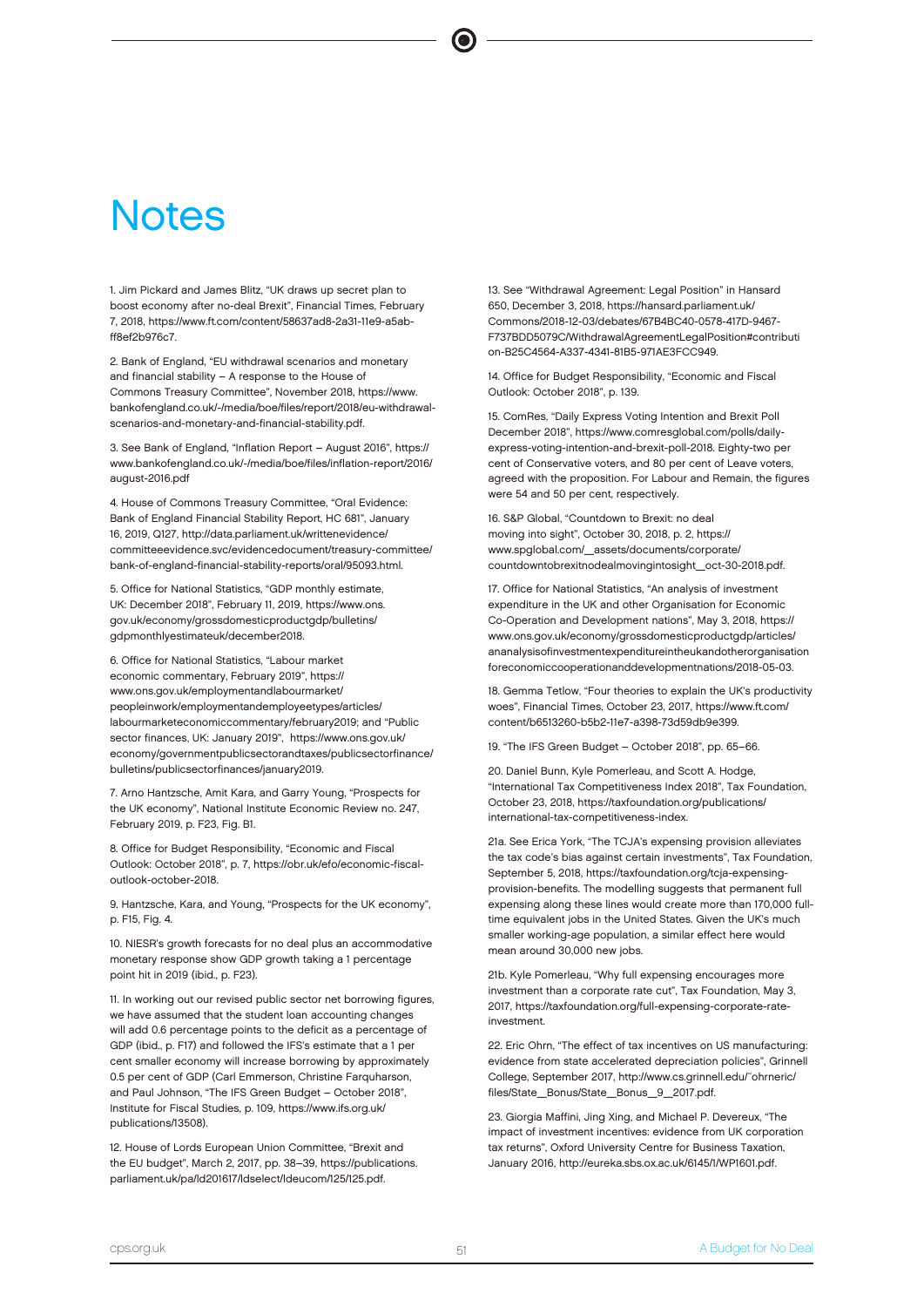# **Notes**

1. Jim Pickard and James Blitz, "UK draws up secret plan to boost economy after no-deal Brexit", Financial Times, February 7, 2018, https://www.ft.com/content/58637ad8-2a31-11e9-a5abff8ef2b976c7.

2. Bank of England, "EU withdrawal scenarios and monetary and financial stability – A response to the House of Commons Treasury Committee", November 2018, https://www. bankofengland.co.uk/-/media/boe/files/report/2018/eu-withdrawalscenarios-and-monetary-and-financial-stability.pdf.

3. See Bank of England, "Inflation Report – August 2016", https:// www.bankofengland.co.uk/-/media/boe/files/inflation-report/2016/ august-2016.pdf

4. House of Commons Treasury Committee, "Oral Evidence: Bank of England Financial Stability Report, HC 681", January 16, 2019, Q127, http://data.parliament.uk/writtenevidence/ committeeevidence.svc/evidencedocument/treasury-committee/ bank-of-england-financial-stability-reports/oral/95093.html.

5. Office for National Statistics, "GDP monthly estimate, UK: December 2018", February 11, 2019, https://www.ons. gov.uk/economy/grossdomesticproductgdp/bulletins/ gdpmonthlyestimateuk/december2018.

6. Office for National Statistics, "Labour market economic commentary, February 2019", https:// www.ons.gov.uk/employmentandlabourmarket/ peopleinwork/employmentandemployeetypes/articles/ labourmarketeconomiccommentary/february2019; and "Public sector finances, UK: January 2019", https://www.ons.gov.uk/ economy/governmentpublicsectorandtaxes/publicsectorfinance/ bulletins/publicsectorfinances/january2019.

7. Arno Hantzsche, Amit Kara, and Garry Young, "Prospects for the UK economy", National Institute Economic Review no. 247, February 2019, p. F23, Fig. B1.

8. Office for Budget Responsibility, "Economic and Fiscal Outlook: October 2018", p. 7, https://obr.uk/efo/economic-fiscaloutlook-october-2018.

9. Hantzsche, Kara, and Young, "Prospects for the UK economy", p. F15, Fig. 4.

10. NIESR's growth forecasts for no deal plus an accommodative monetary response show GDP growth taking a 1 percentage point hit in 2019 (ibid., p. F23).

11. In working out our revised public sector net borrowing figures, we have assumed that the student loan accounting changes will add 0.6 percentage points to the deficit as a percentage of GDP (ibid., p. F17) and followed the IFS's estimate that a 1 per cent smaller economy will increase borrowing by approximately 0.5 per cent of GDP (Carl Emmerson, Christine Farquharson, and Paul Johnson, "The IFS Green Budget – October 2018", Institute for Fiscal Studies, p. 109, https://www.ifs.org.uk/ publications/13508).

12. House of Lords European Union Committee, "Brexit and the EU budget", March 2, 2017, pp. 38–39, https://publications. parliament.uk/pa/ld201617/ldselect/ldeucom/125/125.pdf.

13. See "Withdrawal Agreement: Legal Position" in Hansard 650, December 3, 2018, https://hansard.parliament.uk/ Commons/2018-12-03/debates/67B4BC40-0578-417D-9467- F737BDD5079C/WithdrawalAgreementLegalPosition#contributi on-B25C4564-A337-4341-81B5-971AE3FCC949.

14. Office for Budget Responsibility, "Economic and Fiscal Outlook: October 2018", p. 139.

15. ComRes, "Daily Express Voting Intention and Brexit Poll December 2018", https://www.comresglobal.com/polls/dailyexpress-voting-intention-and-brexit-poll-2018. Eighty-two per cent of Conservative voters, and 80 per cent of Leave voters agreed with the proposition. For Labour and Remain, the figures were 54 and 50 per cent, respectively.

16. S&P Global, "Countdown to Brexit: no deal moving into sight", October 30, 2018, p. 2, https:// www.spglobal.com/\_assets/documents/corporate/ countdowntobrexitnodealmovingintosight\_oct-30-2018.pdf.

17. Office for National Statistics, "An analysis of investment expenditure in the UK and other Organisation for Economic Co-Operation and Development nations", May 3, 2018, https:// www.ons.gov.uk/economy/grossdomesticproductgdp/articles/ ananalysisofinvestmentexpenditureintheukandotherorganisation foreconomiccooperationanddevelopmentnations/2018-05-03.

18. Gemma Tetlow, "Four theories to explain the UK's productivity woes", Financial Times, October 23, 2017, https://www.ft.com/ content/b6513260-b5b2-11e7-a398-73d59db9e399.

19. "The IFS Green Budget – October 2018", pp. 65–66.

20. Daniel Bunn, Kyle Pomerleau, and Scott A. Hodge, "International Tax Competitiveness Index 2018", Tax Foundation, October 23, 2018, https://taxfoundation.org/publications/ international-tax-competitiveness-index.

21a. See Erica York, "The TCJA's expensing provision alleviates the tax code's bias against certain investments", Tax Foundation, September 5, 2018, https://taxfoundation.org/tcja-expensingprovision-benefits. The modelling suggests that permanent full expensing along these lines would create more than 170,000 fulltime equivalent jobs in the United States. Given the UK's much smaller working-age population, a similar effect here would mean around 30,000 new jobs.

21b. Kyle Pomerleau, "Why full expensing encourages more investment than a corporate rate cut", Tax Foundation, May 3, 2017, https://taxfoundation.org/full-expensing-corporate-rateinvestment.

22. Eric Ohrn, "The effect of tax incentives on US manufacturing: evidence from state accelerated depreciation policies", Grinnell College, September 2017, http://www.cs.grinnell.edu/~ohrneric/ files/State\_Bonus/State\_Bonus\_9\_2017.pdf.

23. Giorgia Maffini, Jing Xing, and Michael P. Devereux, "The impact of investment incentives: evidence from UK corporation tax returns", Oxford University Centre for Business Taxation, January 2016, http://eureka.sbs.ox.ac.uk/6145/1/WP1601.pdf.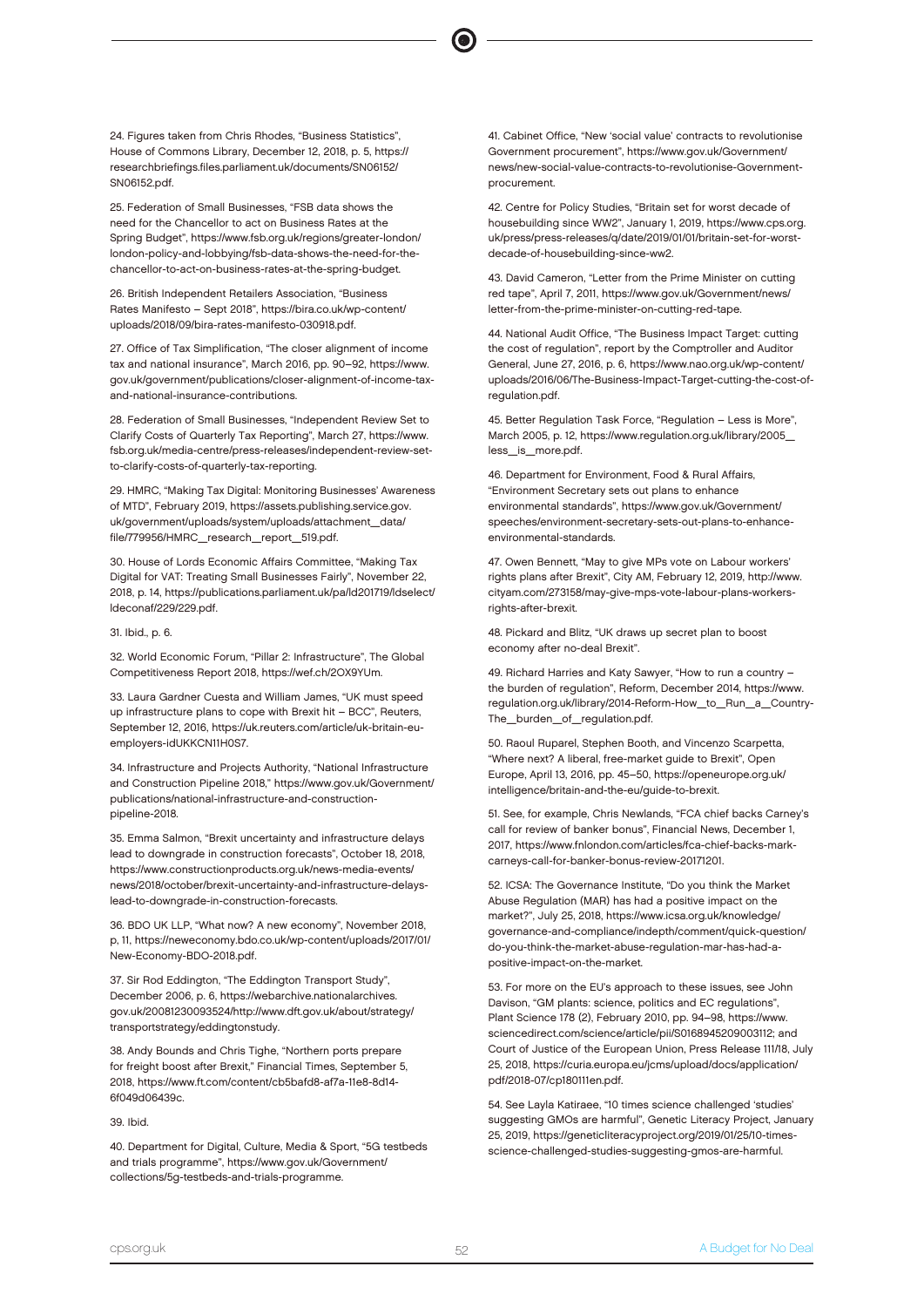24. Figures taken from Chris Rhodes, "Business Statistics", House of Commons Library, December 12, 2018, p. 5, https:// researchbriefings.files.parliament.uk/documents/SN06152/ SN06152.pdf.

25. Federation of Small Businesses, "FSB data shows the need for the Chancellor to act on Business Rates at the Spring Budget", https://www.fsb.org.uk/regions/greater-london/ london-policy-and-lobbying/fsb-data-shows-the-need-for-thechancellor-to-act-on-business-rates-at-the-spring-budget.

26. British Independent Retailers Association, "Business Rates Manifesto – Sept 2018", https://bira.co.uk/wp-content/ uploads/2018/09/bira-rates-manifesto-030918.pdf.

27. Office of Tax Simplification, "The closer alignment of income tax and national insurance", March 2016, pp. 90–92, https://www. gov.uk/government/publications/closer-alignment-of-income-taxand-national-insurance-contributions.

28. Federation of Small Businesses, "Independent Review Set to Clarify Costs of Quarterly Tax Reporting", March 27, https://www. fsb.org.uk/media-centre/press-releases/independent-review-setto-clarify-costs-of-quarterly-tax-reporting.

29. HMRC, "Making Tax Digital: Monitoring Businesses' Awareness of MTD", February 2019, https://assets.publishing.service.gov. uk/government/uploads/system/uploads/attachment\_data/ file/779956/HMRC\_research\_report\_519.pdf.

30. House of Lords Economic Affairs Committee, "Making Tax Digital for VAT: Treating Small Businesses Fairly", November 22, 2018, p. 14, https://publications.parliament.uk/pa/ld201719/ldselect/ ldeconaf/229/229.pdf.

### 31. Ibid., p. 6.

32. World Economic Forum, "Pillar 2: Infrastructure", The Global Competitiveness Report 2018, https://wef.ch/2OX9YUm.

33. Laura Gardner Cuesta and William James, "UK must speed up infrastructure plans to cope with Brexit hit – BCC", Reuters, September 12, 2016, https://uk.reuters.com/article/uk-britain-euemployers-idUKKCN11H0S7.

34. Infrastructure and Projects Authority, "National Infrastructure and Construction Pipeline 2018," https://www.gov.uk/Government/ publications/national-infrastructure-and-constructionpipeline-2018.

35. Emma Salmon, "Brexit uncertainty and infrastructure delays lead to downgrade in construction forecasts", October 18, 2018, https://www.constructionproducts.org.uk/news-media-events/ news/2018/october/brexit-uncertainty-and-infrastructure-delayslead-to-downgrade-in-construction-forecasts.

36. BDO UK LLP, "What now? A new economy", November 2018, p, 11, https://neweconomy.bdo.co.uk/wp-content/uploads/2017/01/ New-Economy-BDO-2018.pdf.

37. Sir Rod Eddington, "The Eddington Transport Study", December 2006, p. 6, https://webarchive.nationalarchives. gov.uk/20081230093524/http://www.dft.gov.uk/about/strategy/ transportstrategy/eddingtonstudy.

38. Andy Bounds and Chris Tighe, "Northern ports prepare for freight boost after Brexit," Financial Times, September 5, 2018, https://www.ft.com/content/cb5bafd8-af7a-11e8-8d14- 6f049d06439c.

### 39. Ibid.

40. Department for Digital, Culture, Media & Sport, "5G testbeds and trials programme", https://www.gov.uk/Government/ collections/5g-testbeds-and-trials-programme.

41. Cabinet Office, "New 'social value' contracts to revolutionise Government procurement", https://www.gov.uk/Government/ news/new-social-value-contracts-to-revolutionise-Governmentprocurement.

42. Centre for Policy Studies, "Britain set for worst decade of housebuilding since WW2", January 1, 2019, https://www.cps.org. uk/press/press-releases/q/date/2019/01/01/britain-set-for-worstdecade-of-housebuilding-since-ww2.

43. David Cameron, "Letter from the Prime Minister on cutting red tape", April 7, 2011, https://www.gov.uk/Government/news/ letter-from-the-prime-minister-on-cutting-red-tape.

44. National Audit Office, "The Business Impact Target: cutting the cost of regulation", report by the Comptroller and Auditor General, June 27, 2016, p. 6, https://www.nao.org.uk/wp-content/ uploads/2016/06/The-Business-Impact-Target-cutting-the-cost-ofregulation.pdf.

45. Better Regulation Task Force, "Regulation – Less is More", March 2005, p. 12, https://www.regulation.org.uk/library/2005\_ less\_is\_more.pdf.

46. Department for Environment, Food & Rural Affairs, "Environment Secretary sets out plans to enhance environmental standards", https://www.gov.uk/Government/ speeches/environment-secretary-sets-out-plans-to-enhanceenvironmental-standards.

47. Owen Bennett, "May to give MPs vote on Labour workers' rights plans after Brexit", City AM, February 12, 2019, http://www. cityam.com/273158/may-give-mps-vote-labour-plans-workersrights-after-brexit.

48. Pickard and Blitz, "UK draws up secret plan to boost economy after no-deal Brexit".

49. Richard Harries and Katy Sawyer, "How to run a country – the burden of regulation", Reform, December 2014, https://www. regulation.org.uk/library/2014-Reform-How\_to\_Run\_a\_Country-The\_burden\_of\_regulation.pdf.

50. Raoul Ruparel, Stephen Booth, and Vincenzo Scarpetta, "Where next? A liberal, free-market guide to Brexit", Open Europe, April 13, 2016, pp. 45–50, https://openeurope.org.uk/ intelligence/britain-and-the-eu/guide-to-brexit.

51. See, for example, Chris Newlands, "FCA chief backs Carney's call for review of banker bonus", Financial News, December 1, 2017, https://www.fnlondon.com/articles/fca-chief-backs-markcarneys-call-for-banker-bonus-review-20171201.

52. ICSA: The Governance Institute, "Do you think the Market Abuse Regulation (MAR) has had a positive impact on the market?", July 25, 2018, https://www.icsa.org.uk/knowledge/ governance-and-compliance/indepth/comment/quick-question/ do-you-think-the-market-abuse-regulation-mar-has-had-apositive-impact-on-the-market.

53. For more on the EU's approach to these issues, see John Davison, "GM plants: science, politics and EC regulations", Plant Science 178 (2), February 2010, pp. 94–98, https://www. sciencedirect.com/science/article/pii/S0168945209003112; and Court of Justice of the European Union, Press Release 111/18, July 25, 2018, https://curia.europa.eu/jcms/upload/docs/application/ pdf/2018-07/cp180111en.pdf.

54. See Layla Katiraee, "10 times science challenged 'studies' suggesting GMOs are harmful", Genetic Literacy Project, January 25, 2019, https://geneticliteracyproject.org/2019/01/25/10-timesscience-challenged-studies-suggesting-gmos-are-harmful.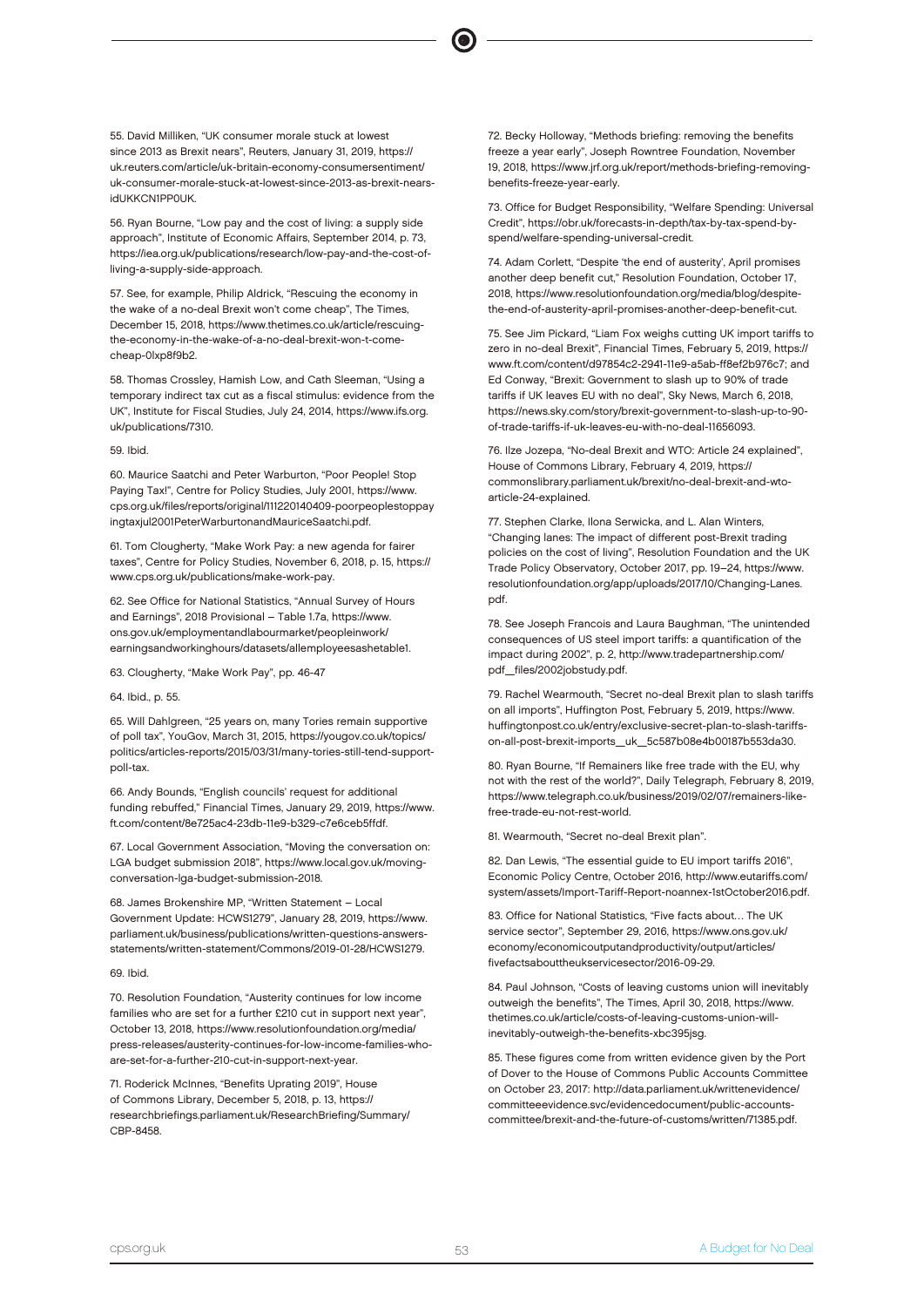55. David Milliken, "UK consumer morale stuck at lowest since 2013 as Brexit nears", Reuters, January 31, 2019, https:// uk.reuters.com/article/uk-britain-economy-consumersentiment/ uk-consumer-morale-stuck-at-lowest-since-2013-as-brexit-nears**idUKKCN1PP0UK** 

56. Ryan Bourne, "Low pay and the cost of living: a supply side approach", Institute of Economic Affairs, September 2014, p. 73, https://iea.org.uk/publications/research/low-pay-and-the-cost-ofliving-a-supply-side-approach.

57. See, for example, Philip Aldrick, "Rescuing the economy in the wake of a no-deal Brexit won't come cheap", The Times, December 15, 2018, https://www.thetimes.co.uk/article/rescuingthe-economy-in-the-wake-of-a-no-deal-brexit-won-t-comecheap-0lxp8f9b2.

58. Thomas Crossley, Hamish Low, and Cath Sleeman, "Using a temporary indirect tax cut as a fiscal stimulus: evidence from the UK", Institute for Fiscal Studies, July 24, 2014, https://www.ifs.org. uk/publications/7310.

### 59. Ibid.

60. Maurice Saatchi and Peter Warburton, "Poor People! Stop Paying Tax!", Centre for Policy Studies, July 2001, https://www. cps.org.uk/files/reports/original/111220140409-poorpeoplestoppay ingtaxjul2001PeterWarburtonandMauriceSaatchi.pdf.

61. Tom Clougherty, "Make Work Pay: a new agenda for fairer taxes", Centre for Policy Studies, November 6, 2018, p. 15, https:// www.cps.org.uk/publications/make-work-pay.

62. See Office for National Statistics, "Annual Survey of Hours and Earnings", 2018 Provisional – Table 1.7a, https://www. ons.gov.uk/employmentandlabourmarket/peopleinwork/ earningsandworkinghours/datasets/allemployeesashetable1.

63. Clougherty, "Make Work Pay", pp. 46-47

### 64. Ibid., p. 55.

65. Will Dahlgreen, "25 years on, many Tories remain supportive of poll tax", YouGov, March 31, 2015, https://yougov.co.uk/topics/ politics/articles-reports/2015/03/31/many-tories-still-tend-supportpoll-tax.

66. Andy Bounds, "English councils' request for additional funding rebuffed," Financial Times, January 29, 2019, https://www. ft.com/content/8e725ac4-23db-11e9-b329-c7e6ceb5ffdf.

67. Local Government Association, "Moving the conversation on: LGA budget submission 2018", https://www.local.gov.uk/movingconversation-lga-budget-submission-2018.

68. James Brokenshire MP, "Written Statement – Local Government Update: HCWS1279", January 28, 2019, https://www. parliament.uk/business/publications/written-questions-answersstatements/written-statement/Commons/2019-01-28/HCWS1279.

### 69. Ibid.

70. Resolution Foundation, "Austerity continues for low income families who are set for a further £210 cut in support next year", October 13, 2018, https://www.resolutionfoundation.org/media/ press-releases/austerity-continues-for-low-income-families-whoare-set-for-a-further-210-cut-in-support-next-year.

71. Roderick McInnes, "Benefits Uprating 2019", House of Commons Library, December 5, 2018, p. 13, https:// researchbriefings.parliament.uk/ResearchBriefing/Summary/ CBP-8458.

72. Becky Holloway, "Methods briefing: removing the benefits freeze a year early", Joseph Rowntree Foundation, November 19, 2018, https://www.jrf.org.uk/report/methods-briefing-removingbenefits-freeze-year-early.

73. Office for Budget Responsibility, "Welfare Spending: Universal Credit", https://obr.uk/forecasts-in-depth/tax-by-tax-spend-byspend/welfare-spending-universal-credit.

74. Adam Corlett, "Despite 'the end of austerity', April promises another deep benefit cut," Resolution Foundation, October 17, 2018, https://www.resolutionfoundation.org/media/blog/despitethe-end-of-austerity-april-promises-another-deep-benefit-cut.

75. See Jim Pickard, "Liam Fox weighs cutting UK import tariffs to zero in no-deal Brexit", Financial Times, February 5, 2019, https:// www.ft.com/content/d97854c2-2941-11e9-a5ab-ff8ef2b976c7; and Ed Conway, "Brexit: Government to slash up to 90% of trade tariffs if UK leaves EU with no deal", Sky News, March 6, 2018, https://news.sky.com/story/brexit-government-to-slash-up-to-90 of-trade-tariffs-if-uk-leaves-eu-with-no-deal-11656093.

76. Ilze Jozepa, "No-deal Brexit and WTO: Article 24 explained", House of Commons Library, February 4, 2019, https:// commonslibrary.parliament.uk/brexit/no-deal-brexit-and-wtoarticle-24-explained.

77. Stephen Clarke, Ilona Serwicka, and L. Alan Winters, "Changing lanes: The impact of different post-Brexit trading policies on the cost of living", Resolution Foundation and the UK Trade Policy Observatory, October 2017, pp. 19–24, https://www. resolutionfoundation.org/app/uploads/2017/10/Changing-Lanes. pdf.

78. See Joseph Francois and Laura Baughman, "The unintended consequences of US steel import tariffs: a quantification of the impact during 2002", p. 2, http://www.tradepartnership.com/ pdf\_files/2002jobstudy.pdf.

79. Rachel Wearmouth, "Secret no-deal Brexit plan to slash tariffs on all imports", Huffington Post, February 5, 2019, https://www. huffingtonpost.co.uk/entry/exclusive-secret-plan-to-slash-tariffson-all-post-brexit-imports\_uk\_5c587b08e4b00187b553da30.

80. Ryan Bourne, "If Remainers like free trade with the EU, why not with the rest of the world?", Daily Telegraph, February 8, 2019, https://www.telegraph.co.uk/business/2019/02/07/remainers-likefree-trade-eu-not-rest-world.

81. Wearmouth, "Secret no-deal Brexit plan".

82. Dan Lewis, "The essential guide to EU import tariffs 2016", Economic Policy Centre, October 2016, http://www.eutariffs.com/ system/assets/Import-Tariff-Report-noannex-1stOctober2016.pdf.

83. Office for National Statistics, "Five facts about… The UK service sector", September 29, 2016, https://www.ons.gov.uk/ economy/economicoutputandproductivity/output/articles/ fivefactsabouttheukservicesector/2016-09-29.

84. Paul Johnson, "Costs of leaving customs union will inevitably outweigh the benefits", The Times, April 30, 2018, https://www. thetimes.co.uk/article/costs-of-leaving-customs-union-willinevitably-outweigh-the-benefits-xbc395jsg.

85. These figures come from written evidence given by the Port of Dover to the House of Commons Public Accounts Committee on October 23, 2017: http://data.parliament.uk/writtenevidence/ committeeevidence.svc/evidencedocument/public-accountscommittee/brexit-and-the-future-of-customs/written/71385.pdf.